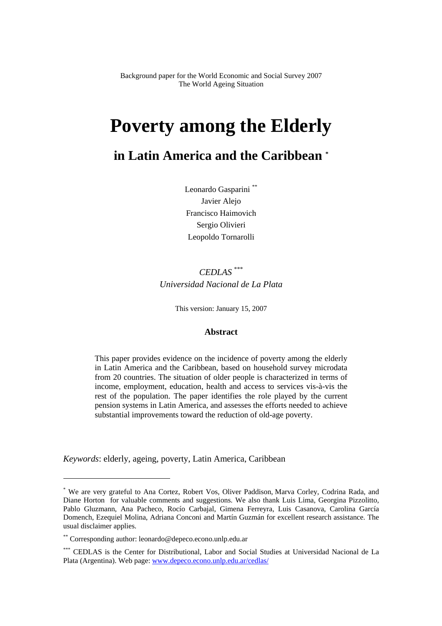Background paper for the World Economic and Social Survey 2007 The World Ageing Situation

# **Poverty among the Elderly**

## **in Latin America and the Caribbean \***

Leonardo Gasparini<sup>\*\*</sup> Javier Alejo Francisco Haimovich Sergio Olivieri Leopoldo Tornarolli

## *CEDLAS* \*\*\* *Universidad Nacional de La Plata*

This version: January 15, 2007

#### **Abstract**

This paper provides evidence on the incidence of poverty among the elderly in Latin America and the Caribbean, based on household survey microdata from 20 countries. The situation of older people is characterized in terms of income, employment, education, health and access to services vis-à-vis the rest of the population. The paper identifies the role played by the current pension systems in Latin America, and assesses the efforts needed to achieve substantial improvements toward the reduction of old-age poverty.

*Keywords*: elderly, ageing, poverty, Latin America, Caribbean

<sup>\*</sup> We are very grateful to Ana Cortez, Robert Vos, Oliver Paddison, Marva Corley, Codrina Rada, and Diane Horton for valuable comments and suggestions. We also thank Luis Lima, Georgina Pizzolitto, Pablo Gluzmann, Ana Pacheco, Rocío Carbajal, Gimena Ferreyra, Luis Casanova, Carolina García Domench, Ezequiel Molina, Adriana Conconi and Martín Guzmán for excellent research assistance. The usual disclaimer applies.

<sup>\*\*</sup> Corresponding author: leonardo@depeco.econo.unlp.edu.ar

<sup>\*\*\*</sup> CEDLAS is the Center for Distributional, Labor and Social Studies at Universidad Nacional de La Plata (Argentina). Web page: www.depeco.econo.unlp.edu.ar/cedlas/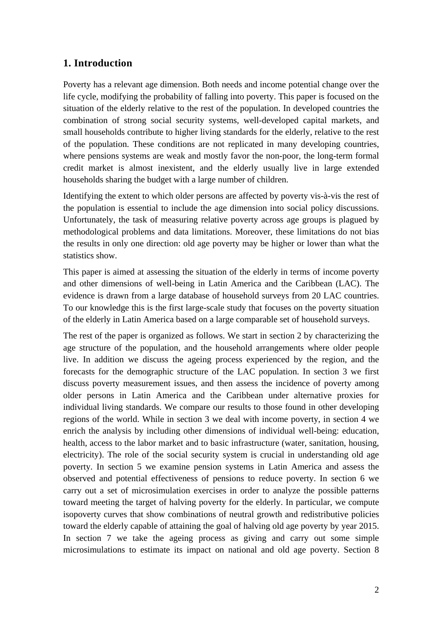## **1. Introduction**

Poverty has a relevant age dimension. Both needs and income potential change over the life cycle, modifying the probability of falling into poverty. This paper is focused on the situation of the elderly relative to the rest of the population. In developed countries the combination of strong social security systems, well-developed capital markets, and small households contribute to higher living standards for the elderly, relative to the rest of the population. These conditions are not replicated in many developing countries, where pensions systems are weak and mostly favor the non-poor, the long-term formal credit market is almost inexistent, and the elderly usually live in large extended households sharing the budget with a large number of children.

Identifying the extent to which older persons are affected by poverty vis-à-vis the rest of the population is essential to include the age dimension into social policy discussions. Unfortunately, the task of measuring relative poverty across age groups is plagued by methodological problems and data limitations. Moreover, these limitations do not bias the results in only one direction: old age poverty may be higher or lower than what the statistics show.

This paper is aimed at assessing the situation of the elderly in terms of income poverty and other dimensions of well-being in Latin America and the Caribbean (LAC). The evidence is drawn from a large database of household surveys from 20 LAC countries. To our knowledge this is the first large-scale study that focuses on the poverty situation of the elderly in Latin America based on a large comparable set of household surveys.

The rest of the paper is organized as follows. We start in section 2 by characterizing the age structure of the population, and the household arrangements where older people live. In addition we discuss the ageing process experienced by the region, and the forecasts for the demographic structure of the LAC population. In section 3 we first discuss poverty measurement issues, and then assess the incidence of poverty among older persons in Latin America and the Caribbean under alternative proxies for individual living standards. We compare our results to those found in other developing regions of the world. While in section 3 we deal with income poverty, in section 4 we enrich the analysis by including other dimensions of individual well-being: education, health, access to the labor market and to basic infrastructure (water, sanitation, housing, electricity). The role of the social security system is crucial in understanding old age poverty. In section 5 we examine pension systems in Latin America and assess the observed and potential effectiveness of pensions to reduce poverty. In section 6 we carry out a set of microsimulation exercises in order to analyze the possible patterns toward meeting the target of halving poverty for the elderly. In particular, we compute isopoverty curves that show combinations of neutral growth and redistributive policies toward the elderly capable of attaining the goal of halving old age poverty by year 2015. In section 7 we take the ageing process as giving and carry out some simple microsimulations to estimate its impact on national and old age poverty. Section 8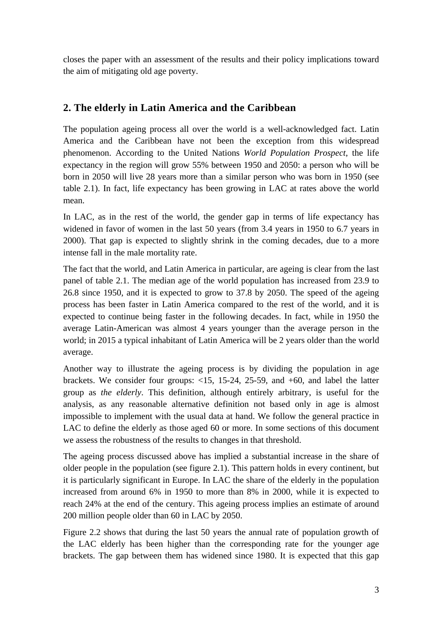closes the paper with an assessment of the results and their policy implications toward the aim of mitigating old age poverty.

## **2. The elderly in Latin America and the Caribbean**

The population ageing process all over the world is a well-acknowledged fact. Latin America and the Caribbean have not been the exception from this widespread phenomenon. According to the United Nations *World Population Prospect*, the life expectancy in the region will grow 55% between 1950 and 2050: a person who will be born in 2050 will live 28 years more than a similar person who was born in 1950 (see table 2.1). In fact, life expectancy has been growing in LAC at rates above the world mean.

In LAC, as in the rest of the world, the gender gap in terms of life expectancy has widened in favor of women in the last 50 years (from 3.4 years in 1950 to 6.7 years in 2000). That gap is expected to slightly shrink in the coming decades, due to a more intense fall in the male mortality rate.

The fact that the world, and Latin America in particular, are ageing is clear from the last panel of table 2.1. The median age of the world population has increased from 23.9 to 26.8 since 1950, and it is expected to grow to 37.8 by 2050. The speed of the ageing process has been faster in Latin America compared to the rest of the world, and it is expected to continue being faster in the following decades. In fact, while in 1950 the average Latin-American was almost 4 years younger than the average person in the world; in 2015 a typical inhabitant of Latin America will be 2 years older than the world average.

Another way to illustrate the ageing process is by dividing the population in age brackets. We consider four groups: <15, 15-24, 25-59, and +60, and label the latter group as *the elderly*. This definition, although entirely arbitrary, is useful for the analysis, as any reasonable alternative definition not based only in age is almost impossible to implement with the usual data at hand. We follow the general practice in LAC to define the elderly as those aged 60 or more. In some sections of this document we assess the robustness of the results to changes in that threshold.

The ageing process discussed above has implied a substantial increase in the share of older people in the population (see figure 2.1). This pattern holds in every continent, but it is particularly significant in Europe. In LAC the share of the elderly in the population increased from around 6% in 1950 to more than 8% in 2000, while it is expected to reach 24% at the end of the century. This ageing process implies an estimate of around 200 million people older than 60 in LAC by 2050.

Figure 2.2 shows that during the last 50 years the annual rate of population growth of the LAC elderly has been higher than the corresponding rate for the younger age brackets. The gap between them has widened since 1980. It is expected that this gap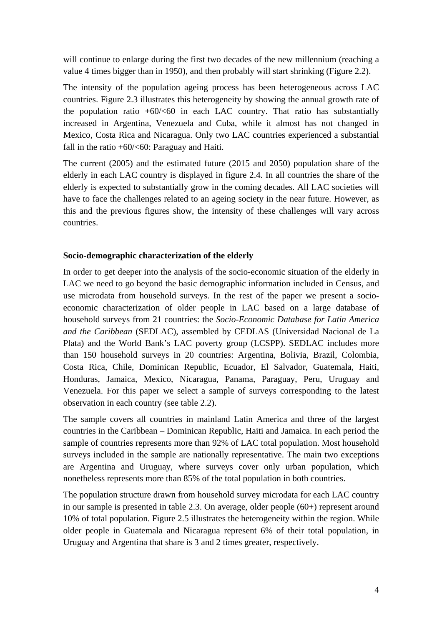will continue to enlarge during the first two decades of the new millennium (reaching a value 4 times bigger than in 1950), and then probably will start shrinking (Figure 2.2).

The intensity of the population ageing process has been heterogeneous across LAC countries. Figure 2.3 illustrates this heterogeneity by showing the annual growth rate of the population ratio  $+60$ /<60 in each LAC country. That ratio has substantially increased in Argentina, Venezuela and Cuba, while it almost has not changed in Mexico, Costa Rica and Nicaragua. Only two LAC countries experienced a substantial fall in the ratio  $+60/50$ : Paraguay and Haiti.

The current (2005) and the estimated future (2015 and 2050) population share of the elderly in each LAC country is displayed in figure 2.4. In all countries the share of the elderly is expected to substantially grow in the coming decades. All LAC societies will have to face the challenges related to an ageing society in the near future. However, as this and the previous figures show, the intensity of these challenges will vary across countries.

#### **Socio-demographic characterization of the elderly**

In order to get deeper into the analysis of the socio-economic situation of the elderly in LAC we need to go beyond the basic demographic information included in Census, and use microdata from household surveys. In the rest of the paper we present a socioeconomic characterization of older people in LAC based on a large database of household surveys from 21 countries: the *Socio-Economic Database for Latin America and the Caribbean* (SEDLAC), assembled by CEDLAS (Universidad Nacional de La Plata) and the World Bank's LAC poverty group (LCSPP). SEDLAC includes more than 150 household surveys in 20 countries: Argentina, Bolivia, Brazil, Colombia, Costa Rica, Chile, Dominican Republic, Ecuador, El Salvador, Guatemala, Haiti, Honduras, Jamaica, Mexico, Nicaragua, Panama, Paraguay, Peru, Uruguay and Venezuela. For this paper we select a sample of surveys corresponding to the latest observation in each country (see table 2.2).

The sample covers all countries in mainland Latin America and three of the largest countries in the Caribbean – Dominican Republic, Haiti and Jamaica. In each period the sample of countries represents more than 92% of LAC total population. Most household surveys included in the sample are nationally representative. The main two exceptions are Argentina and Uruguay, where surveys cover only urban population, which nonetheless represents more than 85% of the total population in both countries.

The population structure drawn from household survey microdata for each LAC country in our sample is presented in table 2.3. On average, older people (60+) represent around 10% of total population. Figure 2.5 illustrates the heterogeneity within the region. While older people in Guatemala and Nicaragua represent 6% of their total population, in Uruguay and Argentina that share is 3 and 2 times greater, respectively.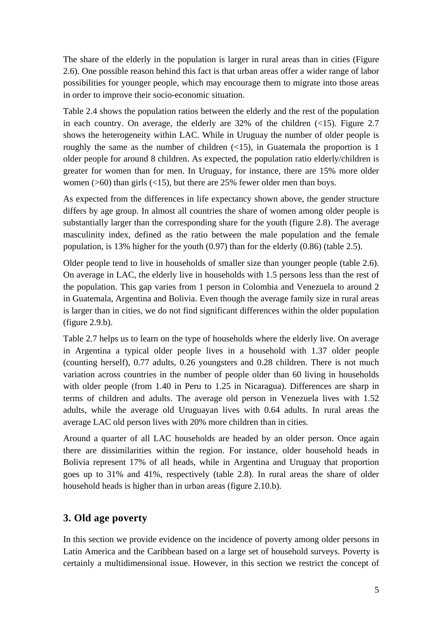The share of the elderly in the population is larger in rural areas than in cities (Figure 2.6). One possible reason behind this fact is that urban areas offer a wider range of labor possibilities for younger people, which may encourage them to migrate into those areas in order to improve their socio-economic situation.

Table 2.4 shows the population ratios between the elderly and the rest of the population in each country. On average, the elderly are  $32\%$  of the children ( $\lt 15$ ). Figure 2.7 shows the heterogeneity within LAC. While in Uruguay the number of older people is roughly the same as the number of children  $(\langle 15 \rangle)$ , in Guatemala the proportion is 1 older people for around 8 children. As expected, the population ratio elderly/children is greater for women than for men. In Uruguay, for instance, there are 15% more older women ( $>60$ ) than girls ( $<15$ ), but there are 25% fewer older men than boys.

As expected from the differences in life expectancy shown above, the gender structure differs by age group. In almost all countries the share of women among older people is substantially larger than the corresponding share for the youth (figure 2.8). The average masculinity index, defined as the ratio between the male population and the female population, is 13% higher for the youth (0.97) than for the elderly (0.86) (table 2.5).

Older people tend to live in households of smaller size than younger people (table 2.6). On average in LAC, the elderly live in households with 1.5 persons less than the rest of the population. This gap varies from 1 person in Colombia and Venezuela to around 2 in Guatemala, Argentina and Bolivia. Even though the average family size in rural areas is larger than in cities, we do not find significant differences within the older population (figure 2.9.b).

Table 2.7 helps us to learn on the type of households where the elderly live. On average in Argentina a typical older people lives in a household with 1.37 older people (counting herself), 0.77 adults, 0.26 youngsters and 0.28 children. There is not much variation across countries in the number of people older than 60 living in households with older people (from 1.40 in Peru to 1.25 in Nicaragua). Differences are sharp in terms of children and adults. The average old person in Venezuela lives with 1.52 adults, while the average old Uruguayan lives with 0.64 adults. In rural areas the average LAC old person lives with 20% more children than in cities.

Around a quarter of all LAC households are headed by an older person. Once again there are dissimilarities within the region. For instance, older household heads in Bolivia represent 17% of all heads, while in Argentina and Uruguay that proportion goes up to 31% and 41%, respectively (table 2.8). In rural areas the share of older household heads is higher than in urban areas (figure 2.10.b).

#### **3. Old age poverty**

In this section we provide evidence on the incidence of poverty among older persons in Latin America and the Caribbean based on a large set of household surveys. Poverty is certainly a multidimensional issue. However, in this section we restrict the concept of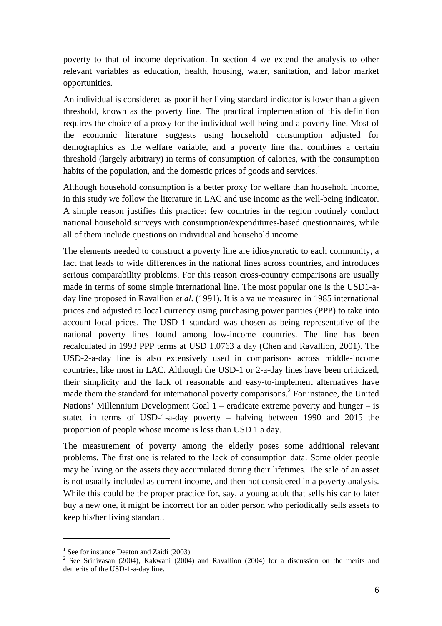poverty to that of income deprivation. In section 4 we extend the analysis to other relevant variables as education, health, housing, water, sanitation, and labor market opportunities.

An individual is considered as poor if her living standard indicator is lower than a given threshold, known as the poverty line. The practical implementation of this definition requires the choice of a proxy for the individual well-being and a poverty line. Most of the economic literature suggests using household consumption adjusted for demographics as the welfare variable, and a poverty line that combines a certain threshold (largely arbitrary) in terms of consumption of calories, with the consumption habits of the population, and the domestic prices of goods and services.<sup>1</sup>

Although household consumption is a better proxy for welfare than household income, in this study we follow the literature in LAC and use income as the well-being indicator. A simple reason justifies this practice: few countries in the region routinely conduct national household surveys with consumption/expenditures-based questionnaires, while all of them include questions on individual and household income.

The elements needed to construct a poverty line are idiosyncratic to each community, a fact that leads to wide differences in the national lines across countries, and introduces serious comparability problems. For this reason cross-country comparisons are usually made in terms of some simple international line. The most popular one is the USD1-aday line proposed in Ravallion *et al*. (1991). It is a value measured in 1985 international prices and adjusted to local currency using purchasing power parities (PPP) to take into account local prices. The USD 1 standard was chosen as being representative of the national poverty lines found among low-income countries. The line has been recalculated in 1993 PPP terms at USD 1.0763 a day (Chen and Ravallion, 2001). The USD-2-a-day line is also extensively used in comparisons across middle-income countries, like most in LAC. Although the USD-1 or 2-a-day lines have been criticized, their simplicity and the lack of reasonable and easy-to-implement alternatives have made them the standard for international poverty comparisons.<sup>2</sup> For instance, the United Nations' Millennium Development Goal 1 – eradicate extreme poverty and hunger – is stated in terms of USD-1-a-day poverty – halving between 1990 and 2015 the proportion of people whose income is less than USD 1 a day.

The measurement of poverty among the elderly poses some additional relevant problems. The first one is related to the lack of consumption data. Some older people may be living on the assets they accumulated during their lifetimes. The sale of an asset is not usually included as current income, and then not considered in a poverty analysis. While this could be the proper practice for, say, a young adult that sells his car to later buy a new one, it might be incorrect for an older person who periodically sells assets to keep his/her living standard.

<sup>&</sup>lt;sup>1</sup> See for instance Deaton and Zaidi (2003).

 $2$  See Srinivasan (2004), Kakwani (2004) and Ravallion (2004) for a discussion on the merits and demerits of the USD-1-a-day line.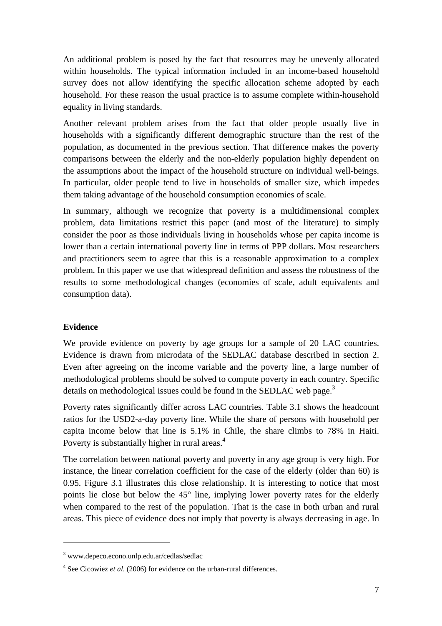An additional problem is posed by the fact that resources may be unevenly allocated within households. The typical information included in an income-based household survey does not allow identifying the specific allocation scheme adopted by each household. For these reason the usual practice is to assume complete within-household equality in living standards.

Another relevant problem arises from the fact that older people usually live in households with a significantly different demographic structure than the rest of the population, as documented in the previous section. That difference makes the poverty comparisons between the elderly and the non-elderly population highly dependent on the assumptions about the impact of the household structure on individual well-beings. In particular, older people tend to live in households of smaller size, which impedes them taking advantage of the household consumption economies of scale.

In summary, although we recognize that poverty is a multidimensional complex problem, data limitations restrict this paper (and most of the literature) to simply consider the poor as those individuals living in households whose per capita income is lower than a certain international poverty line in terms of PPP dollars. Most researchers and practitioners seem to agree that this is a reasonable approximation to a complex problem. In this paper we use that widespread definition and assess the robustness of the results to some methodological changes (economies of scale, adult equivalents and consumption data).

#### **Evidence**

 $\overline{a}$ 

We provide evidence on poverty by age groups for a sample of 20 LAC countries. Evidence is drawn from microdata of the SEDLAC database described in section 2. Even after agreeing on the income variable and the poverty line, a large number of methodological problems should be solved to compute poverty in each country. Specific details on methodological issues could be found in the SEDLAC web page.<sup>3</sup>

Poverty rates significantly differ across LAC countries. Table 3.1 shows the headcount ratios for the USD2-a-day poverty line. While the share of persons with household per capita income below that line is 5.1% in Chile, the share climbs to 78% in Haiti. Poverty is substantially higher in rural areas. $4$ 

The correlation between national poverty and poverty in any age group is very high. For instance, the linear correlation coefficient for the case of the elderly (older than 60) is 0.95. Figure 3.1 illustrates this close relationship. It is interesting to notice that most points lie close but below the 45° line, implying lower poverty rates for the elderly when compared to the rest of the population. That is the case in both urban and rural areas. This piece of evidence does not imply that poverty is always decreasing in age. In

<sup>3</sup> www.depeco.econo.unlp.edu.ar/cedlas/sedlac

<sup>4</sup> See Cicowiez *et al*. (2006) for evidence on the urban-rural differences.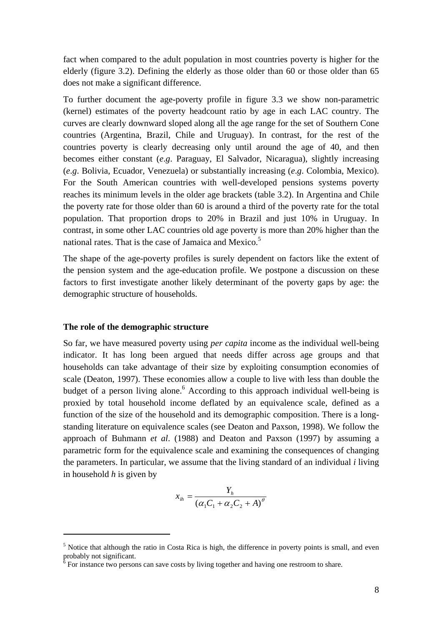fact when compared to the adult population in most countries poverty is higher for the elderly (figure 3.2). Defining the elderly as those older than 60 or those older than 65 does not make a significant difference.

To further document the age-poverty profile in figure 3.3 we show non-parametric (kernel) estimates of the poverty headcount ratio by age in each LAC country. The curves are clearly downward sloped along all the age range for the set of Southern Cone countries (Argentina, Brazil, Chile and Uruguay). In contrast, for the rest of the countries poverty is clearly decreasing only until around the age of 40, and then becomes either constant (*e*.*g*. Paraguay, El Salvador, Nicaragua), slightly increasing (*e*.*g*. Bolivia, Ecuador, Venezuela) or substantially increasing (*e*.*g*. Colombia, Mexico). For the South American countries with well-developed pensions systems poverty reaches its minimum levels in the older age brackets (table 3.2). In Argentina and Chile the poverty rate for those older than 60 is around a third of the poverty rate for the total population. That proportion drops to 20% in Brazil and just 10% in Uruguay. In contrast, in some other LAC countries old age poverty is more than 20% higher than the national rates. That is the case of Jamaica and Mexico.<sup>5</sup>

The shape of the age-poverty profiles is surely dependent on factors like the extent of the pension system and the age-education profile. We postpone a discussion on these factors to first investigate another likely determinant of the poverty gaps by age: the demographic structure of households.

#### **The role of the demographic structure**

 $\overline{a}$ 

So far, we have measured poverty using *per capita* income as the individual well-being indicator. It has long been argued that needs differ across age groups and that households can take advantage of their size by exploiting consumption economies of scale (Deaton, 1997). These economies allow a couple to live with less than double the budget of a person living alone.<sup>6</sup> According to this approach individual well-being is proxied by total household income deflated by an equivalence scale, defined as a function of the size of the household and its demographic composition. There is a longstanding literature on equivalence scales (see Deaton and Paxson, 1998). We follow the approach of Buhmann *et al*. (1988) and Deaton and Paxson (1997) by assuming a parametric form for the equivalence scale and examining the consequences of changing the parameters. In particular, we assume that the living standard of an individual *i* living in household *h* is given by

$$
x_{ih} = \frac{Y_h}{\left(\alpha_1 C_1 + \alpha_2 C_2 + A\right)^{\theta}}
$$

<sup>&</sup>lt;sup>5</sup> Notice that although the ratio in Costa Rica is high, the difference in poverty points is small, and even probably not significant.<br><sup>6</sup> For instance two persons can save costs by living together and having one restroom to share.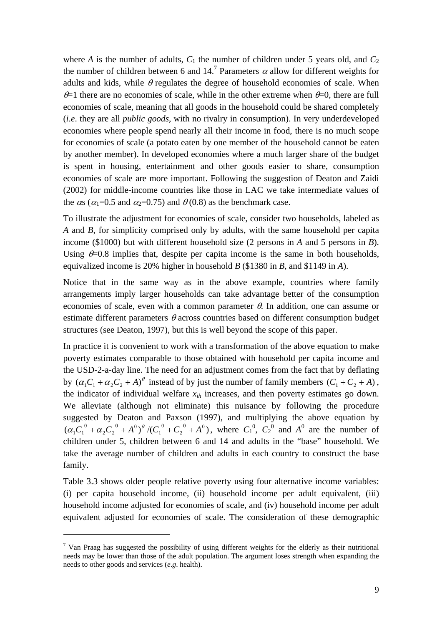where *A* is the number of adults,  $C_1$  the number of children under 5 years old, and  $C_2$ the number of children between 6 and 14.<sup>7</sup> Parameters  $\alpha$  allow for different weights for adults and kids, while  $\theta$  regulates the degree of household economies of scale. When  $\theta$ =1 there are no economies of scale, while in the other extreme when  $\theta$ =0, there are full economies of scale, meaning that all goods in the household could be shared completely (*i*.*e*. they are all *public goods*, with no rivalry in consumption). In very underdeveloped economies where people spend nearly all their income in food, there is no much scope for economies of scale (a potato eaten by one member of the household cannot be eaten by another member). In developed economies where a much larger share of the budget is spent in housing, entertainment and other goods easier to share, consumption economies of scale are more important. Following the suggestion of Deaton and Zaidi (2002) for middle-income countries like those in LAC we take intermediate values of the  $\alpha$ s ( $\alpha$ <sub>1</sub>=0.5 and  $\alpha$ <sub>2</sub>=0.75) and  $\theta$  (0.8) as the benchmark case.

To illustrate the adjustment for economies of scale, consider two households, labeled as *A* and *B*, for simplicity comprised only by adults, with the same household per capita income (\$1000) but with different household size (2 persons in *A* and 5 persons in *B*). Using  $\theta$ =0.8 implies that, despite per capita income is the same in both households, equivalized income is 20% higher in household *B* (\$1380 in *B*, and \$1149 in *A*).

Notice that in the same way as in the above example, countries where family arrangements imply larger households can take advantage better of the consumption economies of scale, even with a common parameter  $\theta$ . In addition, one can assume or estimate different parameters  $\theta$  across countries based on different consumption budget structures (see Deaton, 1997), but this is well beyond the scope of this paper.

In practice it is convenient to work with a transformation of the above equation to make poverty estimates comparable to those obtained with household per capita income and the USD-2-a-day line. The need for an adjustment comes from the fact that by deflating by  $(\alpha_1 C_1 + \alpha_2 C_2 + A)^{\theta}$  instead of by just the number of family members  $(C_1 + C_2 + A)$ , the indicator of individual welfare  $x_{ih}$  increases, and then poverty estimates go down. We alleviate (although not eliminate) this nuisance by following the procedure suggested by Deaton and Paxson (1997), and multiplying the above equation by  $(\alpha_1 C_1^0 + \alpha_2 C_2^0 + A^0)^{\theta} / (C_1^0 + C_2^0 + A^0)$ 0 1  $0 \rightarrow 0$  $2^{\mathcal{L}}2$  $\alpha_1 C_1^0 + \alpha_2 C_2^0 + A^0$ <sup>o</sup> /( $C_1^0 + C_2^0 + A^0$ ), where  $C_1^0$ ,  $C_2^0$  and  $A^0$  are the number of children under 5, children between 6 and 14 and adults in the "base" household. We take the average number of children and adults in each country to construct the base family.

Table 3.3 shows older people relative poverty using four alternative income variables: (i) per capita household income, (ii) household income per adult equivalent, (iii) household income adjusted for economies of scale, and (iv) household income per adult equivalent adjusted for economies of scale. The consideration of these demographic

<sup>&</sup>lt;sup>7</sup> Van Praag has suggested the possibility of using different weights for the elderly as their nutritional needs may be lower than those of the adult population. The argument loses strength when expanding the needs to other goods and services (*e*.*g*. health).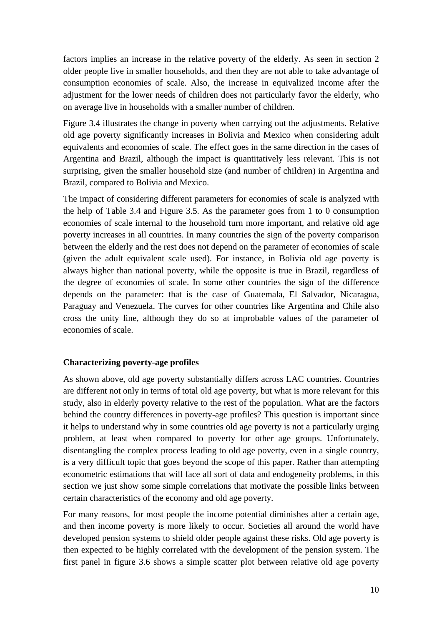factors implies an increase in the relative poverty of the elderly. As seen in section 2 older people live in smaller households, and then they are not able to take advantage of consumption economies of scale. Also, the increase in equivalized income after the adjustment for the lower needs of children does not particularly favor the elderly, who on average live in households with a smaller number of children.

Figure 3.4 illustrates the change in poverty when carrying out the adjustments. Relative old age poverty significantly increases in Bolivia and Mexico when considering adult equivalents and economies of scale. The effect goes in the same direction in the cases of Argentina and Brazil, although the impact is quantitatively less relevant. This is not surprising, given the smaller household size (and number of children) in Argentina and Brazil, compared to Bolivia and Mexico.

The impact of considering different parameters for economies of scale is analyzed with the help of Table 3.4 and Figure 3.5. As the parameter goes from 1 to 0 consumption economies of scale internal to the household turn more important, and relative old age poverty increases in all countries. In many countries the sign of the poverty comparison between the elderly and the rest does not depend on the parameter of economies of scale (given the adult equivalent scale used). For instance, in Bolivia old age poverty is always higher than national poverty, while the opposite is true in Brazil, regardless of the degree of economies of scale. In some other countries the sign of the difference depends on the parameter: that is the case of Guatemala, El Salvador, Nicaragua, Paraguay and Venezuela. The curves for other countries like Argentina and Chile also cross the unity line, although they do so at improbable values of the parameter of economies of scale.

#### **Characterizing poverty-age profiles**

As shown above, old age poverty substantially differs across LAC countries. Countries are different not only in terms of total old age poverty, but what is more relevant for this study, also in elderly poverty relative to the rest of the population. What are the factors behind the country differences in poverty-age profiles? This question is important since it helps to understand why in some countries old age poverty is not a particularly urging problem, at least when compared to poverty for other age groups. Unfortunately, disentangling the complex process leading to old age poverty, even in a single country, is a very difficult topic that goes beyond the scope of this paper. Rather than attempting econometric estimations that will face all sort of data and endogeneity problems, in this section we just show some simple correlations that motivate the possible links between certain characteristics of the economy and old age poverty.

For many reasons, for most people the income potential diminishes after a certain age, and then income poverty is more likely to occur. Societies all around the world have developed pension systems to shield older people against these risks. Old age poverty is then expected to be highly correlated with the development of the pension system. The first panel in figure 3.6 shows a simple scatter plot between relative old age poverty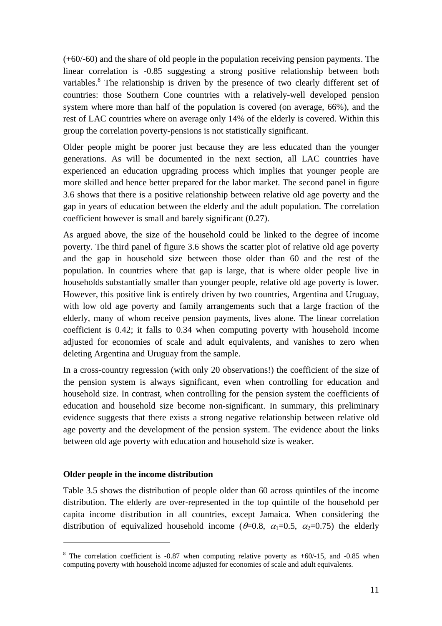(+60/-60) and the share of old people in the population receiving pension payments. The linear correlation is -0.85 suggesting a strong positive relationship between both variables.<sup>8</sup> The relationship is driven by the presence of two clearly different set of countries: those Southern Cone countries with a relatively-well developed pension system where more than half of the population is covered (on average, 66%), and the rest of LAC countries where on average only 14% of the elderly is covered. Within this group the correlation poverty-pensions is not statistically significant.

Older people might be poorer just because they are less educated than the younger generations. As will be documented in the next section, all LAC countries have experienced an education upgrading process which implies that younger people are more skilled and hence better prepared for the labor market. The second panel in figure 3.6 shows that there is a positive relationship between relative old age poverty and the gap in years of education between the elderly and the adult population. The correlation coefficient however is small and barely significant (0.27).

As argued above, the size of the household could be linked to the degree of income poverty. The third panel of figure 3.6 shows the scatter plot of relative old age poverty and the gap in household size between those older than 60 and the rest of the population. In countries where that gap is large, that is where older people live in households substantially smaller than younger people, relative old age poverty is lower. However, this positive link is entirely driven by two countries, Argentina and Uruguay, with low old age poverty and family arrangements such that a large fraction of the elderly, many of whom receive pension payments, lives alone. The linear correlation coefficient is 0.42; it falls to 0.34 when computing poverty with household income adjusted for economies of scale and adult equivalents, and vanishes to zero when deleting Argentina and Uruguay from the sample.

In a cross-country regression (with only 20 observations!) the coefficient of the size of the pension system is always significant, even when controlling for education and household size. In contrast, when controlling for the pension system the coefficients of education and household size become non-significant. In summary, this preliminary evidence suggests that there exists a strong negative relationship between relative old age poverty and the development of the pension system. The evidence about the links between old age poverty with education and household size is weaker.

#### **Older people in the income distribution**

 $\overline{a}$ 

Table 3.5 shows the distribution of people older than 60 across quintiles of the income distribution. The elderly are over-represented in the top quintile of the household per capita income distribution in all countries, except Jamaica. When considering the distribution of equivalized household income ( $\theta$ =0.8,  $\alpha$ <sub>1</sub>=0.5,  $\alpha$ <sub>2</sub>=0.75) the elderly

 $8$  The correlation coefficient is -0.87 when computing relative poverty as +60/-15, and -0.85 when computing poverty with household income adjusted for economies of scale and adult equivalents.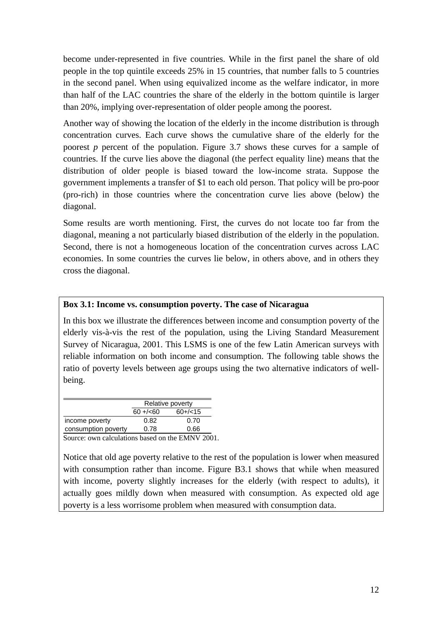become under-represented in five countries. While in the first panel the share of old people in the top quintile exceeds 25% in 15 countries, that number falls to 5 countries in the second panel. When using equivalized income as the welfare indicator, in more than half of the LAC countries the share of the elderly in the bottom quintile is larger than 20%, implying over-representation of older people among the poorest.

Another way of showing the location of the elderly in the income distribution is through concentration curves. Each curve shows the cumulative share of the elderly for the poorest *p* percent of the population. Figure 3.7 shows these curves for a sample of countries. If the curve lies above the diagonal (the perfect equality line) means that the distribution of older people is biased toward the low-income strata. Suppose the government implements a transfer of \$1 to each old person. That policy will be pro-poor (pro-rich) in those countries where the concentration curve lies above (below) the diagonal.

Some results are worth mentioning. First, the curves do not locate too far from the diagonal, meaning a not particularly biased distribution of the elderly in the population. Second, there is not a homogeneous location of the concentration curves across LAC economies. In some countries the curves lie below, in others above, and in others they cross the diagonal.

## **Box 3.1: Income vs. consumption poverty. The case of Nicaragua**

In this box we illustrate the differences between income and consumption poverty of the elderly vis-à-vis the rest of the population, using the Living Standard Measurement Survey of Nicaragua, 2001. This LSMS is one of the few Latin American surveys with reliable information on both income and consumption. The following table shows the ratio of poverty levels between age groups using the two alternative indicators of wellbeing.

|                     | Relative poverty |           |
|---------------------|------------------|-----------|
|                     | $60 + (-60)$     | $60+/-15$ |
| income poverty      | 0.82             | 0.70      |
| consumption poverty | 0.78             | 0.66      |

Source: own calculations based on the EMNV 2001.

Notice that old age poverty relative to the rest of the population is lower when measured with consumption rather than income. Figure B3.1 shows that while when measured with income, poverty slightly increases for the elderly (with respect to adults), it actually goes mildly down when measured with consumption. As expected old age poverty is a less worrisome problem when measured with consumption data.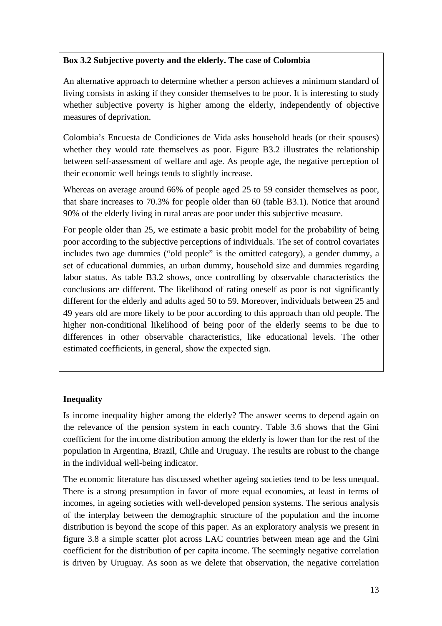## **Box 3.2 Subjective poverty and the elderly. The case of Colombia**

An alternative approach to determine whether a person achieves a minimum standard of living consists in asking if they consider themselves to be poor. It is interesting to study whether subjective poverty is higher among the elderly, independently of objective measures of deprivation.

Colombia's Encuesta de Condiciones de Vida asks household heads (or their spouses) whether they would rate themselves as poor. Figure B3.2 illustrates the relationship between self-assessment of welfare and age. As people age, the negative perception of their economic well beings tends to slightly increase.

Whereas on average around 66% of people aged 25 to 59 consider themselves as poor, that share increases to 70.3% for people older than 60 (table B3.1). Notice that around 90% of the elderly living in rural areas are poor under this subjective measure.

For people older than 25, we estimate a basic probit model for the probability of being poor according to the subjective perceptions of individuals. The set of control covariates includes two age dummies ("old people" is the omitted category), a gender dummy, a set of educational dummies, an urban dummy, household size and dummies regarding labor status. As table B3.2 shows, once controlling by observable characteristics the conclusions are different. The likelihood of rating oneself as poor is not significantly different for the elderly and adults aged 50 to 59. Moreover, individuals between 25 and 49 years old are more likely to be poor according to this approach than old people. The higher non-conditional likelihood of being poor of the elderly seems to be due to differences in other observable characteristics, like educational levels. The other estimated coefficients, in general, show the expected sign.

## **Inequality**

Is income inequality higher among the elderly? The answer seems to depend again on the relevance of the pension system in each country. Table 3.6 shows that the Gini coefficient for the income distribution among the elderly is lower than for the rest of the population in Argentina, Brazil, Chile and Uruguay. The results are robust to the change in the individual well-being indicator.

The economic literature has discussed whether ageing societies tend to be less unequal. There is a strong presumption in favor of more equal economies, at least in terms of incomes, in ageing societies with well-developed pension systems. The serious analysis of the interplay between the demographic structure of the population and the income distribution is beyond the scope of this paper. As an exploratory analysis we present in figure 3.8 a simple scatter plot across LAC countries between mean age and the Gini coefficient for the distribution of per capita income. The seemingly negative correlation is driven by Uruguay. As soon as we delete that observation, the negative correlation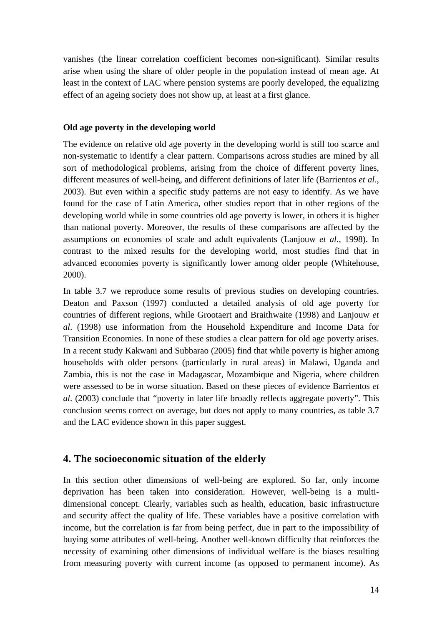vanishes (the linear correlation coefficient becomes non-significant). Similar results arise when using the share of older people in the population instead of mean age. At least in the context of LAC where pension systems are poorly developed, the equalizing effect of an ageing society does not show up, at least at a first glance.

#### **Old age poverty in the developing world**

The evidence on relative old age poverty in the developing world is still too scarce and non-systematic to identify a clear pattern. Comparisons across studies are mined by all sort of methodological problems, arising from the choice of different poverty lines, different measures of well-being, and different definitions of later life (Barrientos *et al*., 2003). But even within a specific study patterns are not easy to identify. As we have found for the case of Latin America, other studies report that in other regions of the developing world while in some countries old age poverty is lower, in others it is higher than national poverty. Moreover, the results of these comparisons are affected by the assumptions on economies of scale and adult equivalents (Lanjouw *et al*., 1998). In contrast to the mixed results for the developing world, most studies find that in advanced economies poverty is significantly lower among older people (Whitehouse, 2000).

In table 3.7 we reproduce some results of previous studies on developing countries. Deaton and Paxson (1997) conducted a detailed analysis of old age poverty for countries of different regions, while Grootaert and Braithwaite (1998) and Lanjouw *et al*. (1998) use information from the Household Expenditure and Income Data for Transition Economies. In none of these studies a clear pattern for old age poverty arises. In a recent study Kakwani and Subbarao (2005) find that while poverty is higher among households with older persons (particularly in rural areas) in Malawi, Uganda and Zambia, this is not the case in Madagascar, Mozambique and Nigeria, where children were assessed to be in worse situation. Based on these pieces of evidence Barrientos *et al*. (2003) conclude that "poverty in later life broadly reflects aggregate poverty". This conclusion seems correct on average, but does not apply to many countries, as table 3.7 and the LAC evidence shown in this paper suggest.

## **4. The socioeconomic situation of the elderly**

In this section other dimensions of well-being are explored. So far, only income deprivation has been taken into consideration. However, well-being is a multidimensional concept. Clearly, variables such as health, education, basic infrastructure and security affect the quality of life. These variables have a positive correlation with income, but the correlation is far from being perfect, due in part to the impossibility of buying some attributes of well-being. Another well-known difficulty that reinforces the necessity of examining other dimensions of individual welfare is the biases resulting from measuring poverty with current income (as opposed to permanent income). As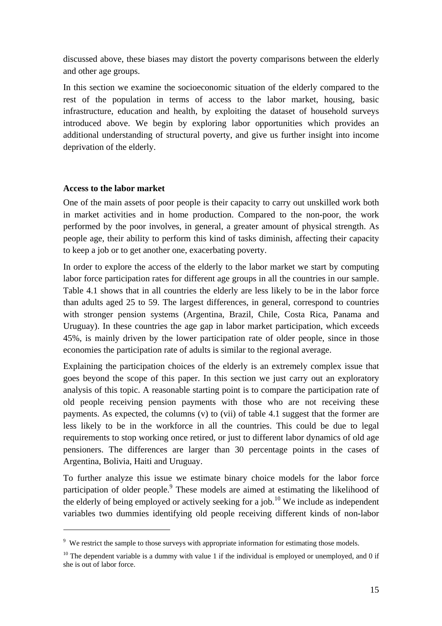discussed above, these biases may distort the poverty comparisons between the elderly and other age groups.

In this section we examine the socioeconomic situation of the elderly compared to the rest of the population in terms of access to the labor market, housing, basic infrastructure, education and health, by exploiting the dataset of household surveys introduced above. We begin by exploring labor opportunities which provides an additional understanding of structural poverty, and give us further insight into income deprivation of the elderly.

#### **Access to the labor market**

 $\overline{a}$ 

One of the main assets of poor people is their capacity to carry out unskilled work both in market activities and in home production. Compared to the non-poor, the work performed by the poor involves, in general, a greater amount of physical strength. As people age, their ability to perform this kind of tasks diminish, affecting their capacity to keep a job or to get another one, exacerbating poverty.

In order to explore the access of the elderly to the labor market we start by computing labor force participation rates for different age groups in all the countries in our sample. Table 4.1 shows that in all countries the elderly are less likely to be in the labor force than adults aged 25 to 59. The largest differences, in general, correspond to countries with stronger pension systems (Argentina, Brazil, Chile, Costa Rica, Panama and Uruguay). In these countries the age gap in labor market participation, which exceeds 45%, is mainly driven by the lower participation rate of older people, since in those economies the participation rate of adults is similar to the regional average.

Explaining the participation choices of the elderly is an extremely complex issue that goes beyond the scope of this paper. In this section we just carry out an exploratory analysis of this topic. A reasonable starting point is to compare the participation rate of old people receiving pension payments with those who are not receiving these payments. As expected, the columns (v) to (vii) of table 4.1 suggest that the former are less likely to be in the workforce in all the countries. This could be due to legal requirements to stop working once retired, or just to different labor dynamics of old age pensioners. The differences are larger than 30 percentage points in the cases of Argentina, Bolivia, Haiti and Uruguay.

To further analyze this issue we estimate binary choice models for the labor force participation of older people.<sup>9</sup> These models are aimed at estimating the likelihood of the elderly of being employed or actively seeking for a job.<sup>10</sup> We include as independent variables two dummies identifying old people receiving different kinds of non-labor

<sup>&</sup>lt;sup>9</sup> We restrict the sample to those surveys with appropriate information for estimating those models.

 $10$  The dependent variable is a dummy with value 1 if the individual is employed or unemployed, and 0 if she is out of labor force.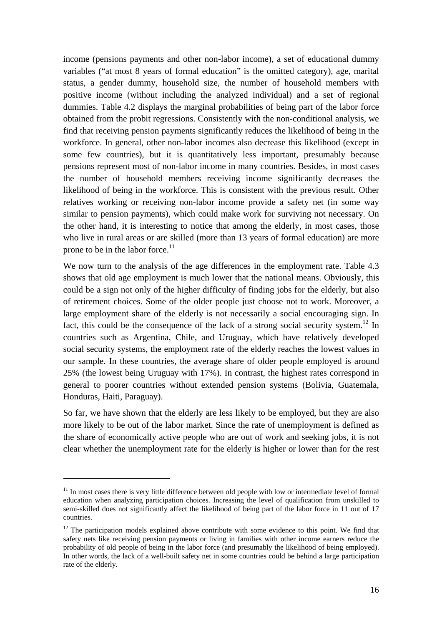income (pensions payments and other non-labor income), a set of educational dummy variables ("at most 8 years of formal education" is the omitted category), age, marital status, a gender dummy, household size, the number of household members with positive income (without including the analyzed individual) and a set of regional dummies. Table 4.2 displays the marginal probabilities of being part of the labor force obtained from the probit regressions. Consistently with the non-conditional analysis, we find that receiving pension payments significantly reduces the likelihood of being in the workforce. In general, other non-labor incomes also decrease this likelihood (except in some few countries), but it is quantitatively less important, presumably because pensions represent most of non-labor income in many countries. Besides, in most cases the number of household members receiving income significantly decreases the likelihood of being in the workforce. This is consistent with the previous result. Other relatives working or receiving non-labor income provide a safety net (in some way similar to pension payments), which could make work for surviving not necessary. On the other hand, it is interesting to notice that among the elderly, in most cases, those who live in rural areas or are skilled (more than 13 years of formal education) are more prone to be in the labor force.<sup>11</sup>

We now turn to the analysis of the age differences in the employment rate. Table 4.3 shows that old age employment is much lower that the national means. Obviously, this could be a sign not only of the higher difficulty of finding jobs for the elderly, but also of retirement choices. Some of the older people just choose not to work. Moreover, a large employment share of the elderly is not necessarily a social encouraging sign. In fact, this could be the consequence of the lack of a strong social security system.<sup>12</sup> In countries such as Argentina, Chile, and Uruguay, which have relatively developed social security systems, the employment rate of the elderly reaches the lowest values in our sample. In these countries, the average share of older people employed is around 25% (the lowest being Uruguay with 17%). In contrast, the highest rates correspond in general to poorer countries without extended pension systems (Bolivia, Guatemala, Honduras, Haiti, Paraguay).

So far, we have shown that the elderly are less likely to be employed, but they are also more likely to be out of the labor market. Since the rate of unemployment is defined as the share of economically active people who are out of work and seeking jobs, it is not clear whether the unemployment rate for the elderly is higher or lower than for the rest

 $11$  In most cases there is very little difference between old people with low or intermediate level of formal education when analyzing participation choices. Increasing the level of qualification from unskilled to semi-skilled does not significantly affect the likelihood of being part of the labor force in 11 out of 17 countries.

 $12$  The participation models explained above contribute with some evidence to this point. We find that safety nets like receiving pension payments or living in families with other income earners reduce the probability of old people of being in the labor force (and presumably the likelihood of being employed). In other words, the lack of a well-built safety net in some countries could be behind a large participation rate of the elderly.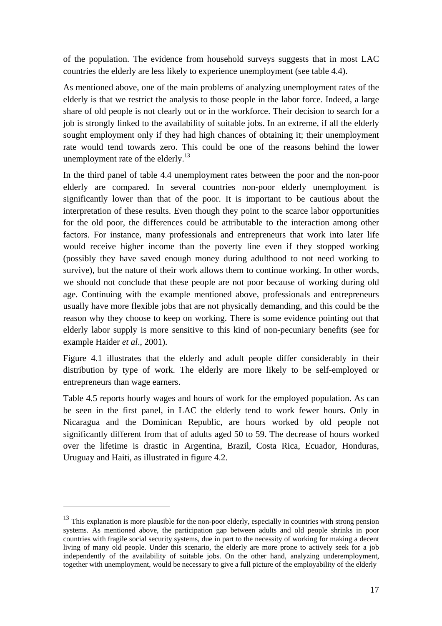of the population. The evidence from household surveys suggests that in most LAC countries the elderly are less likely to experience unemployment (see table 4.4).

As mentioned above, one of the main problems of analyzing unemployment rates of the elderly is that we restrict the analysis to those people in the labor force. Indeed, a large share of old people is not clearly out or in the workforce. Their decision to search for a job is strongly linked to the availability of suitable jobs. In an extreme, if all the elderly sought employment only if they had high chances of obtaining it; their unemployment rate would tend towards zero. This could be one of the reasons behind the lower unemployment rate of the elderly. $^{13}$ 

In the third panel of table 4.4 unemployment rates between the poor and the non-poor elderly are compared. In several countries non-poor elderly unemployment is significantly lower than that of the poor. It is important to be cautious about the interpretation of these results. Even though they point to the scarce labor opportunities for the old poor, the differences could be attributable to the interaction among other factors. For instance, many professionals and entrepreneurs that work into later life would receive higher income than the poverty line even if they stopped working (possibly they have saved enough money during adulthood to not need working to survive), but the nature of their work allows them to continue working. In other words, we should not conclude that these people are not poor because of working during old age. Continuing with the example mentioned above, professionals and entrepreneurs usually have more flexible jobs that are not physically demanding, and this could be the reason why they choose to keep on working. There is some evidence pointing out that elderly labor supply is more sensitive to this kind of non-pecuniary benefits (see for example Haider *et al*., 2001).

Figure 4.1 illustrates that the elderly and adult people differ considerably in their distribution by type of work. The elderly are more likely to be self-employed or entrepreneurs than wage earners.

Table 4.5 reports hourly wages and hours of work for the employed population. As can be seen in the first panel, in LAC the elderly tend to work fewer hours. Only in Nicaragua and the Dominican Republic, are hours worked by old people not significantly different from that of adults aged 50 to 59. The decrease of hours worked over the lifetime is drastic in Argentina, Brazil, Costa Rica, Ecuador, Honduras, Uruguay and Haiti, as illustrated in figure 4.2.

 $13$  This explanation is more plausible for the non-poor elderly, especially in countries with strong pension systems. As mentioned above, the participation gap between adults and old people shrinks in poor countries with fragile social security systems, due in part to the necessity of working for making a decent living of many old people. Under this scenario, the elderly are more prone to actively seek for a job independently of the availability of suitable jobs. On the other hand, analyzing underemployment, together with unemployment, would be necessary to give a full picture of the employability of the elderly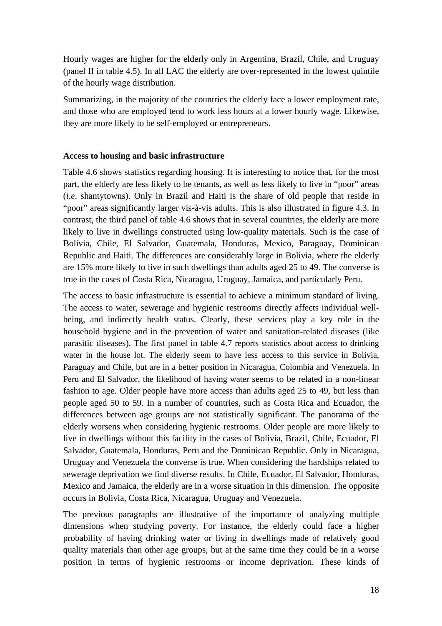Hourly wages are higher for the elderly only in Argentina, Brazil, Chile, and Uruguay (panel II in table 4.5). In all LAC the elderly are over-represented in the lowest quintile of the hourly wage distribution.

Summarizing, in the majority of the countries the elderly face a lower employment rate, and those who are employed tend to work less hours at a lower hourly wage. Likewise, they are more likely to be self-employed or entrepreneurs.

#### **Access to housing and basic infrastructure**

Table 4.6 shows statistics regarding housing. It is interesting to notice that, for the most part, the elderly are less likely to be tenants, as well as less likely to live in "poor" areas (*i*.*e*. shantytowns). Only in Brazil and Haiti is the share of old people that reside in "poor" areas significantly larger vis-à-vis adults. This is also illustrated in figure 4.3. In contrast, the third panel of table 4.6 shows that in several countries, the elderly are more likely to live in dwellings constructed using low-quality materials. Such is the case of Bolivia, Chile, El Salvador, Guatemala, Honduras, Mexico, Paraguay, Dominican Republic and Haiti. The differences are considerably large in Bolivia, where the elderly are 15% more likely to live in such dwellings than adults aged 25 to 49. The converse is true in the cases of Costa Rica, Nicaragua, Uruguay, Jamaica, and particularly Peru.

The access to basic infrastructure is essential to achieve a minimum standard of living. The access to water, sewerage and hygienic restrooms directly affects individual wellbeing, and indirectly health status. Clearly, these services play a key role in the household hygiene and in the prevention of water and sanitation-related diseases (like parasitic diseases). The first panel in table 4.7 reports statistics about access to drinking water in the house lot. The elderly seem to have less access to this service in Bolivia, Paraguay and Chile, but are in a better position in Nicaragua, Colombia and Venezuela. In Peru and El Salvador, the likelihood of having water seems to be related in a non-linear fashion to age. Older people have more access than adults aged 25 to 49, but less than people aged 50 to 59. In a number of countries, such as Costa Rica and Ecuador, the differences between age groups are not statistically significant. The panorama of the elderly worsens when considering hygienic restrooms. Older people are more likely to live in dwellings without this facility in the cases of Bolivia, Brazil, Chile, Ecuador, El Salvador, Guatemala, Honduras, Peru and the Dominican Republic. Only in Nicaragua, Uruguay and Venezuela the converse is true. When considering the hardships related to sewerage deprivation we find diverse results. In Chile, Ecuador, El Salvador, Honduras, Mexico and Jamaica, the elderly are in a worse situation in this dimension. The opposite occurs in Bolivia, Costa Rica, Nicaragua, Uruguay and Venezuela.

The previous paragraphs are illustrative of the importance of analyzing multiple dimensions when studying poverty. For instance, the elderly could face a higher probability of having drinking water or living in dwellings made of relatively good quality materials than other age groups, but at the same time they could be in a worse position in terms of hygienic restrooms or income deprivation. These kinds of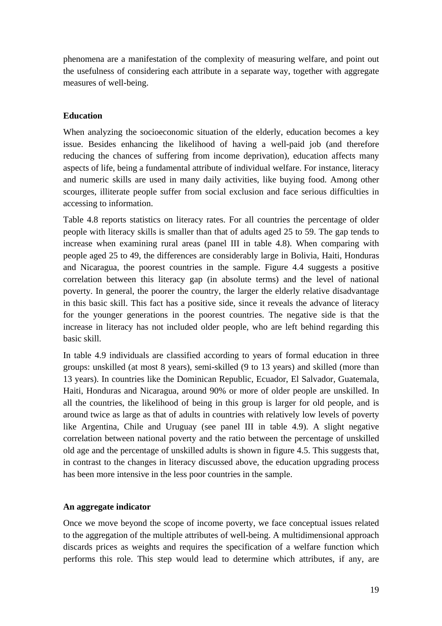phenomena are a manifestation of the complexity of measuring welfare, and point out the usefulness of considering each attribute in a separate way, together with aggregate measures of well-being.

#### **Education**

When analyzing the socioeconomic situation of the elderly, education becomes a key issue. Besides enhancing the likelihood of having a well-paid job (and therefore reducing the chances of suffering from income deprivation), education affects many aspects of life, being a fundamental attribute of individual welfare. For instance, literacy and numeric skills are used in many daily activities, like buying food. Among other scourges, illiterate people suffer from social exclusion and face serious difficulties in accessing to information.

Table 4.8 reports statistics on literacy rates. For all countries the percentage of older people with literacy skills is smaller than that of adults aged 25 to 59. The gap tends to increase when examining rural areas (panel III in table 4.8). When comparing with people aged 25 to 49, the differences are considerably large in Bolivia, Haiti, Honduras and Nicaragua, the poorest countries in the sample. Figure 4.4 suggests a positive correlation between this literacy gap (in absolute terms) and the level of national poverty. In general, the poorer the country, the larger the elderly relative disadvantage in this basic skill. This fact has a positive side, since it reveals the advance of literacy for the younger generations in the poorest countries. The negative side is that the increase in literacy has not included older people, who are left behind regarding this basic skill.

In table 4.9 individuals are classified according to years of formal education in three groups: unskilled (at most 8 years), semi-skilled (9 to 13 years) and skilled (more than 13 years). In countries like the Dominican Republic, Ecuador, El Salvador, Guatemala, Haiti, Honduras and Nicaragua, around 90% or more of older people are unskilled. In all the countries, the likelihood of being in this group is larger for old people, and is around twice as large as that of adults in countries with relatively low levels of poverty like Argentina, Chile and Uruguay (see panel III in table 4.9). A slight negative correlation between national poverty and the ratio between the percentage of unskilled old age and the percentage of unskilled adults is shown in figure 4.5. This suggests that, in contrast to the changes in literacy discussed above, the education upgrading process has been more intensive in the less poor countries in the sample.

#### **An aggregate indicator**

Once we move beyond the scope of income poverty, we face conceptual issues related to the aggregation of the multiple attributes of well-being. A multidimensional approach discards prices as weights and requires the specification of a welfare function which performs this role. This step would lead to determine which attributes, if any, are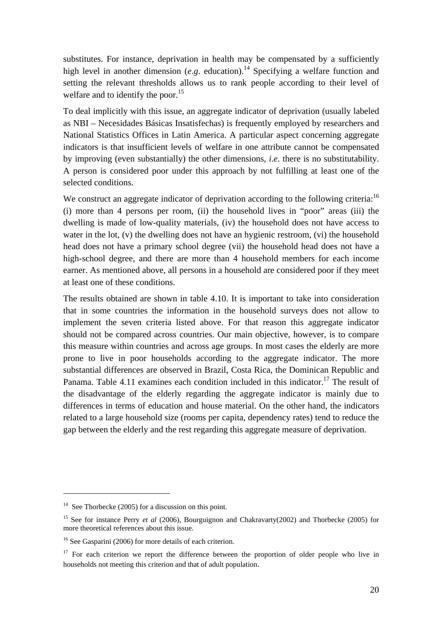substitutes. For instance, deprivation in health may be compensated by a sufficiently high level in another dimension (*e.g.* education).<sup>14</sup> Specifying a welfare function and setting the relevant thresholds allows us to rank people according to their level of welfare and to identify the poor.<sup>15</sup>

To deal implicitly with this issue, an aggregate indicator of deprivation (usually labeled as NBI – Necesidades Básicas Insatisfechas) is frequently employed by researchers and National Statistics Offices in Latin America. A particular aspect concerning aggregate indicators is that insufficient levels of welfare in one attribute cannot be compensated by improving (even substantially) the other dimensions, *i*.*e*. there is no substitutability. A person is considered poor under this approach by not fulfilling at least one of the selected conditions.

We construct an aggregate indicator of deprivation according to the following criteria:<sup>16</sup> (i) more than 4 persons per room, (ii) the household lives in "poor" areas (iii) the dwelling is made of low-quality materials, (iv) the household does not have access to water in the lot, (v) the dwelling does not have an hygienic restroom, (vi) the household head does not have a primary school degree (vii) the household head does not have a high-school degree, and there are more than 4 household members for each income earner. As mentioned above, all persons in a household are considered poor if they meet at least one of these conditions.

The results obtained are shown in table 4.10. It is important to take into consideration that in some countries the information in the household surveys does not allow to implement the seven criteria listed above. For that reason this aggregate indicator should not be compared across countries. Our main objective, however, is to compare this measure within countries and across age groups. In most cases the elderly are more prone to live in poor households according to the aggregate indicator. The more substantial differences are observed in Brazil, Costa Rica, the Dominican Republic and Panama. Table 4.11 examines each condition included in this indicator.<sup>17</sup> The result of the disadvantage of the elderly regarding the aggregate indicator is mainly due to differences in terms of education and house material. On the other hand, the indicators related to a large household size (rooms per capita, dependency rates) tend to reduce the gap between the elderly and the rest regarding this aggregate measure of deprivation.

 $14$  See Thorbecke (2005) for a discussion on this point.

<sup>&</sup>lt;sup>15</sup> See for instance Perry *et al* (2006), Bourguignon and Chakravarty(2002) and Thorbecke (2005) for more theoretical references about this issue.

<sup>&</sup>lt;sup>16</sup> See Gasparini (2006) for more details of each criterion.

<sup>&</sup>lt;sup>17</sup> For each criterion we report the difference between the proportion of older people who live in households not meeting this criterion and that of adult population.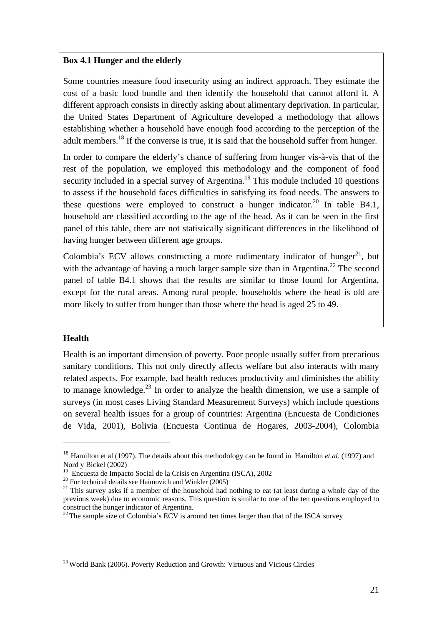#### **Box 4.1 Hunger and the elderly**

Some countries measure food insecurity using an indirect approach. They estimate the cost of a basic food bundle and then identify the household that cannot afford it. A different approach consists in directly asking about alimentary deprivation. In particular, the United States Department of Agriculture developed a methodology that allows establishing whether a household have enough food according to the perception of the adult members.<sup>18</sup> If the converse is true, it is said that the household suffer from hunger.

In order to compare the elderly's chance of suffering from hunger vis-à-vis that of the rest of the population, we employed this methodology and the component of food security included in a special survey of Argentina.<sup>19</sup> This module included 10 questions to assess if the household faces difficulties in satisfying its food needs. The answers to these questions were employed to construct a hunger indicator.<sup>20</sup> In table B4.1, household are classified according to the age of the head. As it can be seen in the first panel of this table, there are not statistically significant differences in the likelihood of having hunger between different age groups.

Colombia's ECV allows constructing a more rudimentary indicator of hunger<sup>21</sup>, but with the advantage of having a much larger sample size than in Argentina.<sup>22</sup> The second panel of table B4.1 shows that the results are similar to those found for Argentina, except for the rural areas. Among rural people, households where the head is old are more likely to suffer from hunger than those where the head is aged 25 to 49.

#### **Health**

 $\overline{a}$ 

Health is an important dimension of poverty. Poor people usually suffer from precarious sanitary conditions. This not only directly affects welfare but also interacts with many related aspects. For example, bad health reduces productivity and diminishes the ability to manage knowledge.<sup>23</sup> In order to analyze the health dimension, we use a sample of surveys (in most cases Living Standard Measurement Surveys) which include questions on several health issues for a group of countries: Argentina (Encuesta de Condiciones de Vida, 2001), Bolivia (Encuesta Continua de Hogares, 2003-2004), Colombia

<sup>&</sup>lt;sup>18</sup> Hamilton et al (1997). The details about this methodology can be found in Hamilton *et al.* (1997) and Nord y Bickel (2002)<br><sup>19</sup> Encuesta de Impacto Social de la Crisis en Argentina (ISCA), 2002

 $^{20}$  For technical details see Haimovich and Winkler (2005)<br><sup>21</sup> This survey asks if a member of the household had nothing to eat (at least during a whole day of the previous week) due to economic reasons. This question is similar to one of the ten questions employed to construct the hunger indicator of Argentina.

 $22$  The sample size of Colombia's ECV is around ten times larger than that of the ISCA survey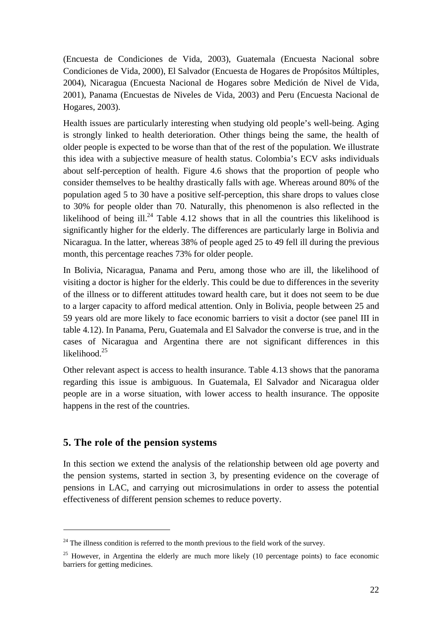(Encuesta de Condiciones de Vida, 2003), Guatemala (Encuesta Nacional sobre Condiciones de Vida, 2000), El Salvador (Encuesta de Hogares de Propósitos Múltiples, 2004), Nicaragua (Encuesta Nacional de Hogares sobre Medición de Nivel de Vida, 2001), Panama (Encuestas de Niveles de Vida, 2003) and Peru (Encuesta Nacional de Hogares, 2003).

Health issues are particularly interesting when studying old people's well-being. Aging is strongly linked to health deterioration. Other things being the same, the health of older people is expected to be worse than that of the rest of the population. We illustrate this idea with a subjective measure of health status. Colombia's ECV asks individuals about self-perception of health. Figure 4.6 shows that the proportion of people who consider themselves to be healthy drastically falls with age. Whereas around 80% of the population aged 5 to 30 have a positive self-perception, this share drops to values close to 30% for people older than 70. Naturally, this phenomenon is also reflected in the likelihood of being ill.<sup>24</sup> Table 4.12 shows that in all the countries this likelihood is significantly higher for the elderly. The differences are particularly large in Bolivia and Nicaragua. In the latter, whereas 38% of people aged 25 to 49 fell ill during the previous month, this percentage reaches 73% for older people.

In Bolivia, Nicaragua, Panama and Peru, among those who are ill, the likelihood of visiting a doctor is higher for the elderly. This could be due to differences in the severity of the illness or to different attitudes toward health care, but it does not seem to be due to a larger capacity to afford medical attention. Only in Bolivia, people between 25 and 59 years old are more likely to face economic barriers to visit a doctor (see panel III in table 4.12). In Panama, Peru, Guatemala and El Salvador the converse is true, and in the cases of Nicaragua and Argentina there are not significant differences in this likelihood.<sup>25</sup>

Other relevant aspect is access to health insurance. Table 4.13 shows that the panorama regarding this issue is ambiguous. In Guatemala, El Salvador and Nicaragua older people are in a worse situation, with lower access to health insurance. The opposite happens in the rest of the countries.

## **5. The role of the pension systems**

 $\overline{a}$ 

In this section we extend the analysis of the relationship between old age poverty and the pension systems, started in section 3, by presenting evidence on the coverage of pensions in LAC, and carrying out microsimulations in order to assess the potential effectiveness of different pension schemes to reduce poverty.

<sup>&</sup>lt;sup>24</sup> The illness condition is referred to the month previous to the field work of the survey.

<sup>&</sup>lt;sup>25</sup> However, in Argentina the elderly are much more likely (10 percentage points) to face economic barriers for getting medicines.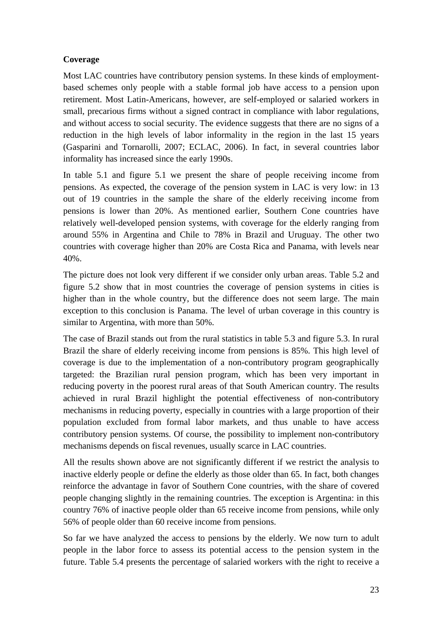## **Coverage**

Most LAC countries have contributory pension systems. In these kinds of employmentbased schemes only people with a stable formal job have access to a pension upon retirement. Most Latin-Americans, however, are self-employed or salaried workers in small, precarious firms without a signed contract in compliance with labor regulations, and without access to social security. The evidence suggests that there are no signs of a reduction in the high levels of labor informality in the region in the last 15 years (Gasparini and Tornarolli, 2007; ECLAC, 2006). In fact, in several countries labor informality has increased since the early 1990s.

In table 5.1 and figure 5.1 we present the share of people receiving income from pensions. As expected, the coverage of the pension system in LAC is very low: in 13 out of 19 countries in the sample the share of the elderly receiving income from pensions is lower than 20%. As mentioned earlier, Southern Cone countries have relatively well-developed pension systems, with coverage for the elderly ranging from around 55% in Argentina and Chile to 78% in Brazil and Uruguay. The other two countries with coverage higher than 20% are Costa Rica and Panama, with levels near 40%.

The picture does not look very different if we consider only urban areas. Table 5.2 and figure 5.2 show that in most countries the coverage of pension systems in cities is higher than in the whole country, but the difference does not seem large. The main exception to this conclusion is Panama. The level of urban coverage in this country is similar to Argentina, with more than 50%.

The case of Brazil stands out from the rural statistics in table 5.3 and figure 5.3. In rural Brazil the share of elderly receiving income from pensions is 85%. This high level of coverage is due to the implementation of a non-contributory program geographically targeted: the Brazilian rural pension program, which has been very important in reducing poverty in the poorest rural areas of that South American country. The results achieved in rural Brazil highlight the potential effectiveness of non-contributory mechanisms in reducing poverty, especially in countries with a large proportion of their population excluded from formal labor markets, and thus unable to have access contributory pension systems. Of course, the possibility to implement non-contributory mechanisms depends on fiscal revenues, usually scarce in LAC countries.

All the results shown above are not significantly different if we restrict the analysis to inactive elderly people or define the elderly as those older than 65. In fact, both changes reinforce the advantage in favor of Southern Cone countries, with the share of covered people changing slightly in the remaining countries. The exception is Argentina: in this country 76% of inactive people older than 65 receive income from pensions, while only 56% of people older than 60 receive income from pensions.

So far we have analyzed the access to pensions by the elderly. We now turn to adult people in the labor force to assess its potential access to the pension system in the future. Table 5.4 presents the percentage of salaried workers with the right to receive a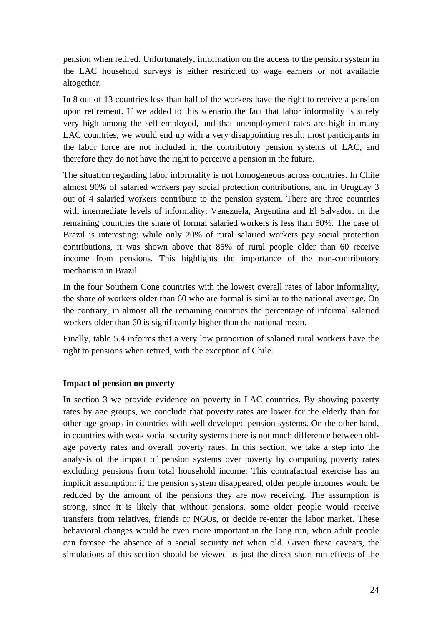pension when retired. Unfortunately, information on the access to the pension system in the LAC household surveys is either restricted to wage earners or not available altogether.

In 8 out of 13 countries less than half of the workers have the right to receive a pension upon retirement. If we added to this scenario the fact that labor informality is surely very high among the self-employed, and that unemployment rates are high in many LAC countries, we would end up with a very disappointing result: most participants in the labor force are not included in the contributory pension systems of LAC, and therefore they do not have the right to perceive a pension in the future.

The situation regarding labor informality is not homogeneous across countries. In Chile almost 90% of salaried workers pay social protection contributions, and in Uruguay 3 out of 4 salaried workers contribute to the pension system. There are three countries with intermediate levels of informality: Venezuela, Argentina and El Salvador. In the remaining countries the share of formal salaried workers is less than 50%. The case of Brazil is interesting: while only 20% of rural salaried workers pay social protection contributions, it was shown above that 85% of rural people older than 60 receive income from pensions. This highlights the importance of the non-contributory mechanism in Brazil.

In the four Southern Cone countries with the lowest overall rates of labor informality, the share of workers older than 60 who are formal is similar to the national average. On the contrary, in almost all the remaining countries the percentage of informal salaried workers older than 60 is significantly higher than the national mean.

Finally, table 5.4 informs that a very low proportion of salaried rural workers have the right to pensions when retired, with the exception of Chile.

#### **Impact of pension on poverty**

In section 3 we provide evidence on poverty in LAC countries. By showing poverty rates by age groups, we conclude that poverty rates are lower for the elderly than for other age groups in countries with well-developed pension systems. On the other hand, in countries with weak social security systems there is not much difference between oldage poverty rates and overall poverty rates. In this section, we take a step into the analysis of the impact of pension systems over poverty by computing poverty rates excluding pensions from total household income. This contrafactual exercise has an implicit assumption: if the pension system disappeared, older people incomes would be reduced by the amount of the pensions they are now receiving. The assumption is strong, since it is likely that without pensions, some older people would receive transfers from relatives, friends or NGOs, or decide re-enter the labor market. These behavioral changes would be even more important in the long run, when adult people can foresee the absence of a social security net when old. Given these caveats, the simulations of this section should be viewed as just the direct short-run effects of the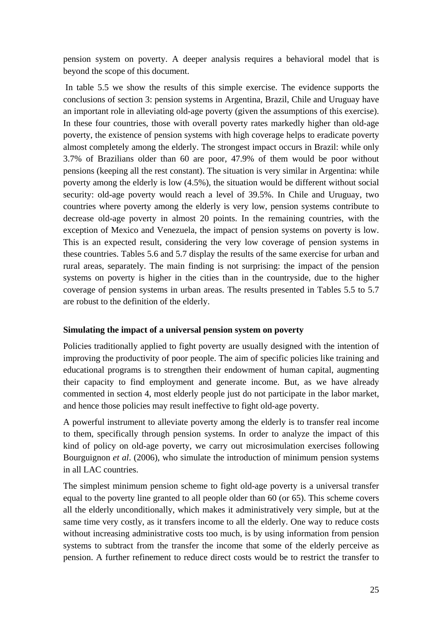pension system on poverty. A deeper analysis requires a behavioral model that is beyond the scope of this document.

 In table 5.5 we show the results of this simple exercise. The evidence supports the conclusions of section 3: pension systems in Argentina, Brazil, Chile and Uruguay have an important role in alleviating old-age poverty (given the assumptions of this exercise). In these four countries, those with overall poverty rates markedly higher than old-age poverty, the existence of pension systems with high coverage helps to eradicate poverty almost completely among the elderly. The strongest impact occurs in Brazil: while only 3.7% of Brazilians older than 60 are poor, 47.9% of them would be poor without pensions (keeping all the rest constant). The situation is very similar in Argentina: while poverty among the elderly is low (4.5%), the situation would be different without social security: old-age poverty would reach a level of 39.5%. In Chile and Uruguay, two countries where poverty among the elderly is very low, pension systems contribute to decrease old-age poverty in almost 20 points. In the remaining countries, with the exception of Mexico and Venezuela, the impact of pension systems on poverty is low. This is an expected result, considering the very low coverage of pension systems in these countries. Tables 5.6 and 5.7 display the results of the same exercise for urban and rural areas, separately. The main finding is not surprising: the impact of the pension systems on poverty is higher in the cities than in the countryside, due to the higher coverage of pension systems in urban areas. The results presented in Tables 5.5 to 5.7 are robust to the definition of the elderly.

#### **Simulating the impact of a universal pension system on poverty**

Policies traditionally applied to fight poverty are usually designed with the intention of improving the productivity of poor people. The aim of specific policies like training and educational programs is to strengthen their endowment of human capital, augmenting their capacity to find employment and generate income. But, as we have already commented in section 4, most elderly people just do not participate in the labor market, and hence those policies may result ineffective to fight old-age poverty.

A powerful instrument to alleviate poverty among the elderly is to transfer real income to them, specifically through pension systems. In order to analyze the impact of this kind of policy on old-age poverty, we carry out microsimulation exercises following Bourguignon *et al*. (2006), who simulate the introduction of minimum pension systems in all LAC countries.

The simplest minimum pension scheme to fight old-age poverty is a universal transfer equal to the poverty line granted to all people older than 60 (or 65). This scheme covers all the elderly unconditionally, which makes it administratively very simple, but at the same time very costly, as it transfers income to all the elderly. One way to reduce costs without increasing administrative costs too much, is by using information from pension systems to subtract from the transfer the income that some of the elderly perceive as pension. A further refinement to reduce direct costs would be to restrict the transfer to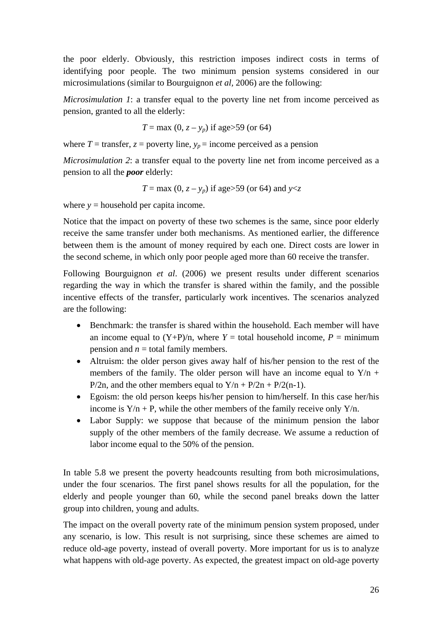the poor elderly. Obviously, this restriction imposes indirect costs in terms of identifying poor people. The two minimum pension systems considered in our microsimulations (similar to Bourguignon *et al,* 2006) are the following:

*Microsimulation 1*: a transfer equal to the poverty line net from income perceived as pension, granted to all the elderly:

$$
T = \max(0, z - y_p)
$$
 if age>59 (or 64)

where  $T =$  transfer,  $z =$  poverty line,  $y_p =$  income perceived as a pension

*Microsimulation 2*: a transfer equal to the poverty line net from income perceived as a pension to all the *poor* elderly:

$$
T = \max(0, z - y_p)
$$
 if age>59 (or 64) and y

where  $y =$  household per capita income.

Notice that the impact on poverty of these two schemes is the same, since poor elderly receive the same transfer under both mechanisms. As mentioned earlier, the difference between them is the amount of money required by each one. Direct costs are lower in the second scheme, in which only poor people aged more than 60 receive the transfer.

Following Bourguignon *et al*. (2006) we present results under different scenarios regarding the way in which the transfer is shared within the family, and the possible incentive effects of the transfer, particularly work incentives. The scenarios analyzed are the following:

- Benchmark: the transfer is shared within the household. Each member will have an income equal to  $(Y+P)/n$ , where  $Y =$  total household income,  $P =$  minimum pension and  $n =$  total family members.
- Altruism: the older person gives away half of his/her pension to the rest of the members of the family. The older person will have an income equal to  $Y/n +$ P/2n, and the other members equal to  $Y/n + P/2n + P/2(n-1)$ .
- Egoism: the old person keeps his/her pension to him/herself. In this case her/his income is  $Y/n + P$ , while the other members of the family receive only  $Y/n$ .
- Labor Supply: we suppose that because of the minimum pension the labor supply of the other members of the family decrease. We assume a reduction of labor income equal to the 50% of the pension.

In table 5.8 we present the poverty headcounts resulting from both microsimulations, under the four scenarios. The first panel shows results for all the population, for the elderly and people younger than 60, while the second panel breaks down the latter group into children, young and adults.

The impact on the overall poverty rate of the minimum pension system proposed, under any scenario, is low. This result is not surprising, since these schemes are aimed to reduce old-age poverty, instead of overall poverty. More important for us is to analyze what happens with old-age poverty. As expected, the greatest impact on old-age poverty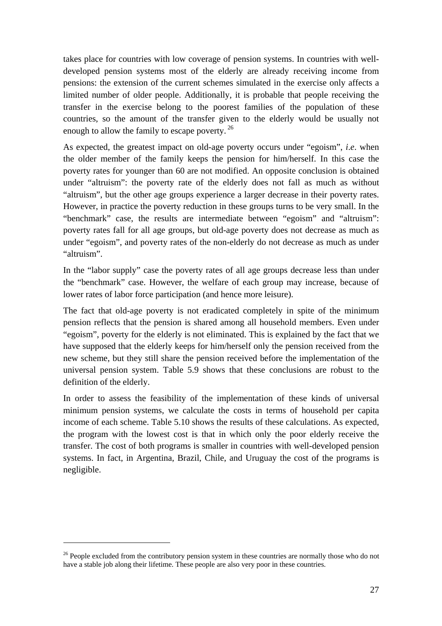takes place for countries with low coverage of pension systems. In countries with welldeveloped pension systems most of the elderly are already receiving income from pensions: the extension of the current schemes simulated in the exercise only affects a limited number of older people. Additionally, it is probable that people receiving the transfer in the exercise belong to the poorest families of the population of these countries, so the amount of the transfer given to the elderly would be usually not enough to allow the family to escape poverty.<sup>26</sup>

As expected, the greatest impact on old-age poverty occurs under "egoism", *i*.*e*. when the older member of the family keeps the pension for him/herself. In this case the poverty rates for younger than 60 are not modified. An opposite conclusion is obtained under "altruism": the poverty rate of the elderly does not fall as much as without "altruism", but the other age groups experience a larger decrease in their poverty rates. However, in practice the poverty reduction in these groups turns to be very small. In the "benchmark" case, the results are intermediate between "egoism" and "altruism": poverty rates fall for all age groups, but old-age poverty does not decrease as much as under "egoism", and poverty rates of the non-elderly do not decrease as much as under "altruism".

In the "labor supply" case the poverty rates of all age groups decrease less than under the "benchmark" case. However, the welfare of each group may increase, because of lower rates of labor force participation (and hence more leisure).

The fact that old-age poverty is not eradicated completely in spite of the minimum pension reflects that the pension is shared among all household members. Even under "egoism", poverty for the elderly is not eliminated. This is explained by the fact that we have supposed that the elderly keeps for him/herself only the pension received from the new scheme, but they still share the pension received before the implementation of the universal pension system. Table 5.9 shows that these conclusions are robust to the definition of the elderly.

In order to assess the feasibility of the implementation of these kinds of universal minimum pension systems, we calculate the costs in terms of household per capita income of each scheme. Table 5.10 shows the results of these calculations. As expected, the program with the lowest cost is that in which only the poor elderly receive the transfer. The cost of both programs is smaller in countries with well-developed pension systems. In fact, in Argentina, Brazil, Chile, and Uruguay the cost of the programs is negligible.

 $26$  People excluded from the contributory pension system in these countries are normally those who do not have a stable job along their lifetime. These people are also very poor in these countries.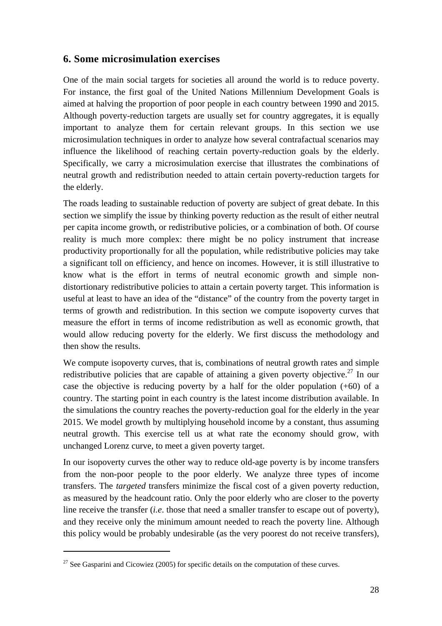## **6. Some microsimulation exercises**

One of the main social targets for societies all around the world is to reduce poverty. For instance, the first goal of the United Nations Millennium Development Goals is aimed at halving the proportion of poor people in each country between 1990 and 2015. Although poverty-reduction targets are usually set for country aggregates, it is equally important to analyze them for certain relevant groups. In this section we use microsimulation techniques in order to analyze how several contrafactual scenarios may influence the likelihood of reaching certain poverty-reduction goals by the elderly. Specifically, we carry a microsimulation exercise that illustrates the combinations of neutral growth and redistribution needed to attain certain poverty-reduction targets for the elderly.

The roads leading to sustainable reduction of poverty are subject of great debate. In this section we simplify the issue by thinking poverty reduction as the result of either neutral per capita income growth, or redistributive policies, or a combination of both. Of course reality is much more complex: there might be no policy instrument that increase productivity proportionally for all the population, while redistributive policies may take a significant toll on efficiency, and hence on incomes. However, it is still illustrative to know what is the effort in terms of neutral economic growth and simple nondistortionary redistributive policies to attain a certain poverty target. This information is useful at least to have an idea of the "distance" of the country from the poverty target in terms of growth and redistribution. In this section we compute isopoverty curves that measure the effort in terms of income redistribution as well as economic growth, that would allow reducing poverty for the elderly. We first discuss the methodology and then show the results.

We compute isopoverty curves, that is, combinations of neutral growth rates and simple redistributive policies that are capable of attaining a given poverty objective.<sup>27</sup> In our case the objective is reducing poverty by a half for the older population  $(+60)$  of a country. The starting point in each country is the latest income distribution available. In the simulations the country reaches the poverty-reduction goal for the elderly in the year 2015. We model growth by multiplying household income by a constant, thus assuming neutral growth. This exercise tell us at what rate the economy should grow, with unchanged Lorenz curve, to meet a given poverty target.

In our isopoverty curves the other way to reduce old-age poverty is by income transfers from the non-poor people to the poor elderly. We analyze three types of income transfers. The *targeted* transfers minimize the fiscal cost of a given poverty reduction, as measured by the headcount ratio. Only the poor elderly who are closer to the poverty line receive the transfer (*i.e*. those that need a smaller transfer to escape out of poverty), and they receive only the minimum amount needed to reach the poverty line. Although this policy would be probably undesirable (as the very poorest do not receive transfers),

 $27$  See Gasparini and Cicowiez (2005) for specific details on the computation of these curves.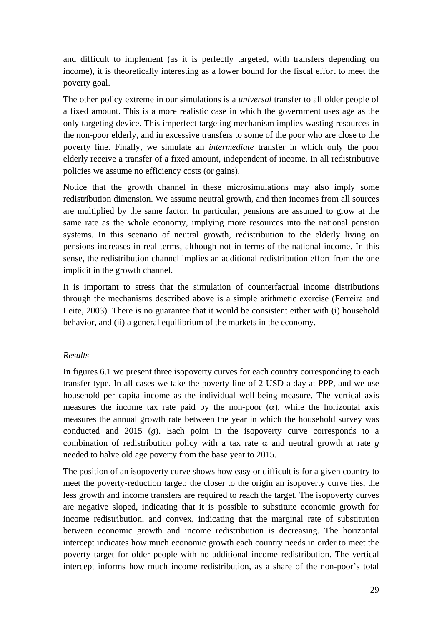and difficult to implement (as it is perfectly targeted, with transfers depending on income), it is theoretically interesting as a lower bound for the fiscal effort to meet the poverty goal.

The other policy extreme in our simulations is a *universal* transfer to all older people of a fixed amount. This is a more realistic case in which the government uses age as the only targeting device. This imperfect targeting mechanism implies wasting resources in the non-poor elderly, and in excessive transfers to some of the poor who are close to the poverty line. Finally, we simulate an *intermediate* transfer in which only the poor elderly receive a transfer of a fixed amount, independent of income. In all redistributive policies we assume no efficiency costs (or gains).

Notice that the growth channel in these microsimulations may also imply some redistribution dimension. We assume neutral growth, and then incomes from all sources are multiplied by the same factor. In particular, pensions are assumed to grow at the same rate as the whole economy, implying more resources into the national pension systems. In this scenario of neutral growth, redistribution to the elderly living on pensions increases in real terms, although not in terms of the national income. In this sense, the redistribution channel implies an additional redistribution effort from the one implicit in the growth channel.

It is important to stress that the simulation of counterfactual income distributions through the mechanisms described above is a simple arithmetic exercise (Ferreira and Leite, 2003). There is no guarantee that it would be consistent either with (i) household behavior, and (ii) a general equilibrium of the markets in the economy.

#### *Results*

In figures 6.1 we present three isopoverty curves for each country corresponding to each transfer type. In all cases we take the poverty line of 2 USD a day at PPP, and we use household per capita income as the individual well-being measure. The vertical axis measures the income tax rate paid by the non-poor  $(\alpha)$ , while the horizontal axis measures the annual growth rate between the year in which the household survey was conducted and 2015 (*g*). Each point in the isopoverty curve corresponds to a combination of redistribution policy with a tax rate  $\alpha$  and neutral growth at rate *g* needed to halve old age poverty from the base year to 2015.

The position of an isopoverty curve shows how easy or difficult is for a given country to meet the poverty-reduction target: the closer to the origin an isopoverty curve lies, the less growth and income transfers are required to reach the target. The isopoverty curves are negative sloped, indicating that it is possible to substitute economic growth for income redistribution, and convex, indicating that the marginal rate of substitution between economic growth and income redistribution is decreasing. The horizontal intercept indicates how much economic growth each country needs in order to meet the poverty target for older people with no additional income redistribution. The vertical intercept informs how much income redistribution, as a share of the non-poor's total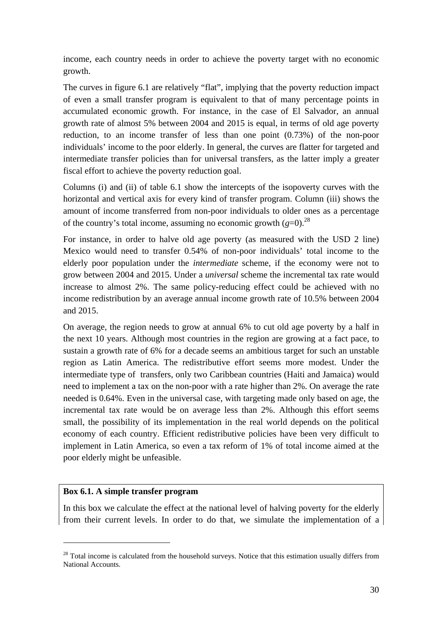income, each country needs in order to achieve the poverty target with no economic growth.

The curves in figure 6.1 are relatively "flat", implying that the poverty reduction impact of even a small transfer program is equivalent to that of many percentage points in accumulated economic growth. For instance, in the case of El Salvador, an annual growth rate of almost 5% between 2004 and 2015 is equal, in terms of old age poverty reduction, to an income transfer of less than one point (0.73%) of the non-poor individuals' income to the poor elderly. In general, the curves are flatter for targeted and intermediate transfer policies than for universal transfers, as the latter imply a greater fiscal effort to achieve the poverty reduction goal.

Columns (i) and (ii) of table 6.1 show the intercepts of the isopoverty curves with the horizontal and vertical axis for every kind of transfer program. Column (iii) shows the amount of income transferred from non-poor individuals to older ones as a percentage of the country's total income, assuming no economic growth  $(g=0)$ <sup>28</sup>

For instance, in order to halve old age poverty (as measured with the USD 2 line) Mexico would need to transfer 0.54% of non-poor individuals' total income to the elderly poor population under the *intermediate* scheme, if the economy were not to grow between 2004 and 2015. Under a *universal* scheme the incremental tax rate would increase to almost 2%. The same policy-reducing effect could be achieved with no income redistribution by an average annual income growth rate of 10.5% between 2004 and 2015.

On average, the region needs to grow at annual 6% to cut old age poverty by a half in the next 10 years. Although most countries in the region are growing at a fact pace, to sustain a growth rate of 6% for a decade seems an ambitious target for such an unstable region as Latin America. The redistributive effort seems more modest. Under the intermediate type of transfers, only two Caribbean countries (Haiti and Jamaica) would need to implement a tax on the non-poor with a rate higher than 2%. On average the rate needed is 0.64%. Even in the universal case, with targeting made only based on age, the incremental tax rate would be on average less than 2%. Although this effort seems small, the possibility of its implementation in the real world depends on the political economy of each country. Efficient redistributive policies have been very difficult to implement in Latin America, so even a tax reform of 1% of total income aimed at the poor elderly might be unfeasible.

#### **Box 6.1. A simple transfer program**

 $\overline{a}$ 

In this box we calculate the effect at the national level of halving poverty for the elderly from their current levels. In order to do that, we simulate the implementation of a

<sup>&</sup>lt;sup>28</sup> Total income is calculated from the household surveys. Notice that this estimation usually differs from National Accounts.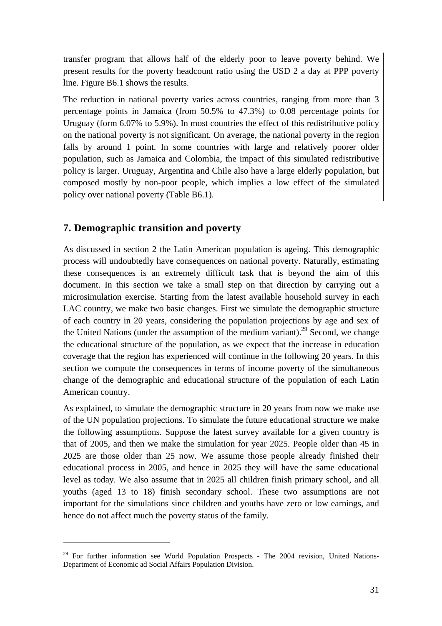transfer program that allows half of the elderly poor to leave poverty behind. We present results for the poverty headcount ratio using the USD 2 a day at PPP poverty line. Figure B6.1 shows the results.

The reduction in national poverty varies across countries, ranging from more than 3 percentage points in Jamaica (from 50.5% to 47.3%) to 0.08 percentage points for Uruguay (form 6.07% to 5.9%). In most countries the effect of this redistributive policy on the national poverty is not significant. On average, the national poverty in the region falls by around 1 point. In some countries with large and relatively poorer older population, such as Jamaica and Colombia, the impact of this simulated redistributive policy is larger. Uruguay, Argentina and Chile also have a large elderly population, but composed mostly by non-poor people, which implies a low effect of the simulated policy over national poverty (Table B6.1).

## **7. Demographic transition and poverty**

 $\overline{a}$ 

As discussed in section 2 the Latin American population is ageing. This demographic process will undoubtedly have consequences on national poverty. Naturally, estimating these consequences is an extremely difficult task that is beyond the aim of this document. In this section we take a small step on that direction by carrying out a microsimulation exercise. Starting from the latest available household survey in each LAC country, we make two basic changes. First we simulate the demographic structure of each country in 20 years, considering the population projections by age and sex of the United Nations (under the assumption of the medium variant).<sup>29</sup> Second, we change the educational structure of the population, as we expect that the increase in education coverage that the region has experienced will continue in the following 20 years. In this section we compute the consequences in terms of income poverty of the simultaneous change of the demographic and educational structure of the population of each Latin American country.

As explained, to simulate the demographic structure in 20 years from now we make use of the UN population projections. To simulate the future educational structure we make the following assumptions. Suppose the latest survey available for a given country is that of 2005, and then we make the simulation for year 2025. People older than 45 in 2025 are those older than 25 now. We assume those people already finished their educational process in 2005, and hence in 2025 they will have the same educational level as today. We also assume that in 2025 all children finish primary school, and all youths (aged 13 to 18) finish secondary school. These two assumptions are not important for the simulations since children and youths have zero or low earnings, and hence do not affect much the poverty status of the family.

 $29$  For further information see World Population Prospects - The 2004 revision, United Nations-Department of Economic ad Social Affairs Population Division.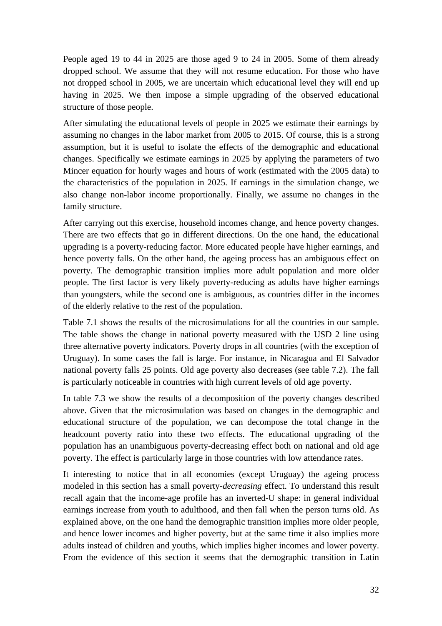People aged 19 to 44 in 2025 are those aged 9 to 24 in 2005. Some of them already dropped school. We assume that they will not resume education. For those who have not dropped school in 2005, we are uncertain which educational level they will end up having in 2025. We then impose a simple upgrading of the observed educational structure of those people.

After simulating the educational levels of people in 2025 we estimate their earnings by assuming no changes in the labor market from 2005 to 2015. Of course, this is a strong assumption, but it is useful to isolate the effects of the demographic and educational changes. Specifically we estimate earnings in 2025 by applying the parameters of two Mincer equation for hourly wages and hours of work (estimated with the 2005 data) to the characteristics of the population in 2025. If earnings in the simulation change, we also change non-labor income proportionally. Finally, we assume no changes in the family structure.

After carrying out this exercise, household incomes change, and hence poverty changes. There are two effects that go in different directions. On the one hand, the educational upgrading is a poverty-reducing factor. More educated people have higher earnings, and hence poverty falls. On the other hand, the ageing process has an ambiguous effect on poverty. The demographic transition implies more adult population and more older people. The first factor is very likely poverty-reducing as adults have higher earnings than youngsters, while the second one is ambiguous, as countries differ in the incomes of the elderly relative to the rest of the population.

Table 7.1 shows the results of the microsimulations for all the countries in our sample. The table shows the change in national poverty measured with the USD 2 line using three alternative poverty indicators. Poverty drops in all countries (with the exception of Uruguay). In some cases the fall is large. For instance, in Nicaragua and El Salvador national poverty falls 25 points. Old age poverty also decreases (see table 7.2). The fall is particularly noticeable in countries with high current levels of old age poverty.

In table 7.3 we show the results of a decomposition of the poverty changes described above. Given that the microsimulation was based on changes in the demographic and educational structure of the population, we can decompose the total change in the headcount poverty ratio into these two effects. The educational upgrading of the population has an unambiguous poverty-decreasing effect both on national and old age poverty. The effect is particularly large in those countries with low attendance rates.

It interesting to notice that in all economies (except Uruguay) the ageing process modeled in this section has a small poverty-*decreasing* effect. To understand this result recall again that the income-age profile has an inverted-U shape: in general individual earnings increase from youth to adulthood, and then fall when the person turns old. As explained above, on the one hand the demographic transition implies more older people, and hence lower incomes and higher poverty, but at the same time it also implies more adults instead of children and youths, which implies higher incomes and lower poverty. From the evidence of this section it seems that the demographic transition in Latin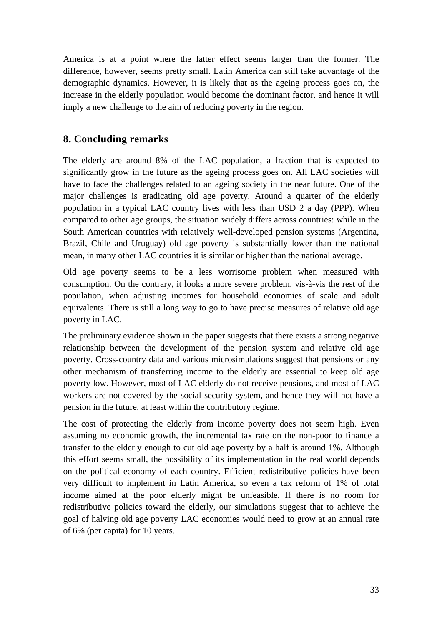America is at a point where the latter effect seems larger than the former. The difference, however, seems pretty small. Latin America can still take advantage of the demographic dynamics. However, it is likely that as the ageing process goes on, the increase in the elderly population would become the dominant factor, and hence it will imply a new challenge to the aim of reducing poverty in the region.

## **8. Concluding remarks**

The elderly are around 8% of the LAC population, a fraction that is expected to significantly grow in the future as the ageing process goes on. All LAC societies will have to face the challenges related to an ageing society in the near future. One of the major challenges is eradicating old age poverty. Around a quarter of the elderly population in a typical LAC country lives with less than USD 2 a day (PPP). When compared to other age groups, the situation widely differs across countries: while in the South American countries with relatively well-developed pension systems (Argentina, Brazil, Chile and Uruguay) old age poverty is substantially lower than the national mean, in many other LAC countries it is similar or higher than the national average.

Old age poverty seems to be a less worrisome problem when measured with consumption. On the contrary, it looks a more severe problem, vis-à-vis the rest of the population, when adjusting incomes for household economies of scale and adult equivalents. There is still a long way to go to have precise measures of relative old age poverty in LAC.

The preliminary evidence shown in the paper suggests that there exists a strong negative relationship between the development of the pension system and relative old age poverty. Cross-country data and various microsimulations suggest that pensions or any other mechanism of transferring income to the elderly are essential to keep old age poverty low. However, most of LAC elderly do not receive pensions, and most of LAC workers are not covered by the social security system, and hence they will not have a pension in the future, at least within the contributory regime.

The cost of protecting the elderly from income poverty does not seem high. Even assuming no economic growth, the incremental tax rate on the non-poor to finance a transfer to the elderly enough to cut old age poverty by a half is around 1%. Although this effort seems small, the possibility of its implementation in the real world depends on the political economy of each country. Efficient redistributive policies have been very difficult to implement in Latin America, so even a tax reform of 1% of total income aimed at the poor elderly might be unfeasible. If there is no room for redistributive policies toward the elderly, our simulations suggest that to achieve the goal of halving old age poverty LAC economies would need to grow at an annual rate of 6% (per capita) for 10 years.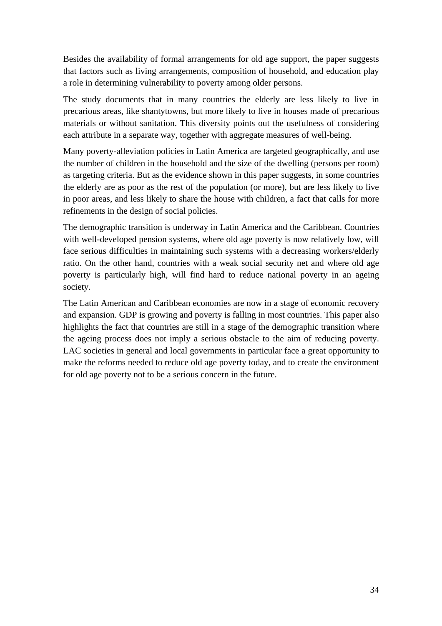Besides the availability of formal arrangements for old age support, the paper suggests that factors such as living arrangements, composition of household, and education play a role in determining vulnerability to poverty among older persons.

The study documents that in many countries the elderly are less likely to live in precarious areas, like shantytowns, but more likely to live in houses made of precarious materials or without sanitation. This diversity points out the usefulness of considering each attribute in a separate way, together with aggregate measures of well-being.

Many poverty-alleviation policies in Latin America are targeted geographically, and use the number of children in the household and the size of the dwelling (persons per room) as targeting criteria. But as the evidence shown in this paper suggests, in some countries the elderly are as poor as the rest of the population (or more), but are less likely to live in poor areas, and less likely to share the house with children, a fact that calls for more refinements in the design of social policies.

The demographic transition is underway in Latin America and the Caribbean. Countries with well-developed pension systems, where old age poverty is now relatively low, will face serious difficulties in maintaining such systems with a decreasing workers/elderly ratio. On the other hand, countries with a weak social security net and where old age poverty is particularly high, will find hard to reduce national poverty in an ageing society.

The Latin American and Caribbean economies are now in a stage of economic recovery and expansion. GDP is growing and poverty is falling in most countries. This paper also highlights the fact that countries are still in a stage of the demographic transition where the ageing process does not imply a serious obstacle to the aim of reducing poverty. LAC societies in general and local governments in particular face a great opportunity to make the reforms needed to reduce old age poverty today, and to create the environment for old age poverty not to be a serious concern in the future.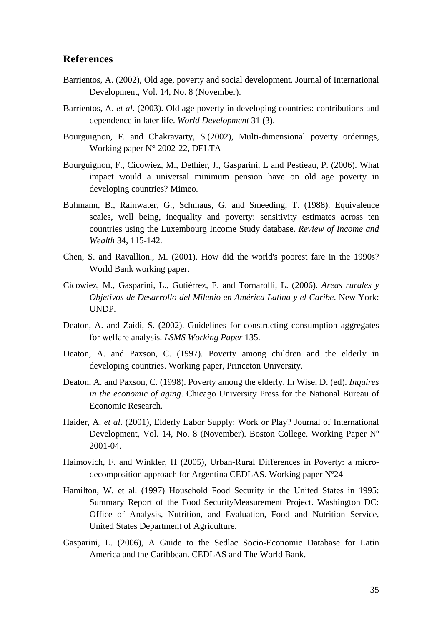#### **References**

- Barrientos, A. (2002), Old age, poverty and social development. Journal of International Development, Vol. 14, No. 8 (November).
- Barrientos, A. *et al*. (2003). Old age poverty in developing countries: contributions and dependence in later life. *World Development* 31 (3).
- Bourguignon, F. and Chakravarty, S.(2002), Multi-dimensional poverty orderings, Working paper N° 2002-22, DELTA
- Bourguignon, F., Cicowiez, M., Dethier, J., Gasparini, L and Pestieau, P. (2006). What impact would a universal minimum pension have on old age poverty in developing countries? Mimeo.
- Buhmann, B., Rainwater, G., Schmaus, G. and Smeeding, T. (1988). Equivalence scales, well being, inequality and poverty: sensitivity estimates across ten countries using the Luxembourg Income Study database. *Review of Income and Wealth* 34, 115-142.
- Chen, S. and Ravallion., M. (2001). How did the world's poorest fare in the 1990s? World Bank working paper.
- Cicowiez, M., Gasparini, L., Gutiérrez, F. and Tornarolli, L. (2006). *Areas rurales y Objetivos de Desarrollo del Milenio en América Latina y el Caribe*. New York: UNDP.
- Deaton, A. and Zaidi, S. (2002). Guidelines for constructing consumption aggregates for welfare analysis. *LSMS Working Paper* 135.
- Deaton, A. and Paxson, C. (1997). Poverty among children and the elderly in developing countries. Working paper, Princeton University.
- Deaton, A. and Paxson, C. (1998). Poverty among the elderly. In Wise, D. (ed). *Inquires in the economic of aging*. Chicago University Press for the National Bureau of Economic Research.
- Haider, A. *et al*. (2001), Elderly Labor Supply: Work or Play? Journal of International Development, Vol. 14, No. 8 (November). Boston College. Working Paper Nº 2001-04.
- Haimovich, F. and Winkler, H (2005), Urban-Rural Differences in Poverty: a microdecomposition approach for Argentina CEDLAS. Working paper Nº24
- Hamilton, W. et al. (1997) Household Food Security in the United States in 1995: Summary Report of the Food SecurityMeasurement Project. Washington DC: Office of Analysis, Nutrition, and Evaluation, Food and Nutrition Service, United States Department of Agriculture.
- Gasparini, L. (2006), A Guide to the Sedlac Socio-Economic Database for Latin America and the Caribbean. CEDLAS and The World Bank.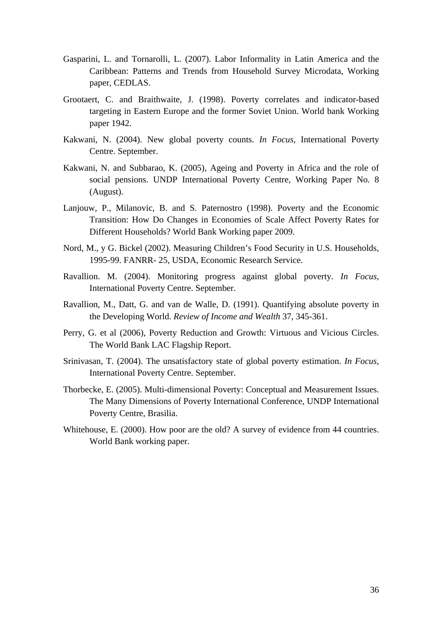- Gasparini, L. and Tornarolli, L. (2007). Labor Informality in Latin America and the Caribbean: Patterns and Trends from Household Survey Microdata, Working paper, CEDLAS.
- Grootaert, C. and Braithwaite, J. (1998). Poverty correlates and indicator-based targeting in Eastern Europe and the former Soviet Union. World bank Working paper 1942.
- Kakwani, N. (2004). New global poverty counts. *In Focus*, International Poverty Centre. September.
- Kakwani, N. and Subbarao, K. (2005), Ageing and Poverty in Africa and the role of social pensions. UNDP International Poverty Centre, Working Paper No. 8 (August).
- Lanjouw, P., Milanovic, B. and S. Paternostro (1998). Poverty and the Economic Transition: How Do Changes in Economies of Scale Affect Poverty Rates for Different Households? World Bank Working paper 2009.
- Nord, M., y G. Bickel (2002). Measuring Children's Food Security in U.S. Households, 1995-99. FANRR- 25, USDA, Economic Research Service.
- Ravallion. M. (2004). Monitoring progress against global poverty. *In Focus*, International Poverty Centre. September.
- Ravallion, M., Datt, G. and van de Walle, D. (1991). Quantifying absolute poverty in the Developing World. *Review of Income and Wealth* 37, 345-361.
- Perry, G. et al (2006), Poverty Reduction and Growth: Virtuous and Vicious Circles. The World Bank LAC Flagship Report.
- Srinivasan, T. (2004). The unsatisfactory state of global poverty estimation. *In Focus*, International Poverty Centre. September.
- Thorbecke, E. (2005). Multi-dimensional Poverty: Conceptual and Measurement Issues. The Many Dimensions of Poverty International Conference, UNDP International Poverty Centre, Brasilia.
- Whitehouse, E. (2000). How poor are the old? A survey of evidence from 44 countries. World Bank working paper.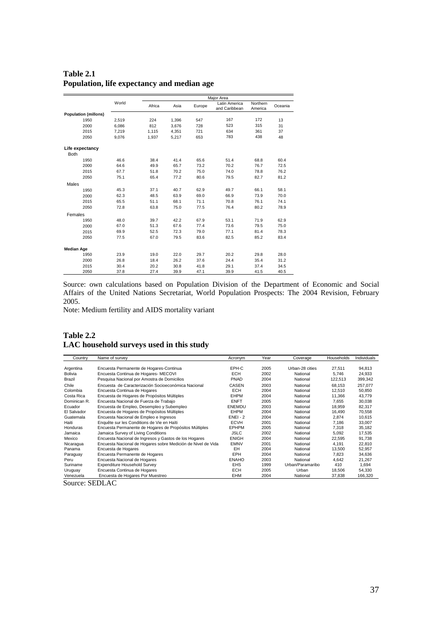|                                |       |        |       |        | Major Area                     |                     |         |
|--------------------------------|-------|--------|-------|--------|--------------------------------|---------------------|---------|
|                                | World | Africa | Asia  | Europe | Latin America<br>and Caribbean | Northern<br>America | Oceania |
| <b>Population (millons)</b>    |       |        |       |        |                                |                     |         |
| 1950                           | 2,519 | 224    | 1,396 | 547    | 167                            | 172                 | 13      |
| 2000                           | 6,086 | 812    | 3,676 | 728    | 523                            | 315                 | 31      |
| 2015                           | 7,219 | 1,115  | 4,351 | 721    | 634                            | 361                 | 37      |
| 2050                           | 9.076 | 1,937  | 5.217 | 653    | 783                            | 438                 | 48      |
| Life expectancy<br><b>Both</b> |       |        |       |        |                                |                     |         |
| 1950                           | 46.6  | 38.4   | 41.4  | 65.6   | 51.4                           | 68.8                | 60.4    |
| 2000                           | 64.6  | 49.9   | 65.7  | 73.2   | 70.2                           | 76.7                | 72.5    |
| 2015                           | 67.7  | 51.8   | 70.2  | 75.0   | 74.0                           | 78.8                | 76.2    |
| 2050                           | 75.1  | 65.4   | 77.2  | 80.6   | 79.5                           | 82.7                | 81.2    |
| Males                          |       |        |       |        |                                |                     |         |
| 1950                           | 45.3  | 37.1   | 40.7  | 62.9   | 49.7                           | 66.1                | 58.1    |
| 2000                           | 62.3  | 48.5   | 63.9  | 69.0   | 66.9                           | 73.9                | 70.0    |
| 2015                           | 65.5  | 51.1   | 68.1  | 71.1   | 70.8                           | 76.1                | 74.1    |
| 2050                           | 72.8  | 63.8   | 75.0  | 77.5   | 76.4                           | 80.2                | 78.9    |
| Females                        |       |        |       |        |                                |                     |         |
| 1950                           | 48.0  | 39.7   | 42.2  | 67.9   | 53.1                           | 71.9                | 62.9    |
| 2000                           | 67.0  | 51.3   | 67.6  | 77.4   | 73.6                           | 79.5                | 75.0    |
| 2015                           | 69.9  | 52.5   | 72.3  | 79.0   | 77.1                           | 81.4                | 78.3    |
| 2050                           | 77.5  | 67.0   | 79.5  | 83.6   | 82.5                           | 85.2                | 83.4    |
| <b>Median Age</b>              |       |        |       |        |                                |                     |         |
| 1950                           | 23.9  | 19.0   | 22.0  | 29.7   | 20.2                           | 29.8                | 28.0    |
| 2000                           | 26.8  | 18.4   | 26.2  | 37.6   | 24.4                           | 35.4                | 31.2    |
| 2015                           | 30.4  | 20.2   | 30.8  | 41.8   | 29.1                           | 37.4                | 34.5    |
| 2050                           | 37.8  | 27.4   | 39.9  | 47.1   | 39.9                           | 41.5                | 40.5    |

## **Table 2.1 Population, life expectancy and median age**

Source: own calculations based on Population Division of the Department of Economic and Social Affairs of the United Nations Secretariat, World Population Prospects: The 2004 Revision, February 2005.

Note: Medium fertility and AIDS mortality variant

#### **Table 2.2 LAC household surveys used in this study**

| Country      | Name of survey                                               | Acronym      | Year | Coverage         | Households | Individuals |
|--------------|--------------------------------------------------------------|--------------|------|------------------|------------|-------------|
|              |                                                              |              |      |                  |            |             |
| Argentina    | Encuesta Permanente de Hogares-Continua                      | EPH-C        | 2005 | Urban-28 cities  | 27,511     | 94,813      |
| Bolivia      | Encuesta Continua de Hogares- MECOVI                         | <b>ECH</b>   | 2002 | National         | 5,746      | 24,933      |
| Brazil       | Pesquisa Nacional por Amostra de Domicilios                  | PNAD         | 2004 | National         | 122,513    | 399,342     |
| Chile        | Encuesta, de Caracterización Socioeconómica Nacional         | <b>CASEN</b> | 2003 | National         | 68,153     | 257,077     |
| Colombia     | Encuesta Continua de Hogares                                 | <b>ECH</b>   | 2004 | National         | 12,510     | 50,850      |
| Costa Rica   | Encuesta de Hogares de Propósitos Múltiples                  | EHPM         | 2004 | National         | 11,366     | 43,779      |
| Dominican R. | Encuesta Nacional de Fuerza de Trabajo                       | <b>ENFT</b>  | 2005 | National         | 7,655      | 30,038      |
| Ecuador      | Encuesta de Empleo, Desempleo y Subempleo                    | ENEMDU       | 2003 | National         | 18,959     | 82,317      |
| El Salvador  | Encuesta de Hogares de Propósitos Múltiples                  | EHPM         | 2004 | National         | 16,490     | 70,558      |
| Guatemala    | Encuesta Nacional de Empleo e Ingresos                       | $ENEI - 2$   | 2004 | National         | 2,874      | 10,615      |
| Haiti        | Enquête sur les Conditions de Vie en Haïti                   | <b>ECVH</b>  | 2001 | National         | 7,186      | 33,007      |
| Honduras     | Encuesta Permanente de Hogares de Propósitos Múltiples       | <b>EPHPM</b> | 2005 | National         | 7.318      | 35,182      |
| Jamaica      | Jamaica Survey of Living Conditions                          | <b>JSLC</b>  | 2002 | National         | 5,092      | 17,535      |
| Mexico       | Encuesta Nacional de Ingresos y Gastos de los Hogares        | <b>ENIGH</b> | 2004 | National         | 22,595     | 91,738      |
| Nicaragua    | Encuesta Nacional de Hogares sobre Medición de Nivel de Vida | <b>EMNV</b>  | 2001 | National         | 4.191      | 22,810      |
| Panama       | Encuesta de Hogares                                          | EH           | 2004 | National         | 13,500     | 52,957      |
| Paraguay     | Encuesta Permanente de Hogares                               | EPH          | 2004 | National         | 7,823      | 34,636      |
| Peru         | Encuesta Nacional de Hogares                                 | <b>ENAHO</b> | 2003 | National         | 4,642      | 21,267      |
| Suriname     | Expenditure Household Survey                                 | <b>EHS</b>   | 1999 | Urban/Paramaribo | 410        | 1,694       |
| Uruguay      | Encuesta Continua de Hogares                                 | <b>ECH</b>   | 2005 | Urban            | 18,506     | 54,330      |
| Venezuela    | Encuesta de Hogares Por Muestreo                             | EHM          | 2004 | National         | 37,838     | 166,320     |

Source: SEDLAC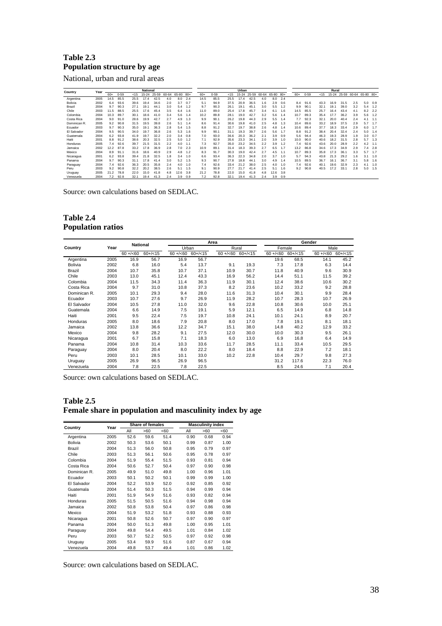## **Table 2.3 Population structure by age**

National, urban and rural areas

| Country      | Year |       |          |      | <b>National</b> |       |           |       |       |       |          |        | Urban     |       |       |           |     |       |          |      | Rural     |      |                       |     |     |
|--------------|------|-------|----------|------|-----------------|-------|-----------|-------|-------|-------|----------|--------|-----------|-------|-------|-----------|-----|-------|----------|------|-----------|------|-----------------------|-----|-----|
|              |      | $60+$ | $0 - 59$ | 15   | $15 - 24$       | 25-59 | $60 - 64$ | 65-80 | $80+$ | $60+$ | $0 - 59$ | $15 -$ | $15 - 24$ | 25-59 | 60-64 | 65-80 80+ |     | $60+$ | $0 - 59$ | 215  | $15 - 24$ |      | 25-59 60-64 65-80 80+ |     |     |
| Argentina    | 2005 | 14.5  | 85.5     | 25.5 | 17.4            | 42.5  | 4.0       | 8.0   | 2.4   | 14.5  | 85.5     | 25.5   | 17.4      | 42.5  | 4.0   | 8.0       | 2.4 |       |          |      |           |      |                       |     |     |
| Bolivia      | 2002 | 6.4   | 93.6     | 39.6 | 19.4            | 34.6  | 2.0       | 3.7   | 0.7   | 5.1   | 94.9     | 37.5   | 20.9      | 36.5  | 1.6   | 2.9       | 0.6 | 8.4   | 91.6     | 43.3 | 16.9      | 31.5 | 2.5                   | 5.0 | 0.9 |
| Brazil       | 2004 | 9.7   | 90.3     | 27.1 | 19.1            | 44.1  | 3.0       | 5.4   | 1.2   | 9.7   | 90.3     | 26.1   | 19.1      | 45.1  | 3.0   | 5.5       | 1.2 | 9.9   | 90.1     | 32.  | 19.       | 39.0 | 3.2                   | 5.4 | 1.2 |
| Chile        | 2003 | 11.5  | 88.5     | 25.5 | 17.6            | 45.4  | 3.5       | 6.4   | 1.6   | 11.0  | 89.0     | 25.4   | 17.8      | 45.7  | 3.4   | 6.1       | 1.6 | 14.5  | 85.5     | 25.7 | 16.4      | 43.4 | 4.1                   | 8.2 | 2.2 |
| Colombia     | 2004 | 10.3  | 89.7     | 30.1 | 18.6            | 41.0  | 3.4       | 5.6   | 1.4   | 10.2  | 89.8     | 28.1   | 19.0      | 42.7  | 3.2   | 5.6       | 1.4 | 10.7  | 89.3     | 35.4 | 17.7      | 36.2 | 3.9                   | 5.6 | 1.2 |
| Costa Rica   | 2004 | 9.0   | 91.0     | 28.6 | 19.9            | 42.7  | 2.7       | 4.9   | 1.3   | 9.9   | 90.1     | 26.2   | 19.8      | 44.3  | 2.9   | 5.5       | 1.4 | 7.7   | 92.3     | 32.1 | 20.0      | 40.4 | 2.4                   | 4.1 | 1.1 |
| Dominican R. | 2005 | 9.2   | 90.8     | 31.5 | 19.5            | 39.8  | 2.6       | 5.1   | 1.4   | 8.6   | 91.4     | 30.6   | 19.8      | 41.0  | 2.5   | 4.8       | 1.3 | 10.4  | 89.6     | 33.2 | 18.9      | 37.5 | 2.9                   | 5.7 | 1.7 |
| Ecuador      | 2003 | 9.7   | 90.3     | 35.0 | 19.1            | 36.3  | 2.8       | 5.4   | 1.5   | 8.8   | 91.2     | 32.7   | 19.7      | 38.8  | 2.6   | 4.8       | 1.4 | 10.6  | 89.4     | 37.7 | 18.3      | 33.4 | 2.9                   | 6.0 | 1.7 |
| El Salvador  | 2004 | 9.5   | 90.5     | 34.0 | 19.7            | 36.8  | 2.6       | 5.3   | 1.6   | 9.9   | 90.1     | 31.1   | 19.3      | 39.7  | 2.6   | 5.6       | 1.7 | 8.8   | 91.2     | 38.4 | 20.4      | 32.4 | 2.4                   | 5.0 | 1.4 |
| Guatemala    | 2004 | 6.2   | 93.8     | 41.9 | 19.7            | 32.2  | 2.0       | 3.4   | 0.8   | 7.0   | 93.0     | 36.6   | 20.3      | 36.2  | 2.1   | 3.9       | 0.9 | 5.6   | 94.4     | 46.3 | 19.3      | 28.9 | 1.9                   | 3.0 | 0.7 |
| Haiti        | 2001 | 8.8   | 91.2     | 38.6 | 20.3            | 32.5  | 2.5       | 5.0   | 1.2   | 7.1   | 92.9     | 35.6   | 23.3      | 34    | 2.0   | 3.9       | 1.0 | 10.0  | 90.0     | 40.6 | 18.2      | 31.5 | 2.8                   | 5.7 | 1.3 |
| Honduras     | 2005 | 7.4   | 92.6     | 39.7 | 21.5            | 31.5  | 2.2       | 4.0   | 1.1   | 7.3   | 92.7     | 35.0   | 23.2      | 34.5  | 2.2   | 3.9       | 1.2 | 7.4   | 92.6     | 43.6 | 20.0      | 28.9 | 2.2                   | 4.2 | 1.1 |
| Jamaica      | 2002 | 12.2  | 87.8     | 33.2 | 17.8            | 36.9  | 2.8       | 7.0   | 2.3   | 10.9  | 89.1     | 31.4   | 18.3      | 39.3  | 2.7   | 6.5       | 1.7 | 13.2  | 86.8     | 34.6 | 17.3      | 34.9 | 2.9                   | 7.4 | 2.8 |
| Mexico       | 2004 | 8.9   | 91.1     | 31.6 | 18.6            | 40.9  | 2.9       | 4.8   | 1.2   | 8.3   | 91.7     | 30.3   | 19.0      | 42.4  | 2.7   | 4.5       | 1.1 | 10.7  | 89.3     | 35.8 | 17.3      | 36.1 | 3.3                   | 5.7 | 1.7 |
| Nicaragua    | 2001 | 6.2   | 93.8     | 39.4 | 21.8            | 32.5  | 1.8       | 3.4   | 1.0   | 6.6   | 93.4     | 36.3   | 22.3      | 34.8  | 2.0   | 3.7       | 1.0 | 5.7   | 94.3     | 43.8 | 21.3      | 29.2 | 1.6                   | 3.1 | 1.0 |
| Panama       | 2004 | 9.7   | 90.3     | 31.1 | 17.8            | 41.4  | 3.0       | 5.2   | 1.5   | 9.3   | 90.7     | 27.8   | 18.8      | 44.1  | 3.0   | 4.9       | 1.4 | 10.5  | 89.5     | 36.7 | 16.1      | 36.7 | 3.1                   | 5.8 | 1.6 |
| Paraguay     | 2004 | 7.4   | 92.6     | 36.3 | 20.5            | 35.8  | 2.4       | 4.0   | 1.0   | 7.4   | 92.6     | 33.4   | 21.2      | 38.0  | 2.5   | 4.0       | 1.0 | 7.4   | 92.6     | 40.1 | 19.6      | 32.9 | 2.3                   | 4.1 | 1.0 |
| Peru         | 2003 | 9.2   | 90.8     | 32.2 | 20.2            | 38.5  | 2.6       | 5.1   | 1.5   | 9.1   | 90.9     | 27.7   | 21.7      | 41.4  | 2.5   |           | 1.6 | 9.2   | 90.8     | 40.5 |           | 33.1 | 2.8                   | 5.0 | 1.5 |
| Uruguay      | 2005 | 21.2  | 78.8     | 22.0 | 15.0            | 41.8  | 4.8       | 12.6  | 3.8   | 21.2  | 78.8     | 22.0   | 15.0      | 41.8  | 4.8   | 12.6      | 3.8 |       |          |      |           |      |                       |     |     |
| Venezuela    | 2004 | 7.2   | 92.8     | 32.1 | 19.4            | 41.3  | 2.4       | 3.9   | 0.9   | 7.2   | 92.8     | 32.1   | 19.4      | 41.3  | 2.4   | 3.9       | 0.9 |       |          |      |           |      |                       |     |     |

Source: own calculations based on SEDLAC.

#### **Table 2.4 Population ratios**

|              |      | <b>National</b> |          |              |          | Area         |          |              |          | Gender       |          |
|--------------|------|-----------------|----------|--------------|----------|--------------|----------|--------------|----------|--------------|----------|
| Country      | Year |                 |          | Urban        |          |              | Rural    | Female       |          | Male         |          |
|              |      | $60 + (-60)$    | $60+/15$ | $60 + (-60)$ | $60+/35$ | $60 + (-60)$ | $60+/35$ | $60 + (-60)$ | $60+/35$ | $60 + (-60)$ | $60+/15$ |
| Argentina    | 2005 | 16.9            | 56.7     | 16.9         | 56.7     |              |          | 19.6         | 68.5     | 14.1         | 45.2     |
| Bolivia      | 2002 | 6.8             | 16.0     | 5.4          | 13.7     | 9.1          | 19.3     | 7.3          | 17.8     | 6.3          | 14.4     |
| Brazil       | 2004 | 10.7            | 35.8     | 10.7         | 37.1     | 10.9         | 30.7     | 11.8         | 40.9     | 9.6          | 30.9     |
| Chile        | 2003 | 13.0            | 45.1     | 12.4         | 43.3     | 16.9         | 56.2     | 14.4         | 51.1     | 11.5         | 39.2     |
| Colombia     | 2004 | 11.5            | 34.3     | 11.4         | 36.3     | 11.9         | 30.1     | 12.4         | 38.6     | 10.6         | 30.2     |
| Costa Rica   | 2004 | 9.7             | 31.0     | 10.8         | 37.3     | 8.2          | 23.6     | 10.2         | 33.2     | 9.2          | 28.8     |
| Dominican R. | 2005 | 10.1            | 29.3     | 9.4          | 28.0     | 11.6         | 31.3     | 10.4         | 30.1     | 9.9          | 28.4     |
| Ecuador      | 2003 | 10.7            | 27.6     | 9.7          | 26.9     | 11.9         | 28.2     | 10.7         | 28.3     | 10.7         | 26.9     |
| El Salvador  | 2004 | 10.5            | 27.8     | 11.0         | 32.0     | 9.6          | 22.8     | 10.8         | 30.6     | 10.0         | 25.1     |
| Guatemala    | 2004 | 6.6             | 14.9     | 7.5          | 19.1     | 5.9          | 12.1     | 6.5          | 14.9     | 6.8          | 14.8     |
| Haiti        | 2001 | 9.5             | 22.4     | 7.5          | 19.7     | 10.8         | 24.1     | 10.1         | 24.1     | 8.9          | 20.7     |
| Honduras     | 2005 | 8.0             | 18.6     | 7.9          | 20.8     | 8.0          | 17.0     | 7.8          | 19.1     | 8.1          | 18.1     |
| Jamaica      | 2002 | 13.8            | 36.6     | 12.2         | 34.7     | 15.1         | 38.0     | 14.8         | 40.2     | 12.9         | 33.2     |
| Mexico       | 2004 | 9.8             | 28.2     | 9.1          | 27.5     | 12.0         | 30.0     | 10.0         | 30.3     | 9.5          | 26.1     |
| Nicaragua    | 2001 | 6.7             | 15.8     | 7.1          | 18.3     | 6.0          | 13.0     | 6.9          | 16.8     | 6.4          | 14.9     |
| Panama       | 2004 | 10.8            | 31.4     | 10.3         | 33.6     | 11.7         | 28.5     | 11.1         | 33.4     | 10.5         | 29.5     |
| Paraguay     | 2004 | 8.0             | 20.4     | 8.0          | 22.2     | 8.0          | 18.4     | 8.8          | 22.9     | 7.2          | 18.1     |
| Peru         | 2003 | 10.1            | 28.5     | 10.1         | 33.0     | 10.2         | 22.8     | 10.4         | 29.7     | 9.8          | 27.3     |
| Uruguay      | 2005 | 26.9            | 96.5     | 26.9         | 96.5     |              |          | 31.2         | 117.6    | 22.3         | 76.0     |
| Venezuela    | 2004 | 7.8             | 22.5     | 7.8          | 22.5     |              |          | 8.5          | 24.6     | 7.1          | 20.4     |

Source: own calculations based on SEDLAC.

#### **Table 2.5**

## **Female share in population and masculinity index by age**

|                | Year |      | <b>Share of females</b> |      |      | <b>Masculinity index</b> |      |
|----------------|------|------|-------------------------|------|------|--------------------------|------|
| Country        |      | All  | >60                     | <60  | All  | >60                      | <60  |
| Argentina      | 2005 | 52.6 | 59.6                    | 51.4 | 0.90 | 0.68                     | 0.94 |
| <b>Bolivia</b> | 2002 | 50.3 | 53.6                    | 50.1 | 0.99 | 0.87                     | 1.00 |
| Brazil         | 2004 | 51.3 | 56.0                    | 50.8 | 0.95 | 0.79                     | 0.97 |
| Chile          | 2003 | 51.3 | 56.1                    | 50.6 | 0.95 | 0.78                     | 0.97 |
| Colombia       | 2004 | 51.9 | 55.4                    | 51.5 | 0.93 | 0.81                     | 0.94 |
| Costa Rica     | 2004 | 50.6 | 52.7                    | 50.4 | 0.97 | 0.90                     | 0.98 |
| Dominican R.   | 2005 | 49.9 | 51.0                    | 49.8 | 1.00 | 0.96                     | 1.01 |
| Ecuador        | 2003 | 50.1 | 50.2                    | 50.1 | 0.99 | 0.99                     | 1.00 |
| El Salvador    | 2004 | 52.2 | 53.9                    | 52.0 | 0.92 | 0.85                     | 0.92 |
| Guatemala      | 2004 | 51.4 | 50.3                    | 51.5 | 0.94 | 0.99                     | 0.94 |
| Haiti          | 2001 | 51.9 | 54.9                    | 51.6 | 0.93 | 0.82                     | 0.94 |
| Honduras       | 2005 | 51.5 | 50.5                    | 51.6 | 0.94 | 0.98                     | 0.94 |
| Jamaica        | 2002 | 50.8 | 53.8                    | 50.4 | 0.97 | 0.86                     | 0.98 |
| Mexico         | 2004 | 51.9 | 53.2                    | 51.8 | 0.93 | 0.88                     | 0.93 |
| Nicaragua      | 2001 | 50.8 | 52.6                    | 50.7 | 0.97 | 0.90                     | 0.97 |
| Panama         | 2004 | 50.0 | 51.3                    | 49.8 | 1.00 | 0.95                     | 1.01 |
| Paraguay       | 2004 | 49.8 | 54.4                    | 49.5 | 1.01 | 0.84                     | 1.02 |
| Peru           | 2003 | 50.7 | 52.2                    | 50.5 | 0.97 | 0.92                     | 0.98 |
| Uruguay        | 2005 | 53.4 | 59.9                    | 51.6 | 0.87 | 0.67                     | 0.94 |
| Venezuela      | 2004 | 49.8 | 53.7                    | 49.4 | 1.01 | 0.86                     | 1.02 |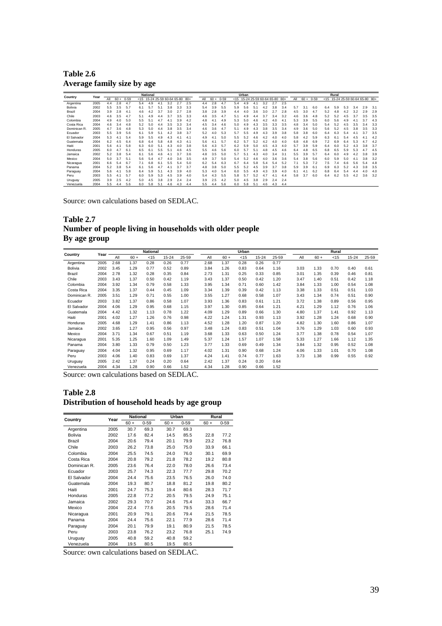**Table 2.6 Average family size by age** 

| Country      | Year |     |        |          |     | <b>National</b> |                                    |     |     |     |     |        |          |     | Urban |                                    |     |     |     |     |        |          |      | Rural                       |     |     |     |     |
|--------------|------|-----|--------|----------|-----|-----------------|------------------------------------|-----|-----|-----|-----|--------|----------|-----|-------|------------------------------------|-----|-----|-----|-----|--------|----------|------|-----------------------------|-----|-----|-----|-----|
|              |      | All | $60 +$ | $0 - 59$ |     |                 | $<$ 15 15-24 25-59 60-64 65-80 80+ |     |     |     | All | $60 +$ | $0 - 59$ |     |       | $<$ 15 15-24 25-59 60-64 65-80 80+ |     |     |     | All | $60 +$ | $0 - 59$ | < 15 | 15-24 25-59 60-64 65-80 80+ |     |     |     |     |
| Argentina    | 2005 | 4.4 | 2.8    | 4.7      | 5.4 | 4.9             | 4.1                                | 3.2 | 2.7 | 2.5 | 4.4 | 2.8    | 4.7      | 5.4 | 4.9   | 4.1                                | 3.2 | 2.7 | 2.5 |     |        |          |      |                             |     |     |     |     |
| Bolivia      | 2002 | 5.5 | 3.5    | 5.7      | 6.1 | 5.7             | 5.1                                | 3.8 | 3.3 | 3.3 | 5.4 | 3.9    | 5.5      | 5.9 | 5.6   | 5.1                                | 4.2 | 3.8 | 3.4 | 5.7 | 3.1    | 6.0      | 6.4  | 5.9                         | 5.3 | 3.4 | 2.9 | 3.1 |
| Brazil       | 2004 | 3.9 | 2.8    | 4.1      | 4.6 | 4.2             | 3.7                                | 3.0 | 2.7 | 2.8 | 3.8 | 2.8    | 3.9      | 4.4 | 4.0   | 3.6                                | 3.0 |     | 2.8 | 4.5 | 3.0    | 4.7      | 5.2  | 4.8                         | 4.2 | 3.2 | 2.9 | 2.9 |
| Chile        | 2003 | 4.6 | 3.5    | 4.7      | 5.1 | 4.9             | 4.4                                | 3.7 | 3.5 | 3.3 | 4.6 | 3.5    | 4.7      | 5.1 | 4.9   | 4.4                                | 3.7 | 3.4 | 3.2 | 4.6 | 3.6    | 4.8      | 5.2  | 5.2                         | 4.5 | 3.7 | 3.5 | 3.5 |
| Colombia     | 2004 | 4.9 | 4.0    | 5.0      | 5.5 | 5.              | 4.7                                | 4.  | 3.9 | 4.2 | 4.8 | 4.1    | 4.9      | 5.3 | 5.0   | 4.6                                | 4.2 | 4.0 | 4.1 | 5.3 | 3.9    | 5.5      | 6.0  | 5.6                         | 4.9 | 4.1 | 3.7 | 4.3 |
| Costa Rica   | 2004 | 4.6 | 3.4    | 4.8      | 5.2 | 5.0             | 4.4                                | 3.5 | 3.3 | 3.4 | 4.5 | 3.4    | 4.6      | 5.0 | 4.9   | 4.3                                | 3.5 | 3.3 | 3.5 | 4.8 | 3.4    | 5.0      | 5.4  | 5.2                         | 4.5 | 3.5 | 3.4 | 3.3 |
| Dominican R. | 2005 | 4.7 | 3.6    | 4.8      | 5.3 | 5.0             | 4.4                                | 3.8 | 3.5 | 3.4 | 4.6 | 3.6    | 4.7      | 5.1 | 4.9   | 4.3                                | 3.8 | 3.5 | 3.4 | 4.9 | 3.6    | 5.0      | 5.6  | 5.2                         | 4.5 | 3.8 | 3.5 | 3.3 |
| Ecuador      | 2003 | 5.5 | 3.9    | 5.6      | 6.1 | 5.9             | 5.1                                | 4.2 | 3.8 | 3.7 | 5.2 | 4.0    | 5.3      | 5.7 | 5.5   | 4.9                                | 4.3 | 3.9 | 3.8 | 5.8 | 3.8    | 6.0      | 6.4  | 6.3                         | 5.4 | 4.1 | 3.7 | 3.5 |
| El Salvador  | 2004 | 5.3 | 4.1    | 5.4      | 5.9 | 5.5             | 4.9                                | 4.3 | 4.1 | 4.1 | 4.9 | 4.     | 5.0      | 5.5 | 5.2   | 4.6                                | 4.2 | 4.0 | 4.0 | 5.8 | 4.2    | 5.9      | 6.3  | 6.1                         | 5.4 | 4.5 | 4.1 | 4.2 |
| Guatemala    | 2004 | 6.2 | 4.5    | 6.4      | 6.8 | 6.4             | 5.8                                | 4.8 | 4.3 | 4.  | 5.6 | 4.     | 5.7      | 6.2 | 5.7   | 5.2                                | 4.2 | 4.0 | 4.0 | 6.8 | 4.8    | 6.9      | 7.2  | 6.9                         | 6.4 | 5.3 | 4.7 | 4.2 |
| Haiti        | 2001 | 5.6 | 4.1    | 5.8      | 6.3 | 6.0             | 5.1                                | 4.3 | 4.0 | 3.8 | 5.6 | 4.3    | 5.7      | 6.2 | 5.9   | 5.0                                | 4.5 | 4.3 | 4.0 | 5.7 | 3.9    | 5.9      | 6.4  | 6.0                         | 5.2 | 4.3 | 3.8 | 3.7 |
| Honduras     | 2005 | 6.0 | 4.7    | 6.1      | 6.5 | 6.1             | 5.5                                | 5.1 | 4.6 | 4.5 | 5.5 | 4.6    | 5.6      | 6.0 | 5.7   | 5.1                                | 4.8 | 4.5 | 4.6 | 6.4 | 4.8    | 6.5      | 6.8  | 6.5                         | 5.9 | 5.3 | 4.7 | 4.5 |
| Jamaica      | 2002 | 5.2 | 3.8    | 5.4      | 6.1 | 5.6             | 4.6                                | 4.  | 3.7 | 3.6 | 4.8 | 3.5    | 5.0      | 5.7 | 5.    | 4.3                                | 4.0 | 3.4 | 3.5 | 5.5 | 3.9    | 5.7      | 6.4  | 6.0                         | 4.9 | 4.2 | 3.8 | 3.9 |
| Mexico       | 2004 | 5.0 | 3.7    | 5.1      | 5.6 | 5.4             | 4.7                                | 4.0 | 3.6 | 3.5 | 4.9 | 3.7    | 5.0      | 5.4 | 5.2   | 4.6                                | 4.0 | 3.6 | 3.6 | 5.4 | 3.8    | 5.6      | 6.0  | 5.9                         | 5.0 | 4.1 | 3.8 | 3.2 |
| Nicaragua    | 2001 | 6.6 | 5.4    | 6.7      | 7.1 | 6.8             | 6.1                                | 5.5 | 5.4 | 5.0 | 6.2 | 5.4    | 6.3      | 6.7 | 6.4   | 5.8                                | 5.4 | 5.4 | 5.2 | 7.1 | 5.3    | 7.2      | 7.5  | 7.4                         | 6.6 | 5.6 | 5.4 | 4.8 |
| Panama       | 2004 | 5.2 | 3.8    | 5.4      | 6.1 | 5.6             | 4.7                                | 4.1 | 3.7 | 3.7 | 4.8 | 3.8    | 5.0      | 5.5 | 5.2   | 4.5                                | 3.9 | 3.7 | 3.8 | 5.9 | 3.9    | 6.1      | 6.9  | 6.3                         | 5.2 | 4.3 | 3.8 | 3.5 |
| Paraguay     | 2004 | 5.6 | 4.1    | 5.8      | 6.4 | 5.9             | 5.1                                | 4.3 | 3.9 | 4.0 | 5.3 | 4.0    | 5.4      | 6.0 | 5.5   | 4.9                                | 4.3 | 3.9 | 4.0 | 6.1 | 4.     | 6.2      | 6.8  | 6.4                         | 5.4 | 4.4 | 4.0 | 4.0 |
| Peru         | 2003 | 5.5 | 4.1    | 5.7      | 6.0 | 5.9             | 5.3                                | 4.5 | 3.9 | 4.0 | 5.4 | 4.3    | 5.5      | 5.8 | 5.7   | 5.2                                | 4.7 | 4.1 | 4.4 | 5.8 | 3.7    | 6.0      | 6.4  | 6.2                         | 5.5 | 4.2 | 3.6 | 3.2 |
| Uruguay      | 2005 | 3.9 | 2.5    | 4.2      | 5.0 | 4.5             | 3.8                                | 2.9 | 2.4 | 2.4 | 3.9 | 2.5    | 4.2      | 5.0 | 4.5   | 3.8                                | 2.9 | 2.4 | 2.4 |     |        |          |      |                             |     |     |     |     |
| Venezuela    | 2004 | 5.5 | 4.4    | 5.6      | 6.0 | 5.8             | 5.1                                | 4.6 | 4.3 | 4.4 | 5.5 | 4.4    | 5.6      | 6.0 | 5.8   | 5.1                                | 4.6 | 4.3 | 4.4 |     |        |          |      |                             |     |     |     |     |

#### **Table 2.7 Number of people living in households with older people By age group**

| Country        | Year |      |        | <b>National</b> |           |       |      |        | Urban |           |       |      |        | Rural  |           |       |
|----------------|------|------|--------|-----------------|-----------|-------|------|--------|-------|-----------|-------|------|--------|--------|-----------|-------|
|                |      | All  | $60 +$ | < 15            | $15 - 24$ | 25-59 | All  | $60 +$ | < 15  | $15 - 24$ | 25-59 | All  | $60 +$ | $<$ 15 | $15 - 24$ | 25-59 |
| Argentina      | 2005 | 2.68 | 1.37   | 0.28            | 0.26      | 0.77  | 2.68 | 1.37   | 0.28  | 0.26      | 0.77  |      |        |        |           |       |
| <b>Bolivia</b> | 2002 | 3.45 | 1.29   | 0.77            | 0.52      | 0.89  | 3.84 | 1.26   | 0.83  | 0.64      | 1.16  | 3.03 | 1.33   | 0.70   | 0.40      | 0.61  |
| Brazil         | 2004 | 2.78 | 1.32   | 0.28            | 0.35      | 0.84  | 2.73 | 1.31   | 0.25  | 0.33      | 0.85  | 3.01 | 1.35   | 0.39   | 0.46      | 0.81  |
| Chile          | 2003 | 3.43 | 1.37   | 0.50            | 0.42      | 1.19  | 3.43 | 1.37   | 0.50  | 0.42      | 1.20  | 3.47 | 1.40   | 0.51   | 0.42      | 1.18  |
| Colombia       | 2004 | 3.92 | 1.34   | 0.79            | 0.58      | 1.33  | 3.95 | 1.34   | 0.71  | 0.60      | 1.42  | 3.84 | 1.33   | 1.00   | 0.54      | 1.08  |
| Costa Rica     | 2004 | 3.35 | 1.37   | 0.44            | 0.45      | 1.09  | 3.34 | 1.39   | 0.39  | 0.42      | 1.13  | 3.38 | 1.33   | 0.51   | 0.51      | 1.03  |
| Dominican R.   | 2005 | 3.51 | 1.29   | 0.71            | 0.55      | 1.00  | 3.55 | 1.27   | 0.68  | 0.58      | 1.07  | 3.43 | 1.34   | 0.74   | 0.51      | 0.90  |
| Ecuador        | 2003 | 3.82 | 1.37   | 0.86            | 0.58      | 1.07  | 3.93 | 1.36   | 0.83  | 0.61      | 1.21  | 3.72 | 1.38   | 0.89   | 0.56      | 0.95  |
| El Salvador    | 2004 | 4.06 | 1.29   | 0.95            | 0.68      | 1.15  | 3.97 | 1.30   | 0.85  | 0.64      | 1.21  | 4.21 | 1.29   | 1.12   | 0.76      | 1.06  |
| Guatemala      | 2004 | 4.42 | 1.32   | 1.13            | 0.78      | 1.22  | 4.09 | 1.29   | 0.89  | 0.66      | 1.30  | 4.80 | 1.37   | 1.41   | 0.92      | 1.13  |
| Haiti          | 2001 | 4.02 | 1.27   | 1.26            | 0.76      | 0.98  | 4.22 | 1.24   | 1.31  | 0.93      | 1.13  | 3.92 | 1.28   | 1.24   | 0.68      | 0.90  |
| Honduras       | 2005 | 4.68 | 1.29   | 1.41            | 0.86      | 1.13  | 4.52 | 1.28   | 1.20  | 0.87      | 1.20  | 4.82 | 1.30   | 1.60   | 0.86      | 1.07  |
| Jamaica        | 2002 | 3.65 | 1.27   | 0.95            | 0.56      | 0.97  | 3.48 | 1.24   | 0.83  | 0.51      | 1.04  | 3.76 | 1.29   | 1.03   | 0.60      | 0.93  |
| Mexico         | 2004 | 3.71 | 1.34   | 0.67            | 0.51      | 1.19  | 3.68 | 1.33   | 0.63  | 0.50      | 1.24  | 3.77 | 1.38   | 0.78   | 0.54      | 1.07  |
| Nicaragua      | 2001 | 5.35 | 1.25   | 1.60            | 1.09      | 1.49  | 5.37 | 1.24   | 1.57  | 1.07      | 1.58  | 5.33 | 1.27   | 1.66   | 1.12      | 1.35  |
| Panama         | 2004 | 3.80 | 1.33   | 0.79            | 0.50      | 1.23  | 3.77 | 1.33   | 0.69  | 0.49      | 1.34  | 3.84 | 1.32   | 0.95   | 0.52      | 1.08  |
| Paraguay       | 2004 | 4.04 | 1.32   | 0.95            | 0.69      | 1.17  | 4.02 | 1.31   | 0.90  | 0.68      | 1.24  | 4.06 | 1.33   | 1.01   | 0.70      | 1.08  |
| Peru           | 2003 | 4.06 | 1.40   | 0.83            | 0.69      | 1.37  | 4.24 | 1.41   | 0.74  | 0.77      | 1.63  | 3.73 | 1.38   | 0.99   | 0.55      | 0.92  |
| Uruguay        | 2005 | 2.42 | 1.37   | 0.24            | 0.20      | 0.64  | 2.42 | 1.37   | 0.24  | 0.20      | 0.64  |      |        |        |           |       |
| Venezuela      | 2004 | 4.34 | 1.28   | 0.90            | 0.66      | 1.52  | 4.34 | 1.28   | 0.90  | 0.66      | 1.52  |      |        |        |           |       |

Source: own calculations based on SEDLAC.

#### **Table 2.8 Distribution of household heads by age group**

| Country        | Year | <b>National</b> |          | Urban  |          | Rural  |          |
|----------------|------|-----------------|----------|--------|----------|--------|----------|
|                |      | $60 +$          | $0 - 59$ | $60 +$ | $0 - 59$ | $60 +$ | $0 - 59$ |
| Argentina      | 2005 | 30.7            | 69.3     | 30.7   | 69.3     |        |          |
| <b>Bolivia</b> | 2002 | 17.6            | 82.4     | 14.5   | 85.5     | 22.8   | 77.2     |
| Brazil         | 2004 | 20.6            | 79.4     | 20.1   | 79.9     | 23.2   | 76.8     |
| Chile          | 2003 | 26.2            | 73.8     | 25.0   | 75.0     | 33.9   | 66.1     |
| Colombia       | 2004 | 25.5            | 74.5     | 24.0   | 76.0     | 30.1   | 69.9     |
| Costa Rica     | 2004 | 20.8            | 79.2     | 21.8   | 78.2     | 19.2   | 80.8     |
| Dominican R.   | 2005 | 23.6            | 76.4     | 22.0   | 78.0     | 26.6   | 73.4     |
| Ecuador        | 2003 | 25.7            | 74.3     | 22.3   | 77.7     | 29.8   | 70.2     |
| El Salvador    | 2004 | 24.4            | 75.6     | 23.5   | 76.5     | 26.0   | 74.0     |
| Guatemala      | 2004 | 19.3            | 80.7     | 18.8   | 81.2     | 19.8   | 80.2     |
| Haiti          | 2001 | 24.7            | 75.3     | 19.4   | 80.6     | 28.3   | 71.7     |
| Honduras       | 2005 | 22.8            | 77.2     | 20.5   | 79.5     | 24.9   | 75.1     |
| Jamaica        | 2002 | 29.3            | 70.7     | 24.6   | 75.4     | 33.3   | 66.7     |
| Mexico         | 2004 | 22.4            | 77.6     | 20.5   | 79.5     | 28.6   | 71.4     |
| Nicaragua      | 2001 | 20.9            | 79.1     | 20.6   | 79.4     | 21.5   | 78.5     |
| Panama         | 2004 | 24.4            | 75.6     | 22.1   | 77.9     | 28.6   | 71.4     |
| Paraguay       | 2004 | 20.1            | 79.9     | 19.1   | 80.9     | 21.5   | 78.5     |
| Peru           | 2003 | 23.8            | 76.2     | 23.2   | 76.8     | 25.1   | 74.9     |
| Uruguay        | 2005 | 40.8            | 59.2     | 40.8   | 59.2     |        |          |
| Venezuela      | 2004 | 19.5            | 80.5     | 19.5   | 80.5     |        |          |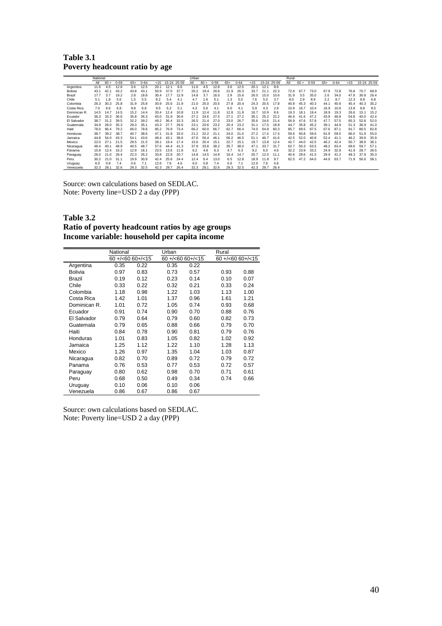**Table 3.1 Poverty headcount ratio by age** 

|              | National |        |          |       |          |      |           |       | Urban |        |          |       |          |      |           |       | Rural |        |          |       |          |      |             |      |
|--------------|----------|--------|----------|-------|----------|------|-----------|-------|-------|--------|----------|-------|----------|------|-----------|-------|-------|--------|----------|-------|----------|------|-------------|------|
|              | ΑIΙ      | $60 +$ | $0 - 59$ | $65+$ | $0 - 64$ | < 15 | 15-24     | 25-59 | Αll   | $60 +$ | $0 - 59$ | $65+$ | $0 - 64$ | < 15 | $15 - 24$ | 25-59 | All   | $60 +$ | $0 - 59$ | $65+$ | $0 - 64$ | < 15 | 15-24 25-59 |      |
| Argentina    | 11.6     | 4.5    | 12.8     | 3.6   | 12.5     | 20.1 | 12.1      | 8.6   | 11.6  | 4.5    | 12.8     | 3.6   | 12.5     | 20.7 | 12.1      | 8.6   |       |        |          |       |          |      |             |      |
| Bolivia      | 43.1     | 42.1   | 43.2     | 43.8  | 43.1     | 50.9 | 37.0      | 37.7  | 26.2  | 19.4   | 26.6     | 21.9  | 26.3     | 33.7 | 21.1      | 22.3  | 72.6  | 67.7   | 73.0     | 67.9  | 72.8     | 76.8 | 70.7        | 68.9 |
| Brazil       | 17.7     | 3.7    | 19.2     | 2.8   | 18.8     | 30.4 | 17.7      | 12.9  | 14.8  | 3.7    | 16.0     | 2.9   | 15.6     | 26.0 | 15.0      | 10.6  | 31.9  | 3.5    | 35.0     | 2.6   | 34.0     | 47.9 | 30.9        | 26.4 |
| Chile        | 5.1      | 1.8    | 5.6      | 1.5   | 5.5      | 8.2  | 5.4       | 4.1   | 4.7   | 1.6    | 5.1      | 1.3   | 5.0      | 7.6  | 5.0       | 3.7   | 8.0   | 2.9    | 8.9      | 2.2   | 8.7      | 12.3 | 8.8         | 6.8  |
| Colombia     | 26.3     | 30.3   | 25.8     | 31.9  | 25.8     | 30.9 | 25.6      | 21.9  | 21.0  | 25.0   | 20.5     | 27.8  | 20.4     | 24.3 | 20.5      | 17.8  | 40.8  | 45.3   | 40.3     | 44.1  | 40.6     | 45.4 | 40.3        | 35.2 |
| Costa Rica   | 7.0      | 9.6    | 6.8      | 9.8   | 6.8      | 9.5  | 6.2       | 5.1   | 4.3   | 5.6    | 4.1      | 6.0   | 4.1      | 5.9  | 4.3       | 2.9   | 10.9  | 16.7   | 10.4     | 16.9  | 10.6     | 13.8 | 8.8         | 8.5  |
| Dominican R. | 14.5     | 14.7   | 14.5     | 15.2  | 14.4     | 20.4 | 12.4      | 10.8  | 11.9  | 12.4   | 11.8     | 12.8  | 11.8     | 16.7 | 10.9      | 8.6   | 19.3  | 18.1   | 19.4     | 18.9  | 19.3     | 26.6 | 15.1        | 15.2 |
| Ecuador      | 36.3     | 33.3   | 36.6     | 35.8  | 36.3     | 45.0 | 9.<br>31. | 30.9  | 27.2  | 24.6   | 27.5     | 27.1  | 27.2     | 35.1 | 25.2      | 22.2  | 46.6  | 41.6   | 47.2     | 43.9  | 46.8     | 54.8 | 40.0        | 42.4 |
| El Salvador  | 38.7     | 31.2   | 39.5     | 32.2  | 39.2     | 49.2 | 36.4      | 32.3  | 26.5  | 21.4   | 27.0     | 23.0  | 26.7     | 35.6 | 24.6      | 21.4  | 56.9  | 47.6   | 57.8     | 47.7  | 57.5     | 65.3 | 52.8        | 52.0 |
| Guatemala    | 34.9     | 28.0   | 35.3     | 29.3  | 35.1     | 43.3 | 27.7      | 29.6  | 23.7  | 20.6   | 23.2     | 20.4  | 23.2     | 31.1 | 17.0      | 18.8  | 44.7  | 35.8   | 45.2     | 39.1  | 44.9     | 51.3 | 36.9        | 41.0 |
| Haiti        | 78.0     | 66.4   | 79.2     | 66.0  | 78.8     | 85.2 | 76.9      | 73.4  | 66.2  | 60.0   | 66.7     | 62.7  | 66.4     | 74.0 | 64.8      | 60.3  | 85.7  | 69.5   | 87.5     | 67.6  | 87.1     | 91.7 | 86.5        | 82.8 |
| Honduras     | 38.7     | 39.2   | 38.7     | 40.7  | 38.6     | 47.1 | 31.<br>8. | 33.0  | 21.2  | 22.2   | 21.1     | 24.0  | 21.0     | 27.2 | 17.4      | 17.4  | 59.6  | 60.8   | 59.6     | 61.9  | 59.5     | 66.0 | 51.9        | 55.0 |
| Jamaica      | 44.8     | 54.0   | 43.3     | 54.1  | 43.6     | 48.4 | 43.7      | 38.6  | 47.6  | 56.4   | 46.      | 56.2  | 46.5     | 51.1 | 46.7      | 41.6  | 42.5  | 52.0   | 40.8     | 52.4  | 41.1     | 46.2 | 39.9        | 35.9 |
| Mexico       | 22.0     | 27.1   | 21.5     | 29.5  | 21.5     | 28.1 | 19.4      | 17.4  | 15.6  | 20.4   | 15.7     | 22.7  | 15.1     | 19.7 | 13.8      | 12.4  | 42.7  | 44.0   | 42.5     | 46.2  | 42.4     | 50.7 | 38.9        | 36.1 |
| Nicaragua    | 48.4     | 40.1   | 48.9     | 40.5  | 48.7     | 57.6 | 44.4      | 41.3  | 37.9  | 33.8   | 38.2     | 35.7  | 38.0     | 47.1 | 33.7      | 31.7  | 62.7  | 50.3   | 63.5     | 48.2  | 63.4     | 69.6 | 59.7        | 57.1 |
| Panama       | 15.8     | 12.4   | 16.2     | 12.9  | 16.1     | 23.5 | 13.6      | 11.8  | 6.2   | 4.8    | 6.3      | 4.7   | 6.3      | 9.2  | 6.0       | 4.6   | 32.2  | 23.9   | 33.2     | 24.9  | 32.8     | 41.9 | 28.7        | 26.5 |
| Paraguay     | 26.0     | 21.0   | 26.4     | 22.3  | 26.2     | 33.8 | 22.9      | 20.7  | 14.8  | 14.5   | 14.8     | 16.4  | 14.7     | 20.7 | 12.0      | 11.1  | 40.6  | 29.6   | 41.5     | 29.9  | 41.2     | 48.3 | 37.9        | 35.3 |
| Peru         | 30.2     | 21.0   | 31.1     | 19.9  | 30.9     | 42.4 | 25.6      | 24.4  | 12.4  | 6.4    | 13.0     | 6.5   | 12.8     | 18.9 | 11.8      | 9.7   | 62.5  | 47.2   | 64.0     | 44.6  | 63.7     | 71.9 | 56.6        | 58.1 |
| Uruguay      | 6.0      | 0.8    | 7.4      | 0.6   | 7.1      | 12.6 | 7.6       | 4.6   | 6.0   | 0.8    | 7.4      | 0.6   | 7.1      | 12.6 | 7.6       | 4.6   |       |        |          |       |          |      |             |      |
| Venezuela    | 32.3     | 28.    | 32.6     | 29.3  | 32.5     | 42.3 | 29.7      | 26.4  | 32.3  | 28.    | 32.6     | 29.3  | 32.5     | 42.3 | 29.7      | 26.4  |       |        |          |       |          |      |             |      |

Source: own calculations based on SEDLAC. Note: Poverty line=USD 2 a day (PPP)

#### **Table 3.2 Ratio of poverty headcount ratios by age groups Income variable: household per capita income**

|                 | National               |      | Urban |                        | Rural                    |      |
|-----------------|------------------------|------|-------|------------------------|--------------------------|------|
|                 | $60 + (-6060) + (-15)$ |      |       | $60 + (-60)60 + (-15)$ | $60 + (-60)$ 60+ $(-15)$ |      |
| Argentina       | 0.35                   | 0.22 | 0.35  | 0.22                   |                          |      |
| <b>Bolivia</b>  | 0.97                   | 0.83 | 0.73  | 0.57                   | 0.93                     | 0.88 |
| Brazil          | 0.19                   | 0.12 | 0.23  | 0.14                   | 0.10                     | 0.07 |
| Chile           | 0.33                   | 0.22 | 0.32  | 0.21                   | 0.33                     | 0.24 |
| Colombia        | 1.18                   | 0.98 | 1.22  | 1.03                   | 1.13                     | 1.00 |
| Costa Rica      | 1.42                   | 1.01 | 1.37  | 0.96                   | 1.61                     | 1.21 |
| Dominican R.    | 1.01                   | 0.72 | 1.05  | 0.74                   | 0.93                     | 0.68 |
| Ecuador         | 0.91                   | 0.74 | 0.90  | 0.70                   | 0.88                     | 0.76 |
| El Salvador     | 0.79                   | 0.64 | 0.79  | 0.60                   | 0.82                     | 0.73 |
| Guatemala       | 0.79                   | 0.65 | 0.88  | 0.66                   | 0.79                     | 0.70 |
| Haiti           | 0.84                   | 0.78 | 0.90  | 0.81                   | 0.79                     | 0.76 |
| <b>Honduras</b> | 1.01                   | 0.83 | 1.05  | 0.82                   | 1.02                     | 0.92 |
| Jamaica         | 1.25                   | 1.12 | 1.22  | 1.10                   | 1.28                     | 1.13 |
| Mexico          | 1.26                   | 0.97 | 1.35  | 1.04                   | 1.03                     | 0.87 |
| Nicaragua       | 0.82                   | 0.70 | 0.89  | 0.72                   | 0.79                     | 0.72 |
| Panama          | 0.76                   | 0.53 | 0.77  | 0.53                   | 0.72                     | 0.57 |
| Paraguay        | 0.80                   | 0.62 | 0.98  | 0.70                   | 0.71                     | 0.61 |
| Peru            | 0.68                   | 0.50 | 0.49  | 0.34                   | 0.74                     | 0.66 |
| Uruguay         | 0.10                   | 0.06 | 0.10  | 0.06                   |                          |      |
| Venezuela       | 0.86                   | 0.67 | 0.86  | 0.67                   |                          |      |

Source: own calculations based on SEDLAC. Note: Poverty line=USD 2 a day (PPP)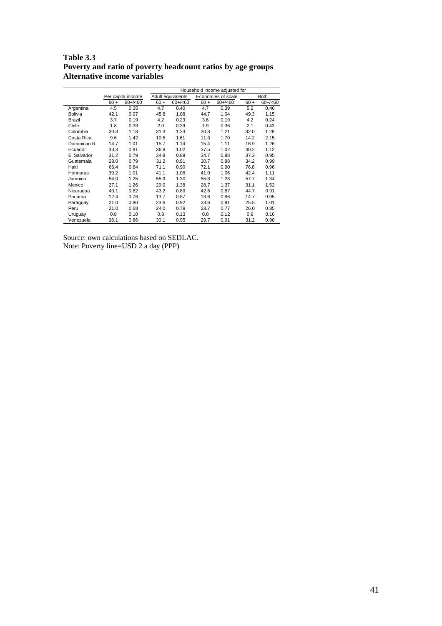**Table 3.3 Poverty and ratio of poverty headcount ratios by age groups Alternative income variables** 

|                |        |                   |        |                   |        | Household income adjusted for |        |             |
|----------------|--------|-------------------|--------|-------------------|--------|-------------------------------|--------|-------------|
|                |        | Per capita income |        | Adult equivalents |        | Economies of scale            |        | <b>Both</b> |
|                | $60 +$ | $60+/-60$         | $60 +$ | $60+/-60$         | $60 +$ | $60+/-60$                     | $60 +$ | $60+/-60$   |
| Argentina      | 4.5    | 0.35              | 4.7    | 0.40              | 4.7    | 0.39                          | 5.2    | 0.46        |
| <b>Bolivia</b> | 42.1   | 0.97              | 45.8   | 1.08              | 44.7   | 1.04                          | 49.3   | 1.15        |
| Brazil         | 3.7    | 0.19              | 4.2    | 0.23              | 3.6    | 0.19                          | 4.2    | 0.24        |
| Chile          | 1.8    | 0.33              | 2.0    | 0.39              | 1.9    | 0.36                          | 2.1    | 0.43        |
| Colombia       | 30.3   | 1.18              | 31.3   | 1.23              | 30.8   | 1.21                          | 32.0   | 1.28        |
| Costa Rica     | 9.6    | 1.42              | 10.5   | 1.61              | 11.3   | 1.70                          | 14.2   | 2.15        |
| Dominican R.   | 14.7   | 1.01              | 15.7   | 1.14              | 15.4   | 1.11                          | 16.9   | 1.26        |
| Ecuador        | 33.3   | 0.91              | 36.8   | 1.02              | 37.5   | 1.02                          | 40.2   | 1.12        |
| El Salvador    | 31.2   | 0.79              | 34.8   | 0.89              | 34.7   | 0.88                          | 37.3   | 0.95        |
| Guatemala      | 28.0   | 0.79              | 31.2   | 0.91              | 30.7   | 0.88                          | 34.2   | 0.99        |
| Haiti          | 66.4   | 0.84              | 71.1   | 0.90              | 72.1   | 0.90                          | 76.8   | 0.96        |
| Honduras       | 39.2   | 1.01              | 41.1   | 1.08              | 41.0   | 1.06                          | 42.4   | 1.11        |
| Jamaica        | 54.0   | 1.25              | 55.9   | 1.30              | 55.8   | 1.28                          | 57.7   | 1.34        |
| Mexico         | 27.1   | 1.26              | 29.0   | 1.38              | 28.7   | 1.37                          | 31.1   | 1.52        |
| Nicaragua      | 40.1   | 0.82              | 43.2   | 0.89              | 42.6   | 0.87                          | 44.7   | 0.91        |
| Panama         | 12.4   | 0.76              | 13.7   | 0.87              | 13.6   | 0.86                          | 14.7   | 0.95        |
| Paraguay       | 21.0   | 0.80              | 23.6   | 0.92              | 23.6   | 0.91                          | 25.8   | 1.01        |
| Peru           | 21.0   | 0.68              | 24.0   | 0.79              | 23.7   | 0.77                          | 26.0   | 0.85        |
| Uruguay        | 0.8    | 0.10              | 0.8    | 0.13              | 0.8    | 0.12                          | 0.9    | 0.16        |
| Venezuela      | 28.1   | 0.86              | 30.1   | 0.95              | 29.7   | 0.91                          | 31.2   | 0.98        |

Source: own calculations based on SEDLAC. Note: Poverty line=USD 2 a day (PPP)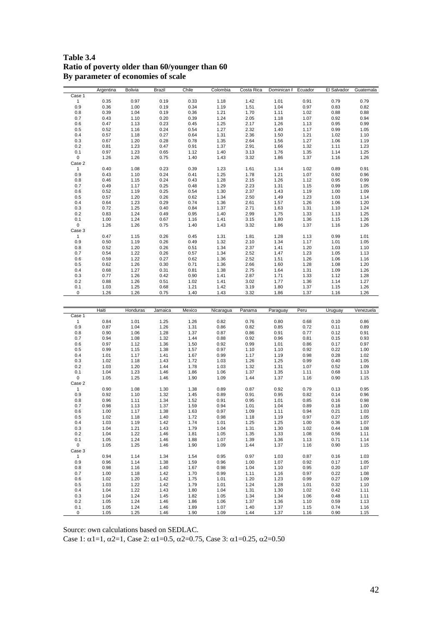**Table 3.4 Ratio of poverty older than 60/younger than 60 By parameter of economies of scale** 

|                    | Argentina    | Bolivia      | Brazil       | Chile        | Colombia     | Costa Rica   | Dominican F  | Ecuador      | El Salvador  | Guatemala    |
|--------------------|--------------|--------------|--------------|--------------|--------------|--------------|--------------|--------------|--------------|--------------|
| Case 1             |              |              |              |              |              |              |              |              |              |              |
| $\mathbf{1}$       | 0.35         | 0.97         | 0.19         | 0.33         | 1.18         | 1.42         | 1.01         | 0.91         | 0.79         | 0.79         |
| 0.9                | 0.36         | 1.00         | 0.19         | 0.34         | 1.19         | 1.51         | 1.04         | 0.97         | 0.83         | 0.82         |
|                    |              |              |              |              |              |              |              |              |              |              |
| 0.8                | 0.39         | 1.04         | 0.19         | 0.36         | 1.21         | 1.70         | 1.11         | 1.02         | 0.88         | 0.88         |
| 0.7                | 0.43         | 1.10         | 0.20         | 0.39         | 1.24         | 2.05         | 1.18         | 1.07         | 0.92         | 0.94         |
| 0.6                | 0.47         | 1.13         | 0.23         | 0.45         | 1.25         | 2.17         | 1.26         | 1.13         | 0.95         | 0.99         |
| 0.5                | 0.52         | 1.16         | 0.24         | 0.54         | 1.27         | 2.32         | 1.40         | 1.17         | 0.99         | 1.05         |
| 0.4                | 0.57         | 1.18         | 0.27         | 0.64         | 1.31         | 2.36         | 1.50         | 1.21         | 1.02         | 1.10         |
|                    |              |              |              |              |              |              |              |              |              |              |
| 0.3                | 0.67         | 1.20         | 0.28         | 0.78         | 1.35         | 2.64         | 1.56         | 1.27         | 1.06         | 1.19         |
| 0.2                | 0.81         | 1.23         | 0.47         | 0.91         | 1.37         | 2.91         | 1.66         | 1.32         | 1.11         | 1.23         |
| 0.1                | 0.97         | 1.23         | 0.65         | 1.12         | 1.40         | 3.13         | 1.76         | 1.35         | 1.14         | 1.25         |
| 0                  | 1.26         | 1.26         | 0.75         | 1.40         | 1.43         | 3.32         | 1.86         | 1.37         | 1.16         | 1.26         |
|                    |              |              |              |              |              |              |              |              |              |              |
| Case 2             |              |              |              |              |              |              |              |              |              |              |
| $\mathbf{1}$       | 0.40         | 1.08         | 0.23         | 0.39         | 1.23         | 1.61         | 1.14         | 1.02         | 0.89         | 0.91         |
| 0.9                | 0.43         | 1.10         | 0.24         | 0.41         | 1.25         | 1.78         | 1.21         | 1.07         | 0.92         | 0.96         |
| 0.8                | 0.46         | 1.15         | 0.24         | 0.43         | 1.28         | 2.15         | 1.26         | 1.12         | 0.95         | 0.99         |
| 0.7                | 0.49         | 1.17         | 0.25         | 0.48         | 1.29         | 2.23         | 1.31         | 1.15         | 0.99         | 1.05         |
|                    |              |              |              |              |              |              |              |              |              |              |
| 0.6                | 0.52         | 1.19         | 0.25         | 0.54         | 1.30         | 2.37         | 1.43         | 1.19         | 1.00         | 1.09         |
| 0.5                | 0.57         | 1.20         | 0.26         | 0.62         | 1.34         | 2.50         | 1.49         | 1.23         | 1.03         | 1.14         |
| 0.4                | 0.64         | 1.23         | 0.29         | 0.74         | 1.36         | 2.61         | 1.57         | 1.26         | 1.06         | 1.20         |
| 0.3                | 0.72         | 1.25         | 0.40         | 0.84         | 1.37         | 2.71         | 1.63         | 1.31         | 1.10         | 1.24         |
|                    |              |              |              |              |              |              |              |              |              |              |
| 0.2                | 0.83         | 1.24         | 0.49         | 0.95         | 1.40         | 2.99         | 1.75         | 1.33         | 1.13         | 1.25         |
| 0.1                | 1.00         | 1.24         | 0.67         | 1.16         | 1.41         | 3.15         | 1.80         | 1.36         | 1.15         | 1.26         |
| 0                  | 1.26         | 1.26         | 0.75         | 1.40         | 1.43         | 3.32         | 1.86         | 1.37         | 1.16         | 1.26         |
| Case 3             |              |              |              |              |              |              |              |              |              |              |
| $\mathbf{1}$       | 0.47         | 1.15         | 0.26         | 0.45         | 1.31         | 1.81         | 1.28         | 1.13         | 0.99         | 1.01         |
|                    |              |              |              |              |              |              |              |              |              |              |
| 0.9                | 0.50         | 1.19         | 0.26         | 0.49         | 1.32         | 2.10         | 1.34         | 1.17         | 1.01         | 1.05         |
| 0.8                | 0.52         | 1.20         | 0.26         | 0.51         | 1.34         | 2.37         | 1.41         | 1.20         | 1.03         | 1.10         |
| 0.7                | 0.54         | 1.22         | 0.26         | 0.57         | 1.34         | 2.52         | 1.47         | 1.23         | 1.05         | 1.13         |
| 0.6                | 0.59         | 1.22         | 0.27         | 0.62         | 1.36         | 2.52         | 1.51         | 1.26         | 1.06         | 1.16         |
|                    |              |              |              |              |              |              |              |              |              |              |
| 0.5                | 0.62         | 1.26         | 0.30         | 0.71         | 1.36         | 2.66         | 1.60         | 1.28         | 1.08         | 1.20         |
| 0.4                | 0.68         | 1.27         | 0.31         | 0.81         | 1.38         | 2.75         | 1.64         | 1.31         | 1.09         | 1.26         |
| 0.3                | 0.77         | 1.26         | 0.42         | 0.90         | 1.41         | 2.87         | 1.71         | 1.33         | 1.12         | 1.28         |
| 0.2                | 0.88         | 1.26         | 0.51         | 1.02         | 1.41         | 3.02         | 1.77         | 1.36         | 1.14         | 1.27         |
| 0.1                | 1.03         | 1.25         | 0.68         | 1.21         | 1.42         | 3.19         | 1.80         | 1.37         | 1.15         | 1.26         |
|                    |              |              |              |              |              |              |              |              |              |              |
| $\mathbf 0$        | 1.26         | 1.26         | 0.75         | 1.40         | 1.43         | 3.32         | 1.86         | 1.37         | 1.16         | 1.26         |
|                    |              |              |              |              |              |              |              |              |              |              |
|                    |              |              |              |              |              |              |              |              |              |              |
|                    |              |              |              |              |              |              |              |              |              |              |
|                    |              |              |              |              |              |              |              |              |              |              |
|                    | Haiti        | Honduras     | Jamaica      | Mexico       | Nicaragua    | Panama       | Paraguay     | Peru         | Uruguay      | Venezuela    |
| Case 1             |              |              |              |              |              |              |              |              |              |              |
| $\mathbf{1}$       | 0.84         | 1.01         | 1.25         | 1.26         | 0.82         | 0.76         | 0.80         | 0.68         | 0.10         | 0.86         |
| 0.9                | 0.87         | 1.04         | 1.26         | 1.31         | 0.86         | 0.82         | 0.85         | 0.72         | 0.11         | 0.89         |
|                    |              |              |              |              |              |              |              |              |              |              |
| 0.8                | 0.90         | 1.06         | 1.28         | 1.37         | 0.87         | 0.86         | 0.91         | 0.77         | 0.12         | 0.91         |
| 0.7                | 0.94         | 1.08         | 1.32         | 1.44         | 0.88         | 0.92         | 0.96         | 0.81         | 0.15         | 0.93         |
| 0.6                | 0.97         | 1.12         | 1.36         | 1.50         | 0.92         | 0.99         | 1.01         | 0.86         | 0.17         | 0.97         |
| 0.5                | 0.99         | 1.15         | 1.38         | 1.57         | 0.97         | 1.10         | 1.10         | 0.92         | 0.22         | 1.00         |
| 0.4                | 1.01         | 1.17         | 1.41         | 1.67         | 0.99         | 1.17         | 1.19         | 0.98         | 0.28         | 1.02         |
|                    |              |              |              |              |              |              |              |              |              |              |
| 0.3                | 1.02         | 1.18         | 1.43         | 1.72         | 1.03         | 1.26         | 1.25         | 0.99         | 0.40         | 1.05         |
| 0.2                | 1.03         | 1.20         | 1.44         | 1.78         | 1.03         | 1.32         | 1.31         | 1.07         | 0.52         | 1.09         |
| 0.1                | 1.04         | 1.23         | 1.46         | 1.86         | 1.06         | 1.37         | 1.35         | 1.11         | 0.68         | 1.13         |
| $\pmb{0}$          | 1.05         | 1.25         | 1.46         | 1.90         | 1.09         | 1.44         | 1.37         | 1.16         | 0.90         | 1.15         |
| Case 2             |              |              |              |              |              |              |              |              |              |              |
|                    |              |              |              |              |              |              |              | 0.79         |              |              |
| $\mathbf{1}$       | 0.90         | 1.08         | 1.30         | 1.38         | 0.89         | 0.87         | 0.92         |              | 0.13         | 0.95         |
| 0.9                | 0.92         | 1.10         | 1.32         | 1.45         | 0.89         | 0.91         | 0.95         | 0.82         | 0.14         | 0.96         |
| 0.8                | 0.96         | 1.11         | 1.34         | 1.52         | 0.91         | 0.95         | 1.01         | 0.85         | 0.16         | 0.98         |
| 0.7                | 0.98         | 1.13         | 1.37         | 1.59         | 0.94         | 1.01         | 1.04         | 0.89         | 0.18         | 1.00         |
| 0.6                | 1.00         | 1.17         | 1.38         | 1.63         | 0.97         | 1.09         | 1.11         | 0.94         | 0.21         | 1.03         |
|                    |              |              |              |              |              |              |              |              |              |              |
| 0.5                | 1.02         | 1.18         | 1.40         | 1.72         | 0.98         | 1.18         | 1.19         | 0.97         | 0.27         | 1.05         |
| 0.4                | 1.03         | 1.19         | 1.42         | 1.74         | 1.01         | 1.25         | 1.25         | 1.00         | 0.36         | 1.07         |
| 0.3                | 1.04         | 1.21         | 1.43         | 1.79         | 1.04         | 1.31         | 1.30         | 1.02         | 0.44         | 1.08         |
| 0.2                | 1.04         | 1.22         | 1.46         | 1.81         | 1.05         | 1.35         | 1.33         | 1.08         | 0.56         | 1.11         |
| 0.1                | 1.05         | 1.24         | 1.46         | 1.88         | 1.07         | 1.39         | 1.36         | 1.13         | 0.71         | 1.14         |
|                    |              |              |              |              |              |              |              |              |              |              |
| 0                  | 1.05         | 1.25         | 1.46         | 1.90         | 1.09         | 1.44         | 1.37         | 1.16         | 0.90         | 1.15         |
| Case 3             |              |              |              |              |              |              |              |              |              |              |
| $\mathbf{1}$       | 0.94         | 1.14         | 1.34         | 1.54         | 0.95         | 0.97         | 1.03         | 0.87         | 0.16         | 1.03         |
| 0.9                | 0.96         | 1.14         | 1.38         | 1.59         | 0.96         | 1.00         | 1.07         | 0.92         | 0.17         | 1.05         |
| 0.8                | 0.98         | 1.16         | 1.40         | 1.67         | 0.98         | 1.04         | 1.10         | 0.95         | 0.20         | 1.07         |
|                    |              |              |              |              |              |              |              |              |              |              |
| 0.7                | 1.00         | 1.18         | 1.42         | 1.70         | 0.99         | 1.11         | 1.16         | 0.97         | 0.22         | 1.08         |
| 0.6                | 1.02         | 1.20         | 1.42         | 1.75         | 1.01         | 1.20         | 1.23         | 0.99         | 0.27         | 1.09         |
| 0.5                | 1.03         | 1.22         | 1.42         | 1.79         | 1.01         | 1.24         | 1.28         | 1.01         | 0.32         | 1.10         |
| 0.4                | 1.04         | 1.22         | 1.43         | 1.80         | 1.04         | 1.31         | 1.30         | 1.02         | 0.42         | 1.11         |
|                    |              |              |              |              |              |              |              |              |              |              |
| 0.3                | 1.04         | 1.24         | 1.45         | 1.82         | 1.05         | 1.34         | 1.34         | 1.06         | 0.48         | 1.11         |
| 0.2                | 1.05         | 1.24         | 1.46         | 1.86         | 1.06         | 1.37         | 1.36         | 1.10         | 0.59         | 1.13         |
| 0.1<br>$\mathbf 0$ | 1.05<br>1.05 | 1.24<br>1.25 | 1.46<br>1.46 | 1.89<br>1.90 | 1.07<br>1.09 | 1.40<br>1.44 | 1.37<br>1.37 | 1.15<br>1.16 | 0.74<br>0.90 | 1.16<br>1.15 |

Case 1: α1=1, α2=1, Case 2: α1=0.5, α2=0.75, Case 3: α1=0.25, α2=0.50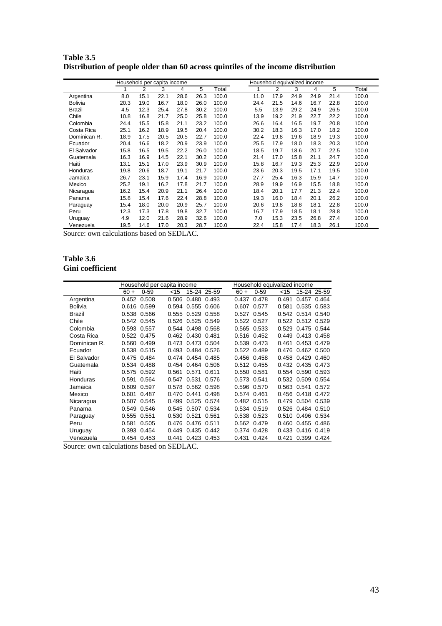|                |      | Household per capita income |      |      |      |       | Household equivalized income |      |      |      |      |      |       |  |
|----------------|------|-----------------------------|------|------|------|-------|------------------------------|------|------|------|------|------|-------|--|
|                |      | 2                           | 3    | 4    | 5    | Total |                              |      | 2    | 3    | 4    | 5    | Total |  |
| Argentina      | 8.0  | 15.1                        | 22.1 | 28.6 | 26.3 | 100.0 |                              | 11.0 | 17.9 | 24.9 | 24.9 | 21.4 | 100.0 |  |
| <b>Bolivia</b> | 20.3 | 19.0                        | 16.7 | 18.0 | 26.0 | 100.0 |                              | 24.4 | 21.5 | 14.6 | 16.7 | 22.8 | 100.0 |  |
| <b>Brazil</b>  | 4.5  | 12.3                        | 25.4 | 27.8 | 30.2 | 100.0 |                              | 5.5  | 13.9 | 29.2 | 24.9 | 26.5 | 100.0 |  |
| Chile          | 10.8 | 16.8                        | 21.7 | 25.0 | 25.8 | 100.0 |                              | 13.9 | 19.2 | 21.9 | 22.7 | 22.2 | 100.0 |  |
| Colombia       | 24.4 | 15.5                        | 15.8 | 21.1 | 23.2 | 100.0 |                              | 26.6 | 16.4 | 16.5 | 19.7 | 20.8 | 100.0 |  |
| Costa Rica     | 25.1 | 16.2                        | 18.9 | 19.5 | 20.4 | 100.0 |                              | 30.2 | 18.3 | 16.3 | 17.0 | 18.2 | 100.0 |  |
| Dominican R.   | 18.9 | 17.5                        | 20.5 | 20.5 | 22.7 | 100.0 |                              | 22.4 | 19.8 | 19.6 | 18.9 | 19.3 | 100.0 |  |
| Ecuador        | 20.4 | 16.6                        | 18.2 | 20.9 | 23.9 | 100.0 |                              | 25.5 | 17.9 | 18.0 | 18.3 | 20.3 | 100.0 |  |
| El Salvador    | 15.8 | 16.5                        | 19.5 | 22.2 | 26.0 | 100.0 |                              | 18.5 | 19.7 | 18.6 | 20.7 | 22.5 | 100.0 |  |
| Guatemala      | 16.3 | 16.9                        | 14.5 | 22.1 | 30.2 | 100.0 |                              | 21.4 | 17.0 | 15.8 | 21.1 | 24.7 | 100.0 |  |
| Haiti          | 13.1 | 15.1                        | 17.0 | 23.9 | 30.9 | 100.0 |                              | 15.8 | 16.7 | 19.3 | 25.3 | 22.9 | 100.0 |  |
| Honduras       | 19.8 | 20.6                        | 18.7 | 19.1 | 21.7 | 100.0 |                              | 23.6 | 20.3 | 19.5 | 17.1 | 19.5 | 100.0 |  |
| Jamaica        | 26.7 | 23.1                        | 15.9 | 17.4 | 16.9 | 100.0 |                              | 27.7 | 25.4 | 16.3 | 15.9 | 14.7 | 100.0 |  |
| Mexico         | 25.2 | 19.1                        | 16.2 | 17.8 | 21.7 | 100.0 |                              | 28.9 | 19.9 | 16.9 | 15.5 | 18.8 | 100.0 |  |
| Nicaragua      | 16.2 | 15.4                        | 20.9 | 21.1 | 26.4 | 100.0 |                              | 18.4 | 20.1 | 17.7 | 21.3 | 22.4 | 100.0 |  |
| Panama         | 15.8 | 15.4                        | 17.6 | 22.4 | 28.8 | 100.0 |                              | 19.3 | 16.0 | 18.4 | 20.1 | 26.2 | 100.0 |  |
| Paraguay       | 15.4 | 18.0                        | 20.0 | 20.9 | 25.7 | 100.0 |                              | 20.6 | 19.8 | 18.8 | 18.1 | 22.8 | 100.0 |  |
| Peru           | 12.3 | 17.3                        | 17.8 | 19.8 | 32.7 | 100.0 |                              | 16.7 | 17.9 | 18.5 | 18.1 | 28.8 | 100.0 |  |
| Uruguay        | 4.9  | 12.0                        | 21.6 | 28.9 | 32.6 | 100.0 |                              | 7.0  | 15.3 | 23.5 | 26.8 | 27.4 | 100.0 |  |
| Venezuela      | 19.5 | 14.6                        | 17.0 | 20.3 | 28.7 | 100.0 |                              | 22.4 | 15.8 | 17.4 | 18.3 | 26.1 | 100.0 |  |

**Table 3.5 Distribution of people older than 60 across quintiles of the income distribution**

#### **Table 3.6 Gini coefficient**

|                |        |             | Household per capita income |                   |             |             |             | Household equivalized income |                   |             |
|----------------|--------|-------------|-----------------------------|-------------------|-------------|-------------|-------------|------------------------------|-------------------|-------------|
|                | $60 +$ | $0 - 59$    | $<$ 15                      |                   | 15-24 25-59 | $60 +$      | $0 - 59$    | $<$ 15                       |                   | 15-24 25-59 |
| Argentina      | 0.452  | 0.508       | 0.506                       | 0.480             | 0.493       | 0.437       | 0.478       | 0.491                        | 0.457             | 0.464       |
| <b>Bolivia</b> | 0.616  | 0.599       | 0.594                       | 0.555             | 0.606       | 0.607       | 0.577       | 0.581                        | 0.535             | 0.583       |
| Brazil         |        | 0.538 0.566 |                             | 0.555 0.529       | 0.558       |             | 0.527 0.545 |                              | 0.542 0.514 0.540 |             |
| Chile          | 0.542  | 0.545       |                             | 0.526 0.525       | 0.549       |             | 0.522 0.527 |                              | 0.522 0.512 0.529 |             |
| Colombia       | 0.593  | 0.557       | 0.544                       | 0.498             | 0.568       | 0.565       | 0.533       | 0.529                        | 0.475             | 0.544       |
| Costa Rica     |        | 0.522 0.475 |                             | 0.462 0.430 0.481 |             |             | 0.516 0.452 | 0.449                        | 0.413 0.458       |             |
| Dominican R.   | 0.560  | 0.499       |                             | 0.473 0.473 0.504 |             |             | 0.539 0.473 | 0.461                        | 0.453             | 0.479       |
| Ecuador        | 0.538  | 0.515       | 0.493                       | 0.484             | 0.526       | 0.522       | 0.489       | 0.476                        | 0.462             | 0.500       |
| El Salvador    | 0.475  | 0.484       |                             | 0.474 0.454 0.485 |             |             | 0.456 0.458 | 0.458                        | 0.429             | 0.460       |
| Guatemala      | 0.534  | 0.488       |                             | 0.454 0.464 0.506 |             |             | 0.512 0.455 | 0.432                        | 0.435             | 0.473       |
| Haiti          | 0.575  | 0.592       | 0.561                       | 0.571             | 0.611       | 0.550       | 0.581       | 0.554                        | 0.590             | 0.593       |
| Honduras       | 0.591  | 0.564       |                             | 0.547 0.531       | 0.576       | 0.573 0.541 |             | 0.532                        | 0.509             | 0.554       |
| Jamaica        | 0.609  | 0.597       |                             | 0.578 0.562 0.598 |             |             | 0.596 0.570 | 0.563                        | 0.541             | 0.572       |
| Mexico         | 0.601  | 0.487       | 0.470                       | 0.441             | 0.498       | 0.574 0.461 |             | 0.456                        | 0.418             | 0.472       |
| Nicaragua      | 0.507  | 0.545       | 0.499                       | 0.525             | 0.574       |             | 0.482 0.515 | 0.479                        | 0.504             | 0.539       |
| Panama         | 0.549  | 0.546       | 0.545                       | 0.507             | 0.534       | 0.534       | 0.519       | 0.526                        | 0.484 0.510       |             |
| Paraguay       | 0.555  | 0.551       | 0.530                       | 0.521             | 0.561       | 0.538       | 0.523       | 0.510                        | 0.496             | 0.534       |
| Peru           | 0.581  | 0.505       | 0.476                       | 0.476             | 0.511       | 0.562       | 0.479       | 0.460                        | 0.455             | 0.486       |
| Uruguay        | 0.393  | 0.454       | 0.449                       | 0.435 0.442       |             |             | 0.374 0.428 | 0.433                        | 0.416 0.419       |             |
| Venezuela      |        | 0.454 0.453 |                             | 0.441 0.423 0.453 |             | 0.431       | 0.424       | 0.421                        | 0.399             | 0.424       |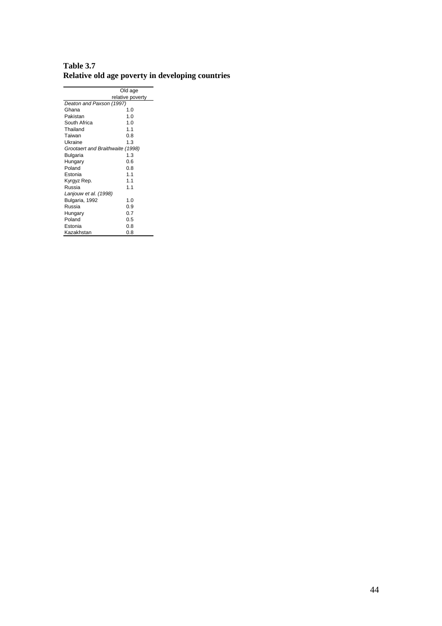|                                  | Old age          |
|----------------------------------|------------------|
|                                  | relative poverty |
| Deaton and Paxson (1997)         |                  |
| Ghana                            | 1.0              |
| Pakistan                         | 1.0              |
| South Africa                     | 1.0              |
| Thailand                         | 1.1              |
| Taiwan                           | 0.8              |
| Ukraine                          | 1.3              |
| Grootaert and Braithwaite (1998) |                  |
| Bulgaria                         | 1.3              |
| Hungary                          | 0.6              |
| Poland                           | 0.8              |
| Estonia                          | 1.1              |
| Kyrgyz Rep.                      | 1.1              |
| Russia                           | 1.1              |
| Lanjouw et al. (1998)            |                  |
| Bulgaria, 1992                   | 1.0              |
| Russia                           | 0.9              |
| Hungary                          | 0.7              |
| Poland                           | 0.5              |
| Estonia                          | 0.8              |
| Kazakhstan                       | 0.8              |

| Table 3.7                                        |  |  |
|--------------------------------------------------|--|--|
| Relative old age poverty in developing countries |  |  |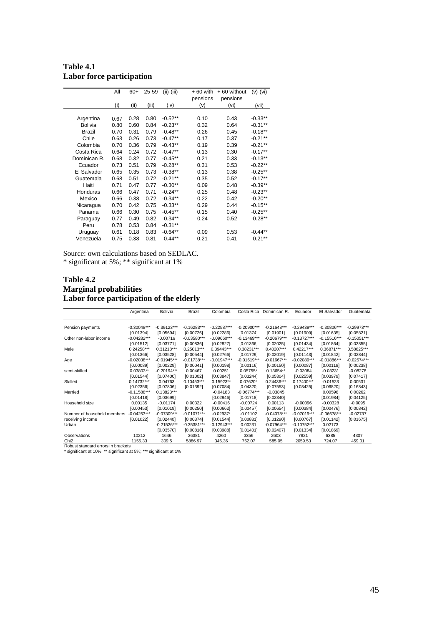**Table 4.1 Labor force participation** 

|                | All  | $60+$ | 25-59 | $(ii)-(iii)$ | $+60$ with | + 60 without | $(v)-(vi)$ |
|----------------|------|-------|-------|--------------|------------|--------------|------------|
|                |      |       |       |              | pensions   | pensions     |            |
|                | (i)  | (ii)  | (iii) | (iv)         | (v)        | (vi)         | (vii)      |
|                |      |       |       |              |            |              |            |
| Argentina      | 0.67 | 0.28  | 0.80  | $-0.52**$    | 0.10       | 0.43         | $-0.33**$  |
| <b>Bolivia</b> | 0.80 | 0.60  | 0.84  | $-0.23**$    | 0.32       | 0.64         | $-0.31**$  |
| Brazil         | 0.70 | 0.31  | 0.79  | $-0.48**$    | 0.26       | 0.45         | $-0.18**$  |
| Chile          | 0.63 | 0.26  | 0.73  | $-0.47**$    | 0.17       | 0.37         | $-0.21**$  |
| Colombia       | 0.70 | 0.36  | 0.79  | $-0.43**$    | 0.19       | 0.39         | $-0.21**$  |
| Costa Rica     | 0.64 | 0.24  | 0.72  | $-0.47**$    | 0.13       | 0.30         | $-0.17**$  |
| Dominican R.   | 0.68 | 0.32  | 0.77  | $-0.45**$    | 0.21       | 0.33         | $-0.13**$  |
| Ecuador        | 0.73 | 0.51  | 0.79  | $-0.28**$    | 0.31       | 0.53         | $-0.22**$  |
| El Salvador    | 0.65 | 0.35  | 0.73  | $-0.38**$    | 0.13       | 0.38         | $-0.25**$  |
| Guatemala      | 0.68 | 0.51  | 0.72  | $-0.21**$    | 0.35       | 0.52         | $-0.17**$  |
| Haiti          | 0.71 | 0.47  | 0.77  | $-0.30**$    | 0.09       | 0.48         | $-0.39**$  |
| Honduras       | 0.66 | 0.47  | 0.71  | $-0.24**$    | 0.25       | 0.48         | $-0.23**$  |
| Mexico         | 0.66 | 0.38  | 0.72  | $-0.34**$    | 0.22       | 0.42         | $-0.20**$  |
| Nicaragua      | 0.70 | 0.42  | 0.75  | $-0.33**$    | 0.29       | 0.44         | $-0.15***$ |
| Panama         | 0.66 | 0.30  | 0.75  | $-0.45**$    | 0.15       | 0.40         | $-0.25**$  |
| Paraguay       | 0.77 | 0.49  | 0.82  | $-0.34**$    | 0.24       | 0.52         | $-0.28**$  |
| Peru           | 0.78 | 0.53  | 0.84  | $-0.31**$    |            |              |            |
| Uruguay        | 0.61 | 0.18  | 0.83  | $-0.64**$    | 0.09       | 0.53         | $-0.44**$  |
| Venezuela      | 0.75 | 0.38  | 0.81  | $-0.44**$    | 0.21       | 0.41         | $-0.21**$  |
|                |      |       |       |              |            |              |            |

\* significant at 5%; \*\* significant at 1%

#### **Table 4.2 Marginal probabilities Labor force participation of the elderly**

|                                                                   | Argentina     | <b>Bolivia</b> | Brazil        | Colombia      | Costa Rica    | Dominican R.  | Ecuador       | El Salvador   | Guatemala     |
|-------------------------------------------------------------------|---------------|----------------|---------------|---------------|---------------|---------------|---------------|---------------|---------------|
| Pension payments                                                  | $-0.30048***$ | $-0.39123***$  | $-0.16283***$ | $-0.22587***$ | $-0.20900***$ | $-0.21648***$ | $-0.29439***$ | $-0.30806***$ | $-0.29973***$ |
|                                                                   | [0.01394]     | [0.05694]      | [0.00726]     | [0.02286]     | [0.01374]     | [0.01901]     | [0.01909]     | [0.01635]     | [0.05821]     |
| Other non-labor income                                            | $-0.04282***$ | $-0.00716$     | $-0.03580***$ | $-0.09660***$ | $-0.13469***$ | $-0.20679***$ | $-0.13727***$ | $-0.15516***$ | $-0.15051***$ |
|                                                                   | [0.01512]     | [0.03771]      | [0.00836]     | [0.02827]     | [0.01366]     | [0.02025]     | [0.01434]     | [0.01864]     | [0.03855]     |
| Male                                                              | 0.24258***    | $0.31218***$   | $0.25013***$  | 0.39443***    | 0.38231***    | $0.40207***$  | $0.42217***$  | 0.36871***    | 0.58625***    |
|                                                                   | [0.01366]     | [0.03528]      | [0.00544]     | [0.02766]     | [0.01729]     | [0.02019]     | [0.01143]     | [0.01842]     | [0.02844]     |
| Age                                                               | $-0.02038***$ | $-0.01945***$  | $-0.01738***$ | $-0.01947***$ | $-0.01619***$ | $-0.01667***$ | $-0.02089***$ | $-0.01886***$ | $-0.02574***$ |
|                                                                   | [0.00089]     | [0.00229]      | [0.00041]     | [0.00198]     | [0.00116]     | [0.00150]     | [0.00087]     | [0.00118]     | [0.00238]     |
| semi-skilled                                                      | $0.03803**$   | $-0.20194***$  | 0.00467       | 0.00251       | $0.05755*$    | $0.13654**$   | $-0.03084$    | $-0.03231$    | $-0.08278$    |
|                                                                   | [0.01544]     | [0.07400]      | [0.01002]     | [0.03847]     | [0.03244]     | [0.05304]     | [0.02559]     | [0.03979]     | [0.07417]     |
| Skilled                                                           | $0.14732***$  | 0.04763        | $0.10453***$  | $0.15923**$   | $0.07620*$    | 0.24436***    | $0.17400***$  | $-0.01523$    | 0.00531       |
|                                                                   | [0.02356]     | [0.07806]      | [0.01392]     | [0.07084]     | [0.04320]     | [0.07553]     | [0.03425]     | [0.06820]     | [0.16843]     |
| Married                                                           | $-0.11588***$ | 0.13823***     |               | $-0.04183$    | $-0.06774***$ | $-0.03845$    |               | 0.00596       | 0.00262       |
|                                                                   | [0.01418]     | [0.03699]      |               | [0.02946]     | [0.01718]     | [0.02340]     |               | [0.01984]     | [0.04125]     |
| Household size                                                    | 0.00135       | $-0.01174$     | 0.00322       | $-0.00416$    | $-0.00724$    | 0.00113       | $-0.00096$    | $-0.00328$    | $-0.0095$     |
|                                                                   | [0.00453]     | [0.01019]      | [0.00250]     | [0.00662]     | [0.00457]     | [0.00654]     | [0.00384]     | [0.00476]     | [0.00842]     |
| Number of household members                                       | $-0.04253***$ | $-0.07309***$  | $-0.01071***$ | $-0.02937*$   | $-0.01102$    | $-0.04078***$ | $-0.07019***$ | $-0.06678***$ | $-0.02737$    |
| receiving income                                                  | [0.01022]     | [0.02440]      | [0.00374]     | [0.01544]     | [0.00881]     | [0.01290]     | [0.00767]     | [0.01142]     | [0.01675]     |
| Urban                                                             |               | $-0.21526***$  | $-0.35381***$ | $-0.12943***$ | 0.00231       | $-0.07964***$ | $-0.10752***$ | 0.02173       |               |
|                                                                   |               | [0.03570]      | [0.00816]     | [0.03988]     | [0.01401]     | [0.02407]     | [0.01334]     | [0.01869]     |               |
| Observations                                                      | 10212         | 1646           | 36381         | 4260          | 3356          | 2603          | 7821          | 6385          | 4307          |
| Chi <sub>2</sub>                                                  | 1155.33       | 309.5          | 5886.97       | 346.36        | 762.07        | 585.05        | 2059.53       | 724.07        | 459.01        |
| Robust standard errors in brackets                                |               |                |               |               |               |               |               |               |               |
| * significant at 10%; ** significant at 5%; *** significant at 1% |               |                |               |               |               |               |               |               |               |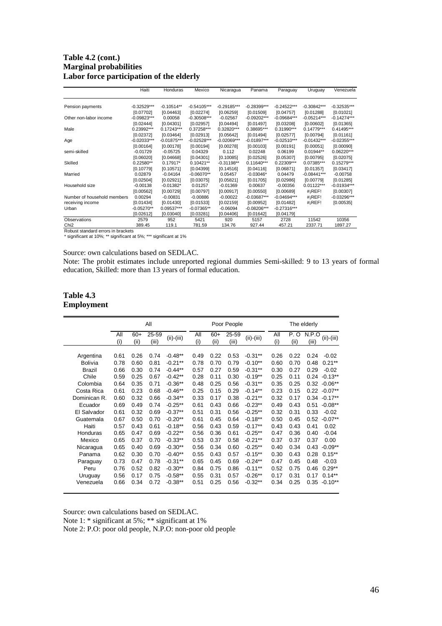#### **Table 4.2 (cont.) Marginal probabilities Labor force participation of the elderly**

|                                                                   | Haiti         | Honduras      | Mexico        | Nicaragua     | Panama        | Paraguay      | Uruguay               | Venezuela     |
|-------------------------------------------------------------------|---------------|---------------|---------------|---------------|---------------|---------------|-----------------------|---------------|
| Pension payments                                                  | $-0.32529***$ | $-0.10514**$  | $-0.54105***$ | $-0.29185***$ | $-0.28399***$ | $-0.24522***$ | $-0.30842***$         | $-0.32535***$ |
|                                                                   | [0.07702]     | [0.04463]     | [0.02274]     | [0.06259]     | [0.01509]     | [0.04757]     | [0.01288]             | [0.01021]     |
| Other non-labor income                                            | $-0.09823***$ | 0.00058       | $-0.30508***$ | $-0.02567$    | $-0.09202***$ | $-0.09684***$ | $-0.05214***$         | $-0.14274***$ |
|                                                                   | [0.02444]     | [0.04301]     | [0.02957]     | [0.04494]     | [0.01497]     | [0.03208]     | [0.00602]             | [0.01365]     |
| Male                                                              | 0.23992***    | $0.17243***$  | 0.37258***    | 0.32820***    | 0.38695***    | $0.31990***$  | $0.14779***$          | 0.41495***    |
|                                                                   | [0.02372]     | [0.03464]     | [0.02913]     | [0.05642]     | [0.01494]     | [0.02577]     | [0.00794]             | [0.01161]     |
| Age                                                               | $-0.02033***$ | $-0.01875***$ | $-0.02528***$ | $-0.02069***$ | $-0.01897***$ | $-0.02510***$ | $-0.01432***$         | $-0.02355***$ |
|                                                                   | [0.00164]     | [0.00178]     | [0.00194]     | [0.00278]     | [0.00103]     | [0.00191]     | [0.00051]             | [0.00090]     |
| semi-skilled                                                      | $-0.01729$    | $-0.05725$    | 0.04329       | 0.112         | 0.02248       | 0.06199       | $0.01944**$           | $0.06220***$  |
|                                                                   | [0.06020]     | [0.04668]     | [0.04301]     | [0.10085]     | [0.02526]     | [0.05307]     | [0.00795]             | [0.02075]     |
| Skilled                                                           | $0.22580**$   | $0.17917*$    | $0.10421**$   | $-0.31198**$  | $0.11640***$  | $0.22309***$  | 0.07385***            | $0.15279***$  |
|                                                                   | [0.10779]     | [0.10571]     | [0.04399]     | [0.14516]     | [0.04116]     | [0.06871]     | [0.01357]             | [0.03417]     |
| Married                                                           | 0.02879       | $-0.04164$    | $-0.06070**$  | 0.05457       | $-0.03046*$   | 0.04479       | $-0.08441***$         | $-0.00758$    |
|                                                                   | [0.02504]     | [0.02921]     | [0.03075]     | [0.05821]     | [0.01705]     | [0.02986]     | [0.00779]             | [0.01285]     |
| Household size                                                    | $-0.00138$    | $-0.01382*$   | 0.01257       | $-0.01369$    | 0.00637       | $-0.00356$    | $0.01122***$          | $-0.01934***$ |
|                                                                   | [0.00562]     | [0.00729]     | [0.00797]     | [0.00917]     | [0.00550]     | [0.00689]     | $#$ <sub>i</sub> REF! | [0.00307]     |
| Number of household members                                       | 0.00294       | $-0.00831$    | $-0.00886$    | $-0.00022$    | $-0.03687***$ | $-0.04694***$ | $#$ <sub>i</sub> REF! | $-0.03296***$ |
| receiving income                                                  | [0.01434]     | [0.01430]     | [0.01533]     | [0.02159]     | [0.00952]     | [0.01482]     | $#$ <sub>i</sub> REF! | [0.00535]     |
| Urban                                                             | $-0.05270**$  | 0.09537***    | $-0.07365**$  | $-0.06094$    | $-0.08206***$ | $-0.27316***$ |                       |               |
|                                                                   | [0.02612]     | [0.03040]     | [0.03281]     | [0.04406]     | [0.01642]     | [0.04179]     |                       |               |
| Observations                                                      | 2579          | 952           | 5421          | 920           | 5157          | 2728          | 11542                 | 10356         |
| Chi <sub>2</sub>                                                  | 389.45        | 119.1         | 781.59        | 134.76        | 927.44        | 457.21        | 2337.71               | 1897.27       |
| Robust standard errors in brackets                                |               |               |               |               |               |               |                       |               |
| * significant at 10%; ** significant at 5%; *** significant at 1% |               |               |               |               |               |               |                       |               |

#### Source: own calculations based on SEDLAC.

Note: The probit estimates include unreported regional dummies Semi-skilled: 9 to 13 years of formal education, Skilled: more than 13 years of formal education.

#### **Table 4.3 Employment**

|                |            |               | All            |              |            |               | Poor People    |              | The elderly |              |                |                 |  |
|----------------|------------|---------------|----------------|--------------|------------|---------------|----------------|--------------|-------------|--------------|----------------|-----------------|--|
|                | All<br>(i) | $60+$<br>(ii) | 25-59<br>(iii) | $(ii)-(iii)$ | All<br>(i) | $60+$<br>(ii) | 25-59<br>(iii) | $(ii)-(iii)$ | All<br>(i)  | P. O<br>(ii) | N.P.O<br>(iii) | $(ii)-(iii)$    |  |
| Argentina      | 0.61       | 0.26          | 0.74           | $-0.48**$    | 0.49       | 0.22          | 0.53           | $-0.31***$   | 0.26        | 0.22         | 0.24           | $-0.02$         |  |
| <b>Bolivia</b> | 0.78       | 0.60          | 0.81           | $-0.21**$    | 0.78       | 0.70          | 0.79           | $-0.10**$    | 0.60        | 0.70         | 0.48           | $0.21**$        |  |
| <b>Brazil</b>  | 0.66       | 0.30          | 0.74           | $-0.44**$    | 0.57       | 0.27          | 0.59           | $-0.31***$   | 0.30        | 0.27         | 0.29           | $-0.02$         |  |
| Chile          | 0.59       | 0.25          | 0.67           | $-0.42**$    | 0.28       | 0.11          | 0.30           | $-0.19**$    | 0.25        | 0.11         | 0.24           | $-0.13**$       |  |
| Colombia       | 0.64       | 0.35          | 0.71           | $-0.36**$    | 0.48       | 0.25          | 0.56           | $-0.31***$   | 0.35        | 0.25         |                | $0.32 - 0.06**$ |  |
| Costa Rica     | 0.61       | 0.23          | 0.68           | $-0.46**$    | 0.25       | 0.15          | 0.29           | $-0.14**$    | 0.23        | 0.15         |                | $0.22 - 0.07**$ |  |
| Dominican R.   | 0.60       | 0.32          | 0.66           | $-0.34**$    | 0.33       | 0.17          | 0.38           | $-0.21***$   | 0.32        | 0.17         |                | $0.34 - 0.17**$ |  |
| Ecuador        | 0.69       | 0.49          | 0.74           | $-0.25**$    | 0.61       | 0.43          | 0.66           | $-0.23**$    | 0.49        | 0.43         | 0.51           | $-0.08**$       |  |
| El Salvador    | 0.61       | 0.32          | 0.69           | $-0.37**$    | 0.51       | 0.31          | 0.56           | $-0.25**$    | 0.32        | 0.31         | 0.33           | $-0.02$         |  |
| Guatemala      | 0.67       | 0.50          | 0.70           | $-0.20**$    | 0.61       | 0.45          | 0.64           | $-0.18**$    | 0.50        | 0.45         | 0.52           | $-0.07**$       |  |
| Haiti          | 0.57       | 0.43          | 0.61           | $-0.18**$    | 0.56       | 0.43          | 0.59           | $-0.17**$    | 0.43        | 0.43         | 0.41           | 0.02            |  |
| Honduras       | 0.65       | 0.47          | 0.69           | $-0.22**$    | 0.56       | 0.36          | 0.61           | $-0.25**$    | 0.47        | 0.36         | 0.40           | $-0.04$         |  |
| Mexico         | 0.65       | 0.37          | 0.70           | $-0.33**$    | 0.53       | 0.37          | 0.58           | $-0.21***$   | 0.37        | 0.37         | 0.37           | 0.00            |  |
| Nicaragua      | 0.65       | 0.40          | 0.69           | $-0.30**$    | 0.56       | 0.34          | 0.60           | $-0.25**$    | 0.40        | 0.34         | 0.43           | $-0.09**$       |  |
| Panama         | 0.62       | 0.30          | 0.70           | $-0.40**$    | 0.55       | 0.43          | 0.57           | $-0.15***$   | 0.30        | 0.43         | 0.28           | $0.15***$       |  |
| Paraguay       | 0.73       | 0.47          | 0.78           | $-0.31**$    | 0.65       | 0.45          | 0.69           | $-0.24**$    | 0.47        | 0.45         | 0.48           | $-0.03$         |  |
| Peru           | 0.76       | 0.52          | 0.82           | $-0.30**$    | 0.84       | 0.75          | 0.86           | $-0.11***$   | 0.52        | 0.75         | 0.46           | $0.29**$        |  |
| Uruguay        | 0.56       | 0.17          | 0.75           | $-0.58**$    | 0.55       | 0.31          | 0.57           | $-0.26**$    | 0.17        | 0.31         | 0.17           | $0.14***$       |  |
| Venezuela      | 0.66       | 0.34          | 0.72           | $-0.38**$    | 0.51       | 0.25          | 0.56           | $-0.32**$    | 0.34        | 0.25         | 0.35           | $-0.10**$       |  |

Source: own calculations based on SEDLAC. Note 1: \* significant at 5%; \*\* significant at 1% Note 2: P.O: poor old people, N.P.O: non-poor old people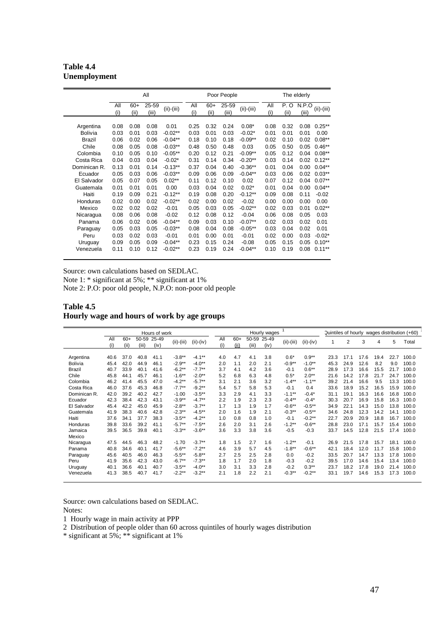**Table 4.4 Unemployment** 

|                |            |               | All            |              |            |               | Poor People    |              | The elderly |              |                |              |  |
|----------------|------------|---------------|----------------|--------------|------------|---------------|----------------|--------------|-------------|--------------|----------------|--------------|--|
|                | All<br>(i) | $60+$<br>(ii) | 25-59<br>(iii) | $(ii)-(iii)$ | All<br>(i) | $60+$<br>(ii) | 25-59<br>(iii) | $(ii)-(iii)$ | All<br>(i)  | P. O<br>(ii) | N.P.O<br>(iii) | $(ii)-(iii)$ |  |
| Argentina      | 0.08       | 0.08          | 0.08           | 0.01         | 0.25       | 0.32          | 0.24           | $0.08*$      | 0.08        | 0.32         | 0.08           | $0.25***$    |  |
| <b>Bolivia</b> | 0.03       | 0.01          | 0.03           | $-0.02**$    | 0.03       | 0.01          | 0.03           | $-0.02*$     | 0.01        | 0.01         | 0.01           | 0.00         |  |
| Brazil         | 0.06       | 0.02          | 0.06           | $-0.04**$    | 0.18       | 0.10          | 0.18           | $-0.09**$    | 0.02        | 0.10         | 0.02           | $0.08**$     |  |
| Chile          | 0.08       | 0.05          | 0.08           | $-0.03**$    | 0.48       | 0.50          | 0.48           | 0.03         | 0.05        | 0.50         | 0.05           | $0.46**$     |  |
| Colombia       | 0.10       | 0.05          | 0.10           | $-0.05**$    | 0.20       | 0.12          | 0.21           | $-0.09**$    | 0.05        | 0.12         | 0.04           | $0.08**$     |  |
| Costa Rica     | 0.04       | 0.03          | 0.04           | $-0.02*$     | 0.31       | 0.14          | 0.34           | $-0.20**$    | 0.03        | 0.14         | 0.02           | $0.12***$    |  |
| Dominican R.   | 0.13       | 0.01          | 0.14           | $-0.13**$    | 0.37       | 0.04          | 0.40           | $-0.36**$    | 0.01        | 0.04         | 0.00           | $0.04***$    |  |
| Ecuador        | 0.05       | 0.03          | 0.06           | $-0.03**$    | 0.09       | 0.06          | 0.09           | $-0.04**$    | 0.03        | 0.06         | 0.02           | $0.03**$     |  |
| El Salvador    | 0.05       | 0.07          | 0.05           | $0.02**$     | 0.11       | 0.12          | 0.10           | 0.02         | 0.07        | 0.12         | 0.04           | $0.07**$     |  |
| Guatemala      | 0.01       | 0.01          | 0.01           | 0.00         | 0.03       | 0.04          | 0.02           | $0.02*$      | 0.01        | 0.04         | 0.00           | $0.04***$    |  |
| Haiti          | 0.19       | 0.09          | 0.21           | $-0.12**$    | 0.19       | 0.08          | 0.20           | $-0.12**$    | 0.09        | 0.08         | 0.11           | $-0.02$      |  |
| Honduras       | 0.02       | 0.00          | 0.02           | $-0.02**$    | 0.02       | 0.00          | 0.02           | $-0.02$      | 0.00        | 0.00         | 0.00           | 0.00         |  |
| Mexico         | 0.02       | 0.02          | 0.02           | $-0.01$      | 0.05       | 0.03          | 0.05           | $-0.02**$    | 0.02        | 0.03         | 0.01           | $0.02**$     |  |
| Nicaragua      | 0.08       | 0.06          | 0.08           | $-0.02$      | 0.12       | 0.08          | 0.12           | $-0.04$      | 0.06        | 0.08         | 0.05           | 0.03         |  |
| Panama         | 0.06       | 0.02          | 0.06           | $-0.04**$    | 0.09       | 0.03          | 0.10           | $-0.07**$    | 0.02        | 0.03         | 0.02           | 0.01         |  |
| Paraguay       | 0.05       | 0.03          | 0.05           | $-0.03**$    | 0.08       | 0.04          | 0.08           | $-0.05**$    | 0.03        | 0.04         | 0.02           | 0.01         |  |
| Peru           | 0.03       | 0.02          | 0.03           | $-0.01$      | 0.01       | 0.00          | 0.01           | $-0.01$      | 0.02        | 0.00         | 0.03           | $-0.02*$     |  |
| Uruguay        | 0.09       | 0.05          | 0.09           | $-0.04**$    | 0.23       | 0.15          | 0.24           | $-0.08$      | 0.05        | 0.15         | 0.05           | $0.10**$     |  |
| Venezuela      | 0.11       | 0.10          | 0.12           | $-0.02**$    | 0.23       | 0.19          | 0.24           | $-0.04**$    | 0.10        | 0.19         | 0.08           | $0.11***$    |  |

Note 1: \* significant at 5%; \*\* significant at 1%

Note 2: P.O: poor old people, N.P.O: non-poor old people

#### **Table 4.5 Hourly wage and hours of work by age groups**

|                |            |               |                | Hours of work |              |             |            |               |       | Hourly wages        |              |             | Quintiles of hourly wages distribution (+60) |                |      |      |      |       |
|----------------|------------|---------------|----------------|---------------|--------------|-------------|------------|---------------|-------|---------------------|--------------|-------------|----------------------------------------------|----------------|------|------|------|-------|
|                | All<br>(i) | $60+$<br>(ii) | 50-59<br>(iii) | 25-49<br>(iv) | $(ii)-(iii)$ | $(ii)-(iv)$ | All<br>(i) | $60+$<br>(ii) | (iii) | 50-59 25-49<br>(iv) | $(ii)-(iii)$ | $(ii)-(iv)$ | 1                                            | $\overline{2}$ | 3    | 4    | 5    | Total |
| Argentina      | 40.6       | 37.0          | 40.8           | 41.1          | $-3.8**$     | $-4.1***$   | 4.0        | 4.7           | 4.1   | 3.8                 | $0.6*$       | $0.9**$     | 23.3                                         | 17.1           | 17.6 | 19.4 | 22.7 | 100.0 |
| <b>Bolivia</b> | 45.4       | 42.0          | 44.9           | 46.1          | $-2.9**$     | $-4.0**$    | 2.0        | 1.1           | 2.0   | 2.1                 | $-0.9**$     | $-1.0**$    | 45.3                                         | 24.9           | 12.6 | 8.2  | 9.0  | 100.0 |
| Brazil         | 40.7       | 33.9          | 40.1           | 41.6          | $-6.2**$     | $-7.7***$   | 3.7        | 4.1           | 4.2   | 3.6                 | $-0.1$       | $0.6***$    | 28.9                                         | 17.3           | 16.6 | 15.5 | 21.7 | 100.0 |
| Chile          | 45.8       | 44.1          | 45.7           | 46.1          | $-1.6***$    | $-2.0**$    | 5.2        | 6.8           | 6.3   | 4.8                 | $0.5*$       | $2.0**$     | 21.6                                         | 14.2           | 17.8 | 21.7 | 24.7 | 100.0 |
| Colombia       | 46.2       | 41.4          | 45.5           | 47.0          | $-4.2**$     | $-5.7***$   | 3.1        | 2.1           | 3.6   | 3.2                 | $-1.4***$    | $-1.1***$   | 39.2                                         | 21.4           | 16.6 | 9.5  | 13.3 | 100.0 |
| Costa Rica     | 46.0       | 37.6          | 45.3           | 46.8          | $-7.7**$     | $-9.2**$    | 5.4        | 5.7           | 5.8   | 5.3                 | $-0.1$       | 0.4         | 33.6                                         | 18.9           | 15.2 | 16.5 | 15.9 | 100.0 |
| Dominican R.   | 42.0       | 39.2          | 40.2           | 42.7          | $-1.00$      | $-3.5***$   | 3.3        | 2.9           | 4.1   | 3.3                 | $-1.1***$    | $-0.4*$     | 31.1                                         | 19.1           | 16.3 | 16.6 | 16.8 | 100.0 |
| Ecuador        | 42.3       | 38.4          | 42.3           | 43.1          | $-3.9**$     | $-4.7***$   | 2.2        | 1.9           | 2.3   | 2.3                 | $-0.4***$    | $-0.4*$     | 30.3                                         | 20.7           | 16.9 | 15.8 | 16.3 | 100.0 |
| El Salvador    | 45.4       | 42.2          | 45.0           | 45.9          | $-2.8**$     | $-3.7**$    | 1.7        | 1.3           | 1.9   | 1.7                 | $-0.6***$    | $-0.5***$   | 34.9                                         | 22.1           | 14.3 | 15.0 | 13.8 | 100.0 |
| Guatemala      | 41.9       | 38.3          | 40.6           | 42.8          | $-2.3**$     | $-4.5***$   | 2.0        | 1.6           | 1.9   | 2.1                 | $-0.3**$     | $-0.5***$   | 34.6                                         | 24.8           | 12.3 | 14.2 | 14.1 | 100.0 |
| Haiti          | 37.6       | 34.1          | 37.7           | 38.3          | $-3.5***$    | $-4.2***$   | 1.0        | 0.8           | 0.8   | 1.0                 | $-0.1$       | $-0.2**$    | 22.7                                         | 20.9           | 20.9 | 18.8 | 16.7 | 100.0 |
| Honduras       | 39.8       | 33.6          | 39.2           | 41.1          | $-5.7**$     | $-7.5***$   | 2.6        | 2.0           | 3.1   | 2.6                 | $-1.2**$     | $-0.6***$   | 28.8                                         | 23.0           | 17.1 | 15.7 | 15.4 | 100.0 |
| Jamaica        | 39.5       | 36.5          | 39.8           | 40.1          | $-3.3**$     | $-3.6***$   | 3.6        | 3.3           | 3.8   | 3.6                 | $-0.5$       | $-0.3$      | 33.7                                         | 14.5           | 12.8 | 21.5 | 17.4 | 100.0 |
| Mexico         |            |               |                |               |              |             |            |               |       |                     |              |             |                                              |                |      |      |      |       |
| Nicaragua      | 47.5       | 44.5          | 46.3           | 48.2          | $-1.70$      | $-3.7***$   | 1.8        | 1.5           | 2.7   | 1.6                 | $-1.2**$     | $-0.1$      | 26.9                                         | 21.5           | 17.8 | 15.7 | 18.1 | 100.0 |
| Panama         | 40.8       | 34.6          | 40.1           | 41.7          | $-5.6***$    | $-7.2**$    | 4.6        | 3.9           | 5.7   | 4.5                 | $-1.8***$    | $-0.6**$    | 42.1                                         | 18.4           | 12.0 | 11.7 | 15.8 | 100.0 |
| Paraguay       | 45.6       | 40.5          | 46.0           | 46.3          | $-5.5***$    | $-5.8**$    | 2.7        | 2.5           | 2.5   | 2.8                 | 0.0          | $-0.2$      | 33.5                                         | 20.7           | 14.7 | 13.3 | 17.8 | 100.0 |
| Peru           | 41.9       | 35.6          | 42.3           | 43.0          | $-6.7**$     | $-7.3**$    | 1.8        | 1.7           | 2.0   | 1.8                 | $-0.3$       | $-0.2$      | 39.5                                         | 17.0           | 14.6 | 15.4 | 13.4 | 100.0 |
| Uruguay        | 40.1       | 36.6          | 40.1           | 40.7          | $-3.5***$    | $-4.0**$    | 3.0        | 3.1           | 3.3   | 2.8                 | $-0.2$       | $0.3***$    | 23.7                                         | 18.2           | 17.8 | 19.0 | 21.4 | 100.0 |
| Venezuela      | 41.3       | 38.5          | 40.7           | 41.7          | $-2.2**$     | $-3.2**$    | 2.1        | 1.8           | 2.2   | 2.1                 | $-0.3**$     | $-0.2**$    | 33.1                                         | 19.7           | 14.6 | 15.3 | 17.3 | 100.0 |

Source: own calculations based on SEDLAC.

Notes:

1 Hourly wage in main activity at PPP

2 Distribution of people older than 60 across quintiles of hourly wages distribution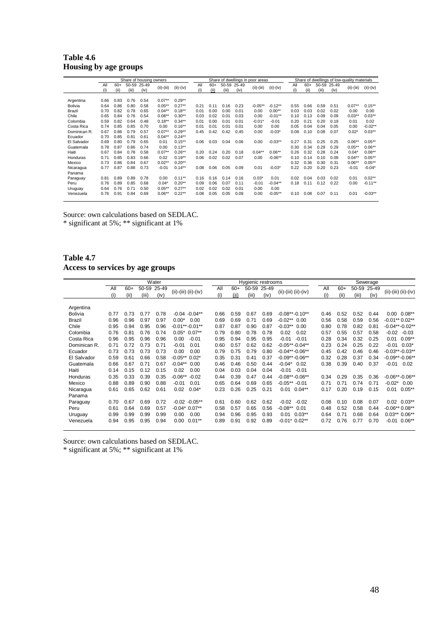| Table 4.6 |                       |
|-----------|-----------------------|
|           | Housing by age groups |

|                                                            | Share of housing owners              |                                      |                                      |                                      |                                                          |                                                            |                              | Share of dwellings in poor areas |                              |                              |                                       |                                               |                              | Share of dwellings of low-quality materials |                              |                              |                                      |                                       |  |
|------------------------------------------------------------|--------------------------------------|--------------------------------------|--------------------------------------|--------------------------------------|----------------------------------------------------------|------------------------------------------------------------|------------------------------|----------------------------------|------------------------------|------------------------------|---------------------------------------|-----------------------------------------------|------------------------------|---------------------------------------------|------------------------------|------------------------------|--------------------------------------|---------------------------------------|--|
|                                                            | All<br>(i)                           | $60+$<br>(ii)                        | 50-59<br>(iii)                       | 25-49<br>(iv)                        | $(ii)-(iii)$                                             | $(ii)-(iv)$                                                | All<br>(i)                   | $60+$<br>(ii)                    | 50-59<br>(iii)               | 25-49<br>(iv)                | $(ii)-(iii)$                          | $(ii)-(iv)$                                   | All<br>(i)                   | $60+$<br>(ii)                               | (iii)                        | 50-59 25-49<br>(iv)          | $(ii)-(iii)$                         | $(ii)-(iv)$                           |  |
| Argentina<br><b>Bolivia</b><br>Brazil<br>Chile<br>Colombia | 0.66<br>0.64<br>0.70<br>0.65<br>0.59 | 0.83<br>0.86<br>0.82<br>0.84<br>0.82 | 0.76<br>0.80<br>0.78<br>0.76<br>0.64 | 0.54<br>0.58<br>0.65<br>0.54<br>0.48 | $0.07**$<br>$0.05**$<br>$0.04**$<br>$0.08**$<br>$0.18**$ | $0.29**$<br>$0.27**$<br>$0.18***$<br>$0.30**$<br>$0.34***$ | 0.21<br>0.01<br>0.03<br>0.01 | 0.11<br>0.00<br>0.02<br>0.00     | 0.16<br>0.00<br>0.01<br>0.01 | 0.23<br>0.01<br>0.03<br>0.01 | $-0.05**$<br>0.00<br>0.00<br>$-0.01*$ | $-0.12**$<br>$0.00**$<br>$-0.01**$<br>$-0.01$ | 0.55<br>0.03<br>0.10<br>0.20 | 0.66<br>0.03<br>0.13<br>0.21                | 0.59<br>0.02<br>0.09<br>0.20 | 0.51<br>0.02<br>0.09<br>0.19 | $0.07**$<br>0.00<br>$0.03**$<br>0.01 | $0.15***$<br>0.00<br>$0.03**$<br>0.02 |  |
| Costa Rica<br>Dominican R.<br>Ecuador                      | 0.74<br>0.67<br>0.70                 | 0.85<br>0.86<br>0.85                 | 0.85<br>0.79<br>0.81                 | 0.70<br>0.57<br>0.61                 | 0.00<br>$0.07**$<br>$0.04**$                             | $0.16***$<br>$0.29**$<br>$0.24***$                         | 0.01<br>0.45                 | 0.01<br>0.42                     | 0.01<br>0.42                 | 0.01<br>0.45                 | 0.00<br>0.00                          | 0.00<br>$-0.03*$                              | 0.05<br>0.08                 | 0.04<br>0.10                                | 0.04<br>0.08                 | 0.05<br>0.07                 | 0.00<br>$0.02*$                      | $-0.02**$<br>$0.03**$                 |  |
| El Salvador<br>Guatemala                                   | 0.69<br>0.78                         | 0.80<br>0.87                         | 0.79<br>0.86                         | 0.65<br>0.74                         | 0.01<br>0.00                                             | $0.15***$<br>$0.13***$                                     | 0.06                         | 0.03                             | 0.04                         | 0.06                         | 0.00                                  | $-0.03**$                                     | 0.27<br>0.30                 | 0.31<br>0.34                                | 0.25<br>0.29                 | 0.25<br>0.29                 | $0.06**$<br>$0.05***$                | $0.05**$<br>$0.06***$                 |  |
| Haiti<br>Honduras<br>Mexico                                | 0.67<br>0.71<br>0.73                 | 0.84<br>0.85<br>0.86                 | 0.78<br>0.83<br>0.84                 | 0.58<br>0.66<br>0.67                 | $0.07**$<br>0.02<br>$0.02**$                             | $0.26***$<br>$0.19**$<br>$0.20**$                          | 0.20<br>0.06                 | 0.24<br>0.02                     | 0.20<br>0.02                 | 0.18<br>0.07                 | $0.04***$<br>0.00                     | $0.06***$<br>$-0.06**$                        | 0.26<br>0.10<br>0.32         | 0.32<br>0.14<br>0.36                        | 0.28<br>0.10<br>0.30         | 0.24<br>0.09<br>0.31         | $0.04*$<br>$0.04**$<br>$0.06**$      | $0.08***$<br>$0.05**$<br>$0.05***$    |  |
| Nicaragua<br>Panama                                        | 0.77                                 | 0.87                                 | 0.88                                 | 0.73                                 | $-0.01$                                                  | $0.14***$                                                  | 0.08                         | 0.06                             | 0.05                         | 0.09                         | 0.01                                  | $-0.03*$                                      | 0.22                         | 0.20                                        | 0.20                         | 0.23                         | $-0.01$                              | $-0.04*$                              |  |
| Paraguay<br>Peru<br>Uruguay                                | 0.81<br>0.76<br>0.64                 | 0.89<br>0.89<br>0.76                 | 0.89<br>0.85<br>0.71                 | 0.78<br>0.68<br>0.50                 | 0.00<br>$0.04*$<br>$0.05**$                              | $0.11***$<br>$0.20**$<br>$0.27**$                          | 0.16<br>0.09<br>0.02         | 0.16<br>0.06<br>0.02             | 0.14<br>0.07<br>0.02         | 0.16<br>0.11<br>0.01         | $0.03*$<br>$-0.01$<br>0.00            | 0.01<br>$-0.04**$<br>0.00                     | 0.02<br>0.18                 | 0.04<br>0.11                                | 0.03<br>0.12                 | 0.02<br>0.22                 | 0.01<br>0.00                         | $0.02***$<br>$-0.11***$               |  |
| Venezuela                                                  | 0.76                                 | 0.91                                 | 0.84                                 | 0.69                                 | $0.06**$                                                 | $0.22***$                                                  | 0.08                         | 0.05                             | 0.05                         | 0.09                         | 0.00                                  | $-0.05**$                                     | 0.10                         | 0.08                                        | 0.07                         | 0.11                         | 0.01                                 | $-0.03**$                             |  |

\* significant at 5%; \*\* significant at 1%

## **Table 4.7 Access to services by age groups**

|                |            |               |                | Water         |                      |            |               | Hygienic restrooms |                     |                          |            |               |                | Sewerage      |                          |
|----------------|------------|---------------|----------------|---------------|----------------------|------------|---------------|--------------------|---------------------|--------------------------|------------|---------------|----------------|---------------|--------------------------|
|                | All<br>(i) | $60+$<br>(ii) | 50-59<br>(iii) | 25-49<br>(iv) | (ii)-(iii) (ii)-(iv) | All<br>(i) | $60+$<br>(ii) | (iii)              | 50-59 25-49<br>(iv) | $(ii)-(iii)$ $(ii)-(iv)$ | All<br>(i) | $60+$<br>(ii) | 50-59<br>(iii) | 25-49<br>(iv) | $(ii)-(iii)$ $(ii)-(iv)$ |
| Argentina      |            |               |                |               |                      |            |               |                    |                     |                          |            |               |                |               |                          |
| <b>Bolivia</b> | 0.77       | 0.73          | 0.77           | 0.78          | $-0.04 - 0.04**$     | 0.66       | 0.59          | 0.67               | 0.69                | $-0.08**-0.10**$         | 0.46       | 0.52          | 0.52           | 0.44          | 0.00<br>$0.08**$         |
| Brazil         | 0.96       | 0.96          | 0.97           | 0.97          | 0.00<br>$0.00*$      | 0.69       | 0.69          | 0.71               | 0.69                | $-0.02**$ 0.00           | 0.56       | 0.58          | 0.59           | 0.56          | $-0.01**0.02**$          |
| Chile          | 0.95       | 0.94          | 0.95           | 0.96          | $-0.01***-0.01**$    | 0.87       | 0.87          | 0.90               | 0.87                | $-0.03**$<br>0.00        | 0.80       | 0.78          | 0.82           | 0.81          | $-0.04**-0.02**$         |
| Colombia       | 0.76       | 0.81          | 0.76           | 0.74          | $0.07**$<br>$0.05*$  | 0.79       | 0.80          | 0.78               | 0.78                | 0.02<br>0.02             | 0.57       | 0.55          | 0.57           | 0.58          | $-0.03$<br>$-0.02$       |
| Costa Rica     | 0.96       | 0.95          | 0.96           | 0.96          | 0.00<br>$-0.01$      | 0.95       | 0.94          | 0.95               | 0.95                | $-0.01$<br>$-0.01$       | 0.28       | 0.34          | 0.32           | 0.25          | $0.09**$<br>0.01         |
| Dominican R.   | 0.71       | 0.72          | 0.73           | 0.71          | $-0.01$<br>0.01      | 0.60       | 0.57          | 0.62               | 0.62                | $-0.05**-0.04**$         | 0.23       | 0.24          | 0.25           | 0.22          | $0.03*$<br>$-0.01$       |
| Ecuador        | 0.73       | 0.73          | 0.73           | 0.73          | 0.00<br>0.00         | 0.79       | 0.75          | 0.79               | 0.80                | $-0.04**-0.06**$         | 0.45       | 0.42          | 0.46           | 0.46          | $-0.03**-0.03**$         |
| El Salvador    | 0.59       | 0.61          | 0.66           | 0.58          | $-0.05**0.02*$       | 0.35       | 0.31          | 0.41               | 0.37                | $-0.09**-0.06**$         | 0.32       | 0.28          | 0.37           | 0.34          | $-0.09**-0.06**$         |
| Guatemala      | 0.66       | 0.67          | 0.71           | 0.67          | $-0.04**$<br>0.00    | 0.46       | 0.46          | 0.50               | 0.44                | $-0.04*$<br>0.02         | 0.38       | 0.39          | 0.40           | 0.37          | $-0.01$<br>0.02          |
| Haiti          | 0.14       | 0.15          | 0.12           | 0.15          | 0.00<br>0.02         | 0.04       | 0.03          | 0.04               | 0.04                | $-0.01$<br>$-0.01$       |            |               |                |               |                          |
| Honduras       | 0.35       | 0.33          | 0.39           | 0.35          | $-0.06**$<br>$-0.02$ | 0.44       | 0.39          | 0.47               | 0.44                | $-0.08**-0.06**$         | 0.34       | 0.29          | 0.35           | 0.36          | $-0.06**-0.06**$         |
| Mexico         | 0.88       | 0.89          | 0.90           | 0.88          | 0.01<br>$-0.01$      | 0.65       | 0.64          | 0.69               | 0.65                | $-0.05** -0.01$          | 0.71       | 0.71          | 0.74           | 0.71          | $-0.02*$<br>0.00         |
| Nicaragua      | 0.61       | 0.65          | 0.62           | 0.61          | 0.02<br>$0.04*$      | 0.23       | 0.26          | 0.25               | 0.21                | 0.01<br>$0.04***$        | 0.17       | 0.20          | 0.19           | 0.15          | 0.01<br>$0.05***$        |
| Panama         |            |               |                |               |                      |            |               |                    |                     |                          |            |               |                |               |                          |
| Paraguay       | 0.70       | 0.67          | 0.69           | 0.72          | $-0.02 - 0.05**$     | 0.61       | 0.60          | 0.62               | 0.62                | $-0.02$<br>$-0.02$       | 0.08       | 0.10          | 0.08           | 0.07          | $0.03**$<br>0.02         |
| Peru           | 0.61       | 0.64          | 0.69           | 0.57          | $-0.04*0.07**$       | 0.58       | 0.57          | 0.65               | 0.56                | $-0.08**$<br>0.01        | 0.48       | 0.52          | 0.58           | 0.44          | $-0.06**0.08**$          |
| Uruguay        | 0.99       | 0.99          | 0.99           | 0.99          | 0.00<br>0.00         | 0.94       | 0.96          | 0.95               | 0.93                | $0.03**$<br>0.01         | 0.64       | 0.71          | 0.68           | 0.64          | $0.06**$<br>$0.03***$    |
| Venezuela      | 0.94       | 0.95          | 0.95           | 0.94          | $0.01***$<br>0.00    | 0.89       | 0.91          | 0.92               | 0.89                | $-0.01$ * $0.02$ **      | 0.72       | 0.76          | 0.77           | 0.70          | $0.06***$<br>$-0.01$     |

Source: own calculations based on SEDLAC.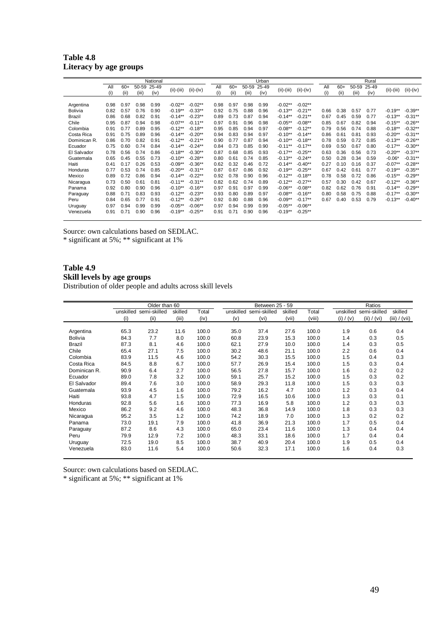| Table 4.8              |  |  |
|------------------------|--|--|
| Literacy by age groups |  |  |

|                |      |       |       | National |              |             |      |       |       | Urban |              |             |      |       |       | Rural |              |             |
|----------------|------|-------|-------|----------|--------------|-------------|------|-------|-------|-------|--------------|-------------|------|-------|-------|-------|--------------|-------------|
|                | All  | $60+$ | 50-59 | 25-49    | $(ii)-(iii)$ | $(ii)-(iv)$ | All  | $60+$ | 50-59 | 25-49 | $(ii)-(iii)$ | $(ii)-(iv)$ | All  | $60+$ | 50-59 | 25-49 | $(ii)-(iii)$ | $(ii)-(iv)$ |
|                | (i)  | (ii)  | (iii) | (iv)     |              |             | (i)  | (ii)  | (iii) | (iv)  |              |             | (i)  | (ii)  | (iii) | (iv)  |              |             |
| Argentina      | 0.98 | 0.97  | 0.98  | 0.99     | $-0.02**$    | $-0.02**$   | 0.98 | 0.97  | 0.98  | 0.99  | $-0.02**$    | $-0.02**$   |      |       |       |       |              |             |
| <b>Bolivia</b> | 0.82 | 0.57  | 0.76  | 0.90     | $-0.19**$    | $-0.33**$   | 0.92 | 0.75  | 0.88  | 0.96  | $-0.13**$    | $-0.21***$  | 0.66 | 0.38  | 0.57  | 0.77  | $-0.19**$    | $-0.39**$   |
| Brazil         | 0.86 | 0.68  | 0.82  | 0.91     | $-0.14**$    | $-0.23**$   | 0.89 | 0.73  | 0.87  | 0.94  | $-0.14***$   | $-0.21***$  | 0.67 | 0.45  | 0.59  | 0.77  | $-0.13**$    | $-0.31**$   |
| Chile          | 0.95 | 0.87  | 0.94  | 0.98     | $-0.07**$    | $-0.11**$   | 0.97 | 0.91  | 0.96  | 0.98  | $-0.05**$    | $-0.08**$   | 0.85 | 0.67  | 0.82  | 0.94  | $-0.15***$   | $-0.26**$   |
| Colombia       | 0.91 | 0.77  | 0.89  | 0.95     | $-0.12**$    | $-0.18**$   | 0.95 | 0.85  | 0.94  | 0.97  | $-0.08**$    | $-0.12**$   | 0.79 | 0.56  | 0.74  | 0.88  | $-0.18***$   | $-0.32**$   |
| Costa Rica     | 0.91 | 0.75  | 0.89  | 0.96     | $-0.14**$    | $-0.20**$   | 0.94 | 0.83  | 0.94  | 0.97  | $-0.10**$    | $-0.14***$  | 0.86 | 0.61  | 0.81  | 0.93  | $-0.20**$    | $-0.31**$   |
| Dominican R.   | 0.86 | 0.70  | 0.82  | 0.91     | $-0.12**$    | $-0.21**$   | 0.90 | 0.77  | 0.87  | 0.94  | $-0.10**$    | $-0.18***$  | 0.78 | 0.59  | 0.72  | 0.85  | $-0.13**$    | $-0.26**$   |
| Ecuador        | 0.75 | 0.60  | 0.74  | 0.84     | $-0.14**$    | $-0.24**$   | 0.84 | 0.73  | 0.85  | 0.90  | $-0.11***$   | $-0.17**$   | 0.69 | 0.50  | 0.67  | 0.80  | $-0.17**$    | $-0.30**$   |
| El Salvador    | 0.78 | 0.56  | 0.74  | 0.86     | $-0.18**$    | $-0.30**$   | 0.87 | 0.68  | 0.85  | 0.93  | $-0.17**$    | $-0.25**$   | 0.63 | 0.36  | 0.56  | 0.73  | $-0.20**$    | $-0.37**$   |
| Guatemala      | 0.65 | 0.45  | 0.55  | 0.73     | $-0.10**$    | $-0.28**$   | 0.80 | 0.61  | 0.74  | 0.85  | $-0.13**$    | $-0.24**$   | 0.50 | 0.28  | 0.34  | 0.59  | $-0.06*$     | $-0.31**$   |
| Haiti          | 0.41 | 0.17  | 0.26  | 0.53     | $-0.09**$    | $-0.36**$   | 0.62 | 0.32  | 0.46  | 0.72  | $-0.14***$   | $-0.40**$   | 0.27 | 0.10  | 0.16  | 0.37  | $-0.07**$    | $-0.28**$   |
| Honduras       | 0.77 | 0.53  | 0.74  | 0.85     | $-0.20**$    | $-0.31**$   | 0.87 | 0.67  | 0.86  | 0.92  | $-0.19**$    | $-0.25***$  | 0.67 | 0.42  | 0.61  | 0.77  | $-0.19**$    | $-0.35**$   |
| Mexico         | 0.89 | 0.72  | 0.86  | 0.94     | $-0.14***$   | $-0.22**$   | 0.92 | 0.78  | 0.90  | 0.96  | $-0.12**$    | $-0.18**$   | 0.78 | 0.58  | 0.72  | 0.86  | $-0.15***$   | $-0.29**$   |
| Nicaragua      | 0.73 | 0.50  | 0.61  | 0.81     | $-0.11***$   | $-0.31**$   | 0.82 | 0.62  | 0.74  | 0.89  | $-0.12**$    | $-0.27**$   | 0.57 | 0.30  | 0.42  | 0.67  | $-0.12**$    | $-0.36**$   |
| Panama         | 0.92 | 0.80  | 0.90  | 0.96     | $-0.10**$    | $-0.16**$   | 0.97 | 0.91  | 0.97  | 0.99  | $-0.06**$    | $-0.08**$   | 0.82 | 0.62  | 0.76  | 0.91  | $-0.14***$   | $-0.29**$   |
| Paraguay       | 0.88 | 0.71  | 0.83  | 0.93     | $-0.12**$    | $-0.23**$   | 0.93 | 0.80  | 0.89  | 0.97  | $-0.08**$    | $-0.16**$   | 0.80 | 0.58  | 0.75  | 0.88  | $-0.17**$    | $-0.30**$   |
| Peru           | 0.84 | 0.65  | 0.77  | 0.91     | $-0.12**$    | $-0.26**$   | 0.92 | 0.80  | 0.88  | 0.96  | $-0.09**$    | $-0.17**$   | 0.67 | 0.40  | 0.53  | 0.79  | $-0.13**$    | $-0.40**$   |
| Uruguay        | 0.97 | 0.94  | 0.99  | 0.99     | $-0.05**$    | $-0.06**$   | 0.97 | 0.94  | 0.99  | 0.99  | $-0.05**$    | $-0.06**$   |      |       |       |       |              |             |
| Venezuela      | 0.91 | 0.71  | 0.90  | 0.96     | $-0.19**$    | $-0.25**$   | 0.91 | 0.71  | 0.90  | 0.96  | $-0.19**$    | $-0.25**$   |      |       |       |       |              |             |

\* significant at 5%; \*\* significant at 1%

## **Table 4.9 Skill levels by age groups**

Distribution of older people and adults across skill levels

|                |      | Older than 60          |         |       |           | Between 25 - 59 |         |        |           | Ratios       |               |
|----------------|------|------------------------|---------|-------|-----------|-----------------|---------|--------|-----------|--------------|---------------|
|                |      | unskilled semi-skilled | skilled | Total | unskilled | semi-skilled    | skilled | Total  | unskilled | semi-skilled | skilled       |
|                | (i)  | (ii)                   | (iii)   | (iv)  | (v)       | (vi)            | (vii)   | (viii) | (i) / (v) | (ii) / (vi)  | (iii) / (vii) |
|                |      |                        |         |       |           |                 |         |        |           |              |               |
| Argentina      | 65.3 | 23.2                   | 11.6    | 100.0 | 35.0      | 37.4            | 27.6    | 100.0  | 1.9       | 0.6          | 0.4           |
| <b>Bolivia</b> | 84.3 | 7.7                    | 8.0     | 100.0 | 60.8      | 23.9            | 15.3    | 100.0  | 1.4       | 0.3          | 0.5           |
| <b>Brazil</b>  | 87.3 | 8.1                    | 4.6     | 100.0 | 62.1      | 27.9            | 10.0    | 100.0  | 1.4       | 0.3          | 0.5           |
| Chile          | 65.4 | 27.1                   | 7.5     | 100.0 | 30.2      | 48.6            | 21.1    | 100.0  | 2.2       | 0.6          | 0.4           |
| Colombia       | 83.9 | 11.5                   | 4.6     | 100.0 | 54.2      | 30.3            | 15.5    | 100.0  | 1.5       | 0.4          | 0.3           |
| Costa Rica     | 84.5 | 8.8                    | 6.7     | 100.0 | 57.7      | 26.9            | 15.4    | 100.0  | 1.5       | 0.3          | 0.4           |
| Dominican R.   | 90.9 | 6.4                    | 2.7     | 100.0 | 56.5      | 27.8            | 15.7    | 100.0  | 1.6       | 0.2          | 0.2           |
| Ecuador        | 89.0 | 7.8                    | 3.2     | 100.0 | 59.1      | 25.7            | 15.2    | 100.0  | 1.5       | 0.3          | 0.2           |
| El Salvador    | 89.4 | 7.6                    | 3.0     | 100.0 | 58.9      | 29.3            | 11.8    | 100.0  | 1.5       | 0.3          | 0.3           |
| Guatemala      | 93.9 | 4.5                    | 1.6     | 100.0 | 79.2      | 16.2            | 4.7     | 100.0  | 1.2       | 0.3          | 0.4           |
| Haiti          | 93.8 | 4.7                    | 1.5     | 100.0 | 72.9      | 16.5            | 10.6    | 100.0  | 1.3       | 0.3          | 0.1           |
| Honduras       | 92.8 | 5.6                    | 1.6     | 100.0 | 77.3      | 16.9            | 5.8     | 100.0  | 1.2       | 0.3          | 0.3           |
| Mexico         | 86.2 | 9.2                    | 4.6     | 100.0 | 48.3      | 36.8            | 14.9    | 100.0  | 1.8       | 0.3          | 0.3           |
| Nicaragua      | 95.2 | 3.5                    | 1.2     | 100.0 | 74.2      | 18.9            | 7.0     | 100.0  | 1.3       | 0.2          | 0.2           |
| Panama         | 73.0 | 19.1                   | 7.9     | 100.0 | 41.8      | 36.9            | 21.3    | 100.0  | 1.7       | 0.5          | 0.4           |
| Paraguay       | 87.2 | 8.6                    | 4.3     | 100.0 | 65.0      | 23.4            | 11.6    | 100.0  | 1.3       | 0.4          | 0.4           |
| Peru           | 79.9 | 12.9                   | 7.2     | 100.0 | 48.3      | 33.1            | 18.6    | 100.0  | 1.7       | 0.4          | 0.4           |
| Uruguay        | 72.5 | 19.0                   | 8.5     | 100.0 | 38.7      | 40.9            | 20.4    | 100.0  | 1.9       | 0.5          | 0.4           |
| Venezuela      | 83.0 | 11.6                   | 5.4     | 100.0 | 50.6      | 32.3            | 17.1    | 100.0  | 1.6       | 0.4          | 0.3           |

Source: own calculations based on SEDLAC.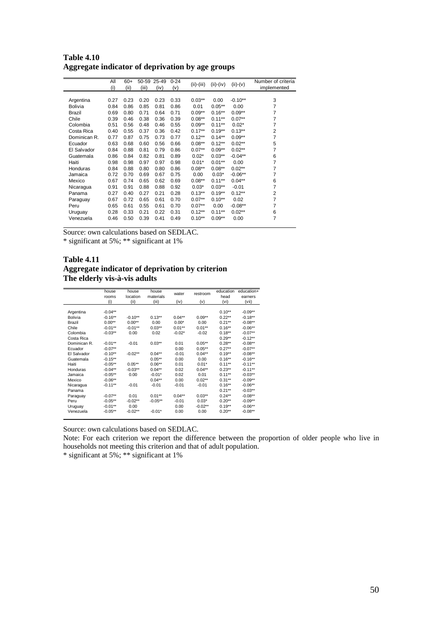**Table 4.10 Aggregate indicator of deprivation by age groups** 

|                | All  | $60+$ |       | 50-59 25-49 | $0 - 24$ | $(ii)-(iii)$ | $(ii)-(iv)$ | $(ii)-(v)$ | Number of criteria |
|----------------|------|-------|-------|-------------|----------|--------------|-------------|------------|--------------------|
|                | (i)  | (ii)  | (iii) | (iv)        | (v)      |              |             |            | implemented        |
|                |      |       |       |             |          |              |             |            |                    |
| Argentina      | 0.27 | 0.23  | 0.20  | 0.23        | 0.33     | $0.03**$     | 0.00        | $-0.10**$  | 3                  |
| <b>Bolivia</b> | 0.84 | 0.86  | 0.85  | 0.81        | 0.86     | 0.01         | $0.05***$   | 0.00       | 7                  |
| Brazil         | 0.69 | 0.80  | 0.71  | 0.64        | 0.71     | $0.09**$     | $0.16**$    | $0.09**$   | 7                  |
| Chile          | 0.39 | 0.46  | 0.38  | 0.36        | 0.39     | $0.08**$     | $0.11***$   | $0.07**$   | $\overline{7}$     |
| Colombia       | 0.51 | 0.56  | 0.48  | 0.46        | 0.55     | $0.09**$     | $0.11***$   | $0.02*$    | $\overline{7}$     |
| Costa Rica     | 0.40 | 0.55  | 0.37  | 0.36        | 0.42     | $0.17**$     | $0.19**$    | $0.13**$   | $\overline{2}$     |
| Dominican R.   | 0.77 | 0.87  | 0.75  | 0.73        | 0.77     | $0.12**$     | $0.14**$    | $0.09**$   | $\overline{7}$     |
| Ecuador        | 0.63 | 0.68  | 0.60  | 0.56        | 0.66     | $0.08**$     | $0.12**$    | $0.02**$   | 5                  |
| El Salvador    | 0.84 | 0.88  | 0.81  | 0.79        | 0.86     | $0.07**$     | $0.09**$    | $0.02**$   | 7                  |
| Guatemala      | 0.86 | 0.84  | 0.82  | 0.81        | 0.89     | $0.02*$      | $0.03**$    | $-0.04**$  | 6                  |
| Haiti          | 0.98 | 0.98  | 0.97  | 0.97        | 0.98     | $0.01*$      | $0.01**$    | 0.00       | 7                  |
| Honduras       | 0.84 | 0.88  | 0.80  | 0.80        | 0.86     | $0.08**$     | $0.08**$    | $0.02**$   | $\overline{7}$     |
| Jamaica        | 0.72 | 0.70  | 0.69  | 0.67        | 0.75     | 0.00         | $0.03*$     | $-0.06**$  | $\overline{7}$     |
| Mexico         | 0.67 | 0.74  | 0.65  | 0.62        | 0.69     | $0.08**$     | $0.11***$   | $0.04***$  | 6                  |
| Nicaragua      | 0.91 | 0.91  | 0.88  | 0.88        | 0.92     | $0.03*$      | $0.03**$    | $-0.01$    | $\overline{7}$     |
| Panama         | 0.27 | 0.40  | 0.27  | 0.21        | 0.28     | $0.13**$     | $0.19**$    | $0.12***$  | $\overline{2}$     |
| Paraguay       | 0.67 | 0.72  | 0.65  | 0.61        | 0.70     | $0.07**$     | $0.10**$    | 0.02       | $\overline{7}$     |
| Peru           | 0.65 | 0.61  | 0.55  | 0.61        | 0.70     | $0.07**$     | 0.00        | $-0.08**$  | 7                  |
| Uruguay        | 0.28 | 0.33  | 0.21  | 0.22        | 0.31     | $0.12***$    | $0.11***$   | $0.02**$   | 6                  |
| Venezuela      | 0.46 | 0.50  | 0.39  | 0.41        | 0.49     | $0.10**$     | $0.09**$    | 0.00       | $\overline{7}$     |
|                |      |       |       |             |          |              |             |            |                    |

\* significant at 5%; \*\* significant at 1%

#### **Table 4.11 Aggregate indicator of deprivation by criterion The elderly vis-à-vis adults**

|              | house      | house      | house     | water     | restroom  | education | education+ |
|--------------|------------|------------|-----------|-----------|-----------|-----------|------------|
|              | rooms      | location   | materials |           |           | head      | earners    |
|              | (i)        | (ii)       | (iii)     | (iv)      | (v)       | (vi)      | (vii)      |
|              |            |            |           |           |           |           |            |
| Argentina    | $-0.04**$  |            |           |           |           | $0.10**$  | $-0.09**$  |
| Bolivia      | $-0.16**$  | $-0.10**$  | $0.13***$ | $0.04***$ | $0.09**$  | $0.22***$ | $-0.18**$  |
| Brazil       | $0.00**$   | $0.00**$   | 0.00      | $0.00*$   | 0.00      | $0.21***$ | $-0.08**$  |
| Chile        | $-0.01***$ | $-0.01***$ | $0.03***$ | $0.01**$  | $0.01***$ | $0.16***$ | $-0.06**$  |
| Colombia     | $-0.03**$  | 0.00       | 0.02      | $-0.02*$  | $-0.02$   | $0.18***$ | $-0.07**$  |
| Costa Rica   |            |            |           |           |           | $0.29**$  | $-0.12**$  |
| Dominican R. | $-0.01**$  | $-0.01$    | $0.03***$ | 0.01      | $0.05***$ | $0.28***$ | $-0.08**$  |
| Ecuador      | $-0.07**$  |            |           | 0.00      | $0.05***$ | $0.27**$  | $-0.07**$  |
| El Salvador  | $-0.10**$  | $-0.02**$  | $0.04***$ | $-0.01$   | $0.04***$ | $0.19**$  | $-0.08***$ |
| Guatemala    | $-0.15***$ |            | $0.05***$ | 0.00      | 0.00      | $0.16***$ | $-0.16***$ |
| Haiti        | $-0.05**$  | $0.05***$  | $0.06***$ | 0.01      | $0.01*$   | $0.11***$ | $-0.11***$ |
| Honduras     | $-0.04***$ | $-0.03**$  | $0.04**$  | 0.02      | $0.04***$ | $0.23**$  | $-0.11***$ |
| Jamaica      | $-0.05**$  | 0.00       | $-0.01*$  | 0.02      | 0.01      | $0.11***$ | $-0.03**$  |
| Mexico       | $-0.06**$  |            | $0.04***$ | 0.00      | $0.02***$ | $0.31***$ | $-0.09**$  |
| Nicaragua    | $-0.11***$ | $-0.01$    | $-0.01$   | $-0.01$   | $-0.01$   | $0.16***$ | $-0.06**$  |
| Panama       |            |            |           |           |           | $0.21***$ | $-0.03***$ |
| Paraguay     | $-0.07**$  | 0.01       | $0.01**$  | $0.04***$ | $0.03**$  | $0.24***$ | $-0.08**$  |
| Peru         | $-0.05**$  | $-0.02**$  | $-0.05**$ | $-0.01$   | $0.03*$   | $0.20**$  | $-0.09**$  |
| Uruguay      | $-0.01***$ | 0.00       |           | 0.00      | $-0.02**$ | $0.19**$  | $-0.06**$  |
| Venezuela    | $-0.05**$  | $-0.02**$  | $-0.01*$  | 0.00      | 0.00      | $0.20**$  | $-0.08**$  |
|              |            |            |           |           |           |           |            |

Source: own calculations based on SEDLAC.

Note: For each criterion we report the difference between the proportion of older people who live in households not meeting this criterion and that of adult population.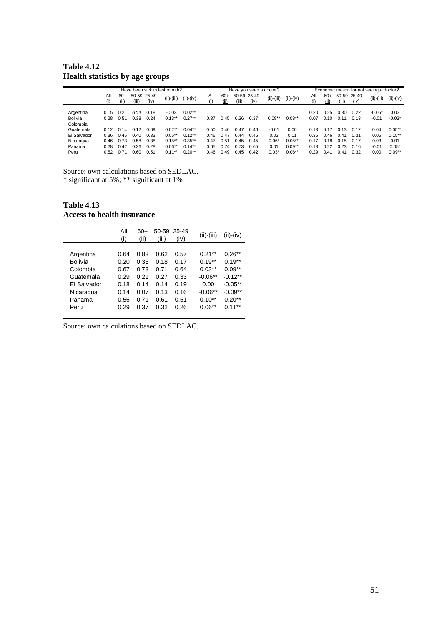#### **Table 4.12 Health statistics by age groups**

|                | Have been sick in last month? |       |       |             |              |             |      | Have you seen a doctor? |       | Economic reason for not seeing a doctor? |              |             |      |       |       |             |              |             |
|----------------|-------------------------------|-------|-------|-------------|--------------|-------------|------|-------------------------|-------|------------------------------------------|--------------|-------------|------|-------|-------|-------------|--------------|-------------|
|                | All                           | $60+$ |       | 50-59 25-49 | $(ii)-(iii)$ |             | All  | $60+$                   |       | 50-59 25-49                              | $(ii)-(iii)$ | $(ii)-(iv)$ | All  | $60+$ |       | 50-59 25-49 |              |             |
|                |                               | (ii)  | (iii) | (iv)        |              | $(ii)-(iv)$ | (i)  | (ii)                    | (iii) | (iv)                                     |              |             | (i)  | (ii)  | (iii) | (iv)        | $(ii)-(iii)$ | $(ii)-(iv)$ |
|                |                               |       |       |             |              |             |      |                         |       |                                          |              |             |      |       |       |             |              |             |
| Argentina      | 0.15                          | 0.21  | 0.23  | 0.18        | $-0.02$      | $0.02**$    |      |                         |       |                                          |              |             | 0.20 | 0.25  | 0.30  | 0.22        | $-0.05*$     | 0.03        |
| <b>Bolivia</b> | 0.28                          | 0.51  | 0.38  | 0.24        | $0.13***$    | $0.27**$    | 0.37 | 0.45                    | 0.36  | 0.37                                     | $0.09**$     | $0.08**$    | 0.07 | 0.10  | 0.11  | 0.13        | $-0.01$      | $-0.03*$    |
| Colombia       |                               |       |       |             |              |             |      |                         |       |                                          |              |             |      |       |       |             |              |             |
| Guatemala      | 0.12                          | 0.14  | 0.12  | 0.09        | $0.02**$     | $0.04**$    | 0.50 | 0.46                    | 0.47  | 0.46                                     | $-0.01$      | 0.00        | 0.13 | 0.17  | 0.13  | 0.12        | 0.04         | $0.05***$   |
| El Salvador    | 0.36                          | 0.45  | 0.40  | 0.33        | $0.05***$    | $0.12**$    | 0.46 | 0.47                    | 0.44  | 0.46                                     | 0.03         | 0.01        | 0.36 | 0.46  | 0.41  | 0.31        | 0.06         | $0.15***$   |
| Nicaragua      | 0.46                          | 0.73  | 0.58  | 0.38        | $0.15***$    | $0.35***$   | 0.47 | 0.51                    | 0.45  | 0.45                                     | $0.06*$      | $0.05**$    | 0.17 | 0.18  | 0.15  | 0.17        | 0.03         | 0.01        |
| Panama         | 0.28                          | 0.42  | 0.36  | 0.28        | $0.06**$     | $0.14***$   | 0.65 | 0.74                    | 0.73  | 0.65                                     | 0.01         | $0.09**$    | 0.18 | 0.22  | 0.23  | 0.16        | $-0.01$      | $0.05*$     |
| Peru           | 0.52                          | 0.71  | 0.60  | 0.51        | $0.11***$    | $0.20**$    | 0.46 | 0.49                    | 0.45  | 0.42                                     | $0.03*$      | $0.06**$    | 0.29 | 0.41  | 0.41  | 0.32        | 0.00         | $0.09**$    |
|                |                               |       |       |             |              |             |      |                         |       |                                          |              |             |      |       |       |             |              |             |

Source: own calculations based on SEDLAC.

\* significant at 5%; \*\* significant at 1%

**Table 4.13 Access to health insurance** 

|             | All<br>(i) | 60+<br>(ii) | 50-59<br>(iii) | 25-49<br>(iv) | $(ii)-(iii)$ | $(ii)-(iv)$ |
|-------------|------------|-------------|----------------|---------------|--------------|-------------|
| Argentina   | 0.64       | 0.83        | 0.62           | 0.57          | $0.21**$     | $0.26**$    |
| Bolivia     | 0.20       | 0.36        | 0.18           | 0.17          | $0.19**$     | $0.19**$    |
| Colombia    | 0.67       | 0.73        | 0.71           | 0.64          | $0.03**$     | $0.09**$    |
| Guatemala   | 0.29       | 0.21        | 0.27           | 0.33          | $-0.06**$    | $-0.12**$   |
| El Salvador | 0.18       | 0.14        | 0.14           | 0.19          | 0.00         | $-0.05**$   |
| Nicaragua   | 0.14       | 0.07        | 0.13           | 0.16          | $-0.06**$    | $-0.09**$   |
| Panama      | 0.56       | 0.71        | 0.61           | 0.51          | $0.10**$     | $0.20**$    |
| Peru        | 0.29       | 0.37        | 0.32           | 0.26          | $0.06**$     | $0.11***$   |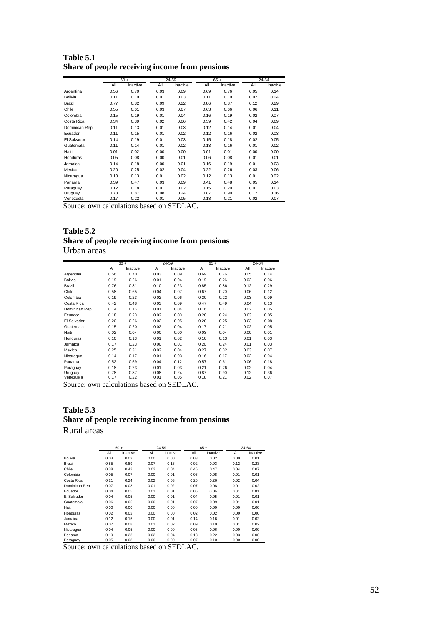| Table 5.1 |                                                |  |  |
|-----------|------------------------------------------------|--|--|
|           | Share of people receiving income from pensions |  |  |

|                |      | $60 +$   |      | 24-59    |      | $65+$    |      | 24-64    |
|----------------|------|----------|------|----------|------|----------|------|----------|
|                | All  | Inactive | All  | Inactive | All  | Inactive | All  | Inactive |
| Argentina      | 0.56 | 0.70     | 0.03 | 0.09     | 0.69 | 0.76     | 0.05 | 0.14     |
| Bolivia        | 0.11 | 0.19     | 0.01 | 0.03     | 0.11 | 0.19     | 0.02 | 0.04     |
| Brazil         | 0.77 | 0.82     | 0.09 | 0.22     | 0.86 | 0.87     | 0.12 | 0.29     |
| Chile          | 0.55 | 0.61     | 0.03 | 0.07     | 0.63 | 0.66     | 0.06 | 0.11     |
| Colombia       | 0.15 | 0.19     | 0.01 | 0.04     | 0.16 | 0.19     | 0.02 | 0.07     |
| Costa Rica     | 0.34 | 0.39     | 0.02 | 0.06     | 0.39 | 0.42     | 0.04 | 0.09     |
| Dominican Rep. | 0.11 | 0.13     | 0.01 | 0.03     | 0.12 | 0.14     | 0.01 | 0.04     |
| Ecuador        | 0.11 | 0.15     | 0.01 | 0.02     | 0.12 | 0.16     | 0.02 | 0.03     |
| El Salvador    | 0.14 | 0.19     | 0.01 | 0.03     | 0.15 | 0.18     | 0.02 | 0.05     |
| Guatemala      | 0.11 | 0.14     | 0.01 | 0.02     | 0.13 | 0.16     | 0.01 | 0.02     |
| Haiti          | 0.01 | 0.02     | 0.00 | 0.00     | 0.01 | 0.01     | 0.00 | 0.00     |
| Honduras       | 0.05 | 0.08     | 0.00 | 0.01     | 0.06 | 0.08     | 0.01 | 0.01     |
| Jamaica        | 0.14 | 0.18     | 0.00 | 0.01     | 0.16 | 0.19     | 0.01 | 0.03     |
| Mexico         | 0.20 | 0.25     | 0.02 | 0.04     | 0.22 | 0.26     | 0.03 | 0.06     |
| Nicaragua      | 0.10 | 0.13     | 0.01 | 0.02     | 0.12 | 0.13     | 0.01 | 0.02     |
| Panama         | 0.39 | 0.47     | 0.03 | 0.09     | 0.41 | 0.48     | 0.05 | 0.14     |
| Paraguay       | 0.12 | 0.18     | 0.01 | 0.02     | 0.15 | 0.20     | 0.01 | 0.03     |
| Uruguay        | 0.78 | 0.87     | 0.08 | 0.24     | 0.87 | 0.90     | 0.12 | 0.36     |
| Venezuela      | 0.17 | 0.22     | 0.01 | 0.05     | 0.18 | 0.21     | 0.02 | 0.07     |

#### **Table 5.2 Share of people receiving income from pensions**  Urban areas

|                |      | $60 +$   |      | 24-59    |      | $65+$    |      | 24-64    |
|----------------|------|----------|------|----------|------|----------|------|----------|
|                | All  | Inactive | All  | Inactive | All  | Inactive | All  | Inactive |
| Argentina      | 0.56 | 0.70     | 0.03 | 0.09     | 0.69 | 0.76     | 0.05 | 0.14     |
| <b>Bolivia</b> | 0.19 | 0.26     | 0.01 | 0.04     | 0.19 | 0.26     | 0.02 | 0.06     |
| Brazil         | 0.76 | 0.81     | 0.10 | 0.23     | 0.85 | 0.86     | 0.12 | 0.29     |
| Chile          | 0.58 | 0.65     | 0.04 | 0.07     | 0.67 | 0.70     | 0.06 | 0.12     |
| Colombia       | 0.19 | 0.23     | 0.02 | 0.06     | 0.20 | 0.22     | 0.03 | 0.09     |
| Costa Rica     | 0.42 | 0.48     | 0.03 | 0.09     | 0.47 | 0.49     | 0.04 | 0.13     |
| Dominican Rep. | 0.14 | 0.16     | 0.01 | 0.04     | 0.16 | 0.17     | 0.02 | 0.05     |
| Ecuador        | 0.18 | 0.23     | 0.02 | 0.03     | 0.20 | 0.24     | 0.03 | 0.05     |
| El Salvador    | 0.20 | 0.26     | 0.02 | 0.05     | 0.20 | 0.25     | 0.03 | 0.08     |
| Guatemala      | 0.15 | 0.20     | 0.02 | 0.04     | 0.17 | 0.21     | 0.02 | 0.05     |
| Haiti          | 0.02 | 0.04     | 0.00 | 0.00     | 0.03 | 0.04     | 0.00 | 0.01     |
| Honduras       | 0.10 | 0.13     | 0.01 | 0.02     | 0.10 | 0.13     | 0.01 | 0.03     |
| Jamaica        | 0.17 | 0.23     | 0.00 | 0.01     | 0.20 | 0.24     | 0.01 | 0.03     |
| Mexico         | 0.25 | 0.31     | 0.02 | 0.04     | 0.27 | 0.32     | 0.03 | 0.07     |
| Nicaragua      | 0.14 | 0.17     | 0.01 | 0.03     | 0.16 | 0.17     | 0.02 | 0.04     |
| Panama         | 0.52 | 0.59     | 0.04 | 0.12     | 0.57 | 0.61     | 0.06 | 0.18     |
| Paraguay       | 0.18 | 0.23     | 0.01 | 0.03     | 0.21 | 0.26     | 0.02 | 0.04     |
| Uruguay        | 0.78 | 0.87     | 0.08 | 0.24     | 0.87 | 0.90     | 0.12 | 0.36     |
| Venezuela      | 0.17 | 0.22     | 0.01 | 0.05     | 0.18 | 0.21     | 0.02 | 0.07     |

Source: own calculations based on SEDLAC.

#### **Table 5.3 Share of people receiving income from pensions**  Rural areas

|                |      | $60 +$   |      | 24-59    |      | $65 +$   |      | 24-64    |
|----------------|------|----------|------|----------|------|----------|------|----------|
|                | All  | Inactive | All  | Inactive | All  | Inactive | All  | Inactive |
| <b>Bolivia</b> | 0.03 | 0.03     | 0.00 | 0.00     | 0.03 | 0.02     | 0.00 | 0.01     |
| Brazil         | 0.85 | 0.89     | 0.07 | 0.16     | 0.92 | 0.93     | 0.12 | 0.23     |
| Chile          | 0.38 | 0.42     | 0.02 | 0.04     | 0.45 | 0.47     | 0.04 | 0.07     |
| Colombia       | 0.05 | 0.07     | 0.00 | 0.01     | 0.06 | 0.08     | 0.01 | 0.01     |
| Costa Rica     | 0.21 | 0.24     | 0.02 | 0.03     | 0.25 | 0.26     | 0.02 | 0.04     |
| Dominican Rep. | 0.07 | 0.08     | 0.01 | 0.02     | 0.07 | 0.08     | 0.01 | 0.02     |
| Ecuador        | 0.04 | 0.05     | 0.01 | 0.01     | 0.05 | 0.06     | 0.01 | 0.01     |
| El Salvador    | 0.04 | 0.05     | 0.00 | 0.01     | 0.04 | 0.05     | 0.01 | 0.01     |
| Guatemala      | 0.06 | 0.06     | 0.00 | 0.01     | 0.07 | 0.09     | 0.01 | 0.01     |
| Haiti          | 0.00 | 0.00     | 0.00 | 0.00     | 0.00 | 0.00     | 0.00 | 0.00     |
| Honduras       | 0.02 | 0.02     | 0.00 | 0.00     | 0.02 | 0.02     | 0.00 | 0.00     |
| Jamaica        | 0.12 | 0.15     | 0.00 | 0.01     | 0.14 | 0.16     | 0.01 | 0.02     |
| Mexico         | 0.07 | 0.08     | 0.01 | 0.02     | 0.09 | 0.10     | 0.01 | 0.02     |
| Nicaragua      | 0.04 | 0.05     | 0.00 | 0.00     | 0.05 | 0.06     | 0.00 | 0.00     |
| Panama         | 0.19 | 0.23     | 0.02 | 0.04     | 0.18 | 0.22     | 0.03 | 0.06     |
| Paraguay       | 0.05 | 0.08     | 0.00 | 0.00     | 0.07 | 0.10     | 0.00 | 0.00     |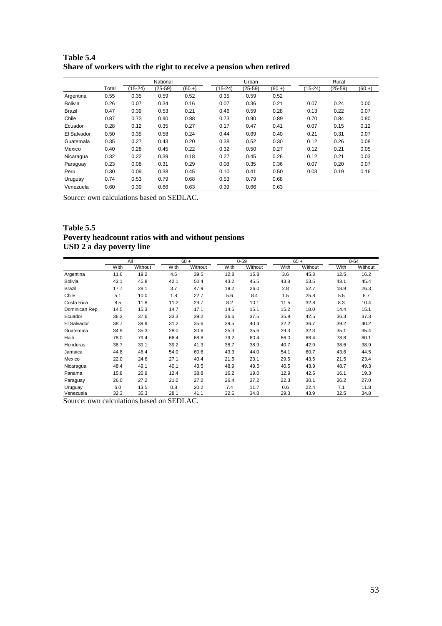|                |       |         | National  |           |         | Urban     |           |           | Rural   |           |
|----------------|-------|---------|-----------|-----------|---------|-----------|-----------|-----------|---------|-----------|
|                | Total | (15-24) | $(25-59)$ | $(60 + )$ | (15-24) | $(25-59)$ | $(60 + )$ | $(15-24)$ | (25-59) | $(60 + )$ |
| Argentina      | 0.55  | 0.35    | 0.59      | 0.52      | 0.35    | 0.59      | 0.52      |           |         |           |
| <b>Bolivia</b> | 0.26  | 0.07    | 0.34      | 0.16      | 0.07    | 0.36      | 0.21      | 0.07      | 0.24    | 0.00      |
| <b>Brazil</b>  | 0.47  | 0.39    | 0.53      | 0.21      | 0.46    | 0.59      | 0.28      | 0.13      | 0.22    | 0.07      |
| Chile          | 0.87  | 0.73    | 0.90      | 0.88      | 0.73    | 0.90      | 0.89      | 0.70      | 0.84    | 0.80      |
| Ecuador        | 0.28  | 0.12    | 0.35      | 0.27      | 0.17    | 0.47      | 0.41      | 0.07      | 0.15    | 0.12      |
| El Salvador    | 0.50  | 0.35    | 0.58      | 0.24      | 0.44    | 0.69      | 0.40      | 0.21      | 0.31    | 0.07      |
| Guatemala      | 0.35  | 0.27    | 0.43      | 0.20      | 0.38    | 0.52      | 0.30      | 0.12      | 0.26    | 0.08      |
| Mexico         | 0.40  | 0.28    | 0.45      | 0.22      | 0.32    | 0.50      | 0.27      | 0.12      | 0.21    | 0.05      |
| Nicaragua      | 0.32  | 0.22    | 0.39      | 0.18      | 0.27    | 0.45      | 0.26      | 0.12      | 0.21    | 0.03      |
| Paraguay       | 0.23  | 0.08    | 0.31      | 0.29      | 0.08    | 0.35      | 0.36      | 0.07      | 0.20    | 0.07      |
| Peru           | 0.30  | 0.09    | 0.38      | 0.45      | 0.10    | 0.41      | 0.50      | 0.03      | 0.19    | 0.16      |
| Uruguay        | 0.74  | 0.53    | 0.79      | 0.68      | 0.53    | 0.79      | 0.68      |           |         |           |
| Venezuela      | 0.60  | 0.39    | 0.66      | 0.63      | 0.39    | 0.66      | 0.63      |           |         |           |

**Table 5.4 Share of workers with the right to receive a pension when retired** 

#### **Table 5.5 Poverty headcount ratios with and without pensions USD 2 a day poverty line**

|                |      | All     |      | $60 +$  |      | $0 - 59$ |      | $65 +$  |      | $0 - 64$ |
|----------------|------|---------|------|---------|------|----------|------|---------|------|----------|
|                | With | Without | With | Without | With | Without  | With | Without | With | Without  |
| Argentina      | 11.6 | 19.2    | 4.5  | 39.5    | 12.8 | 15.8     | 3.6  | 45.3    | 12.5 | 16.2     |
| <b>Bolivia</b> | 43.1 | 45.8    | 42.1 | 50.4    | 43.2 | 45.5     | 43.8 | 53.5    | 43.1 | 45.4     |
| Brazil         | 17.7 | 28.1    | 3.7  | 47.9    | 19.2 | 26.0     | 2.8  | 52.7    | 18.8 | 26.3     |
| Chile          | 5.1  | 10.0    | 1.8  | 22.7    | 5.6  | 8.4      | 1.5  | 25.8    | 5.5  | 8.7      |
| Costa Rica     | 8.5  | 11.8    | 11.2 | 29.7    | 8.2  | 10.1     | 11.5 | 32.8    | 8.3  | 10.4     |
| Dominican Rep. | 14.5 | 15.3    | 14.7 | 17.1    | 14.5 | 15.1     | 15.2 | 18.0    | 14.4 | 15.1     |
| Ecuador        | 36.3 | 37.6    | 33.3 | 39.2    | 36.6 | 37.5     | 35.8 | 42.5    | 36.3 | 37.3     |
| El Salvador    | 38.7 | 39.9    | 31.2 | 35.6    | 39.5 | 40.4     | 32.2 | 36.7    | 39.2 | 40.2     |
| Guatemala      | 34.9 | 35.3    | 28.0 | 30.6    | 35.3 | 35.6     | 29.3 | 32.3    | 35.1 | 35.4     |
| Haiti          | 78.0 | 79.4    | 66.4 | 68.8    | 79.2 | 80.4     | 66.0 | 68.4    | 78.8 | 80.1     |
| Honduras       | 38.7 | 39.1    | 39.2 | 41.3    | 38.7 | 38.9     | 40.7 | 42.9    | 38.6 | 38.9     |
| Jamaica        | 44.8 | 46.4    | 54.0 | 60.6    | 43.3 | 44.0     | 54.1 | 60.7    | 43.6 | 44.5     |
| Mexico         | 22.0 | 24.6    | 27.1 | 40.4    | 21.5 | 23.1     | 29.5 | 43.5    | 21.5 | 23.4     |
| Nicaragua      | 48.4 | 49.1    | 40.1 | 43.5    | 48.9 | 49.5     | 40.5 | 43.9    | 48.7 | 49.3     |
| Panama         | 15.8 | 20.9    | 12.4 | 38.8    | 16.2 | 19.0     | 12.9 | 42.6    | 16.1 | 19.3     |
| Paraguay       | 26.0 | 27.2    | 21.0 | 27.2    | 26.4 | 27.2     | 22.3 | 30.1    | 26.2 | 27.0     |
| Uruguay        | 6.0  | 13.5    | 0.8  | 20.2    | 7.4  | 11.7     | 0.6  | 22.4    | 7.1  | 11.8     |
| Venezuela      | 32.3 | 35.3    | 28.1 | 41.1    | 32.6 | 34.8     | 29.3 | 43.9    | 32.5 | 34.8     |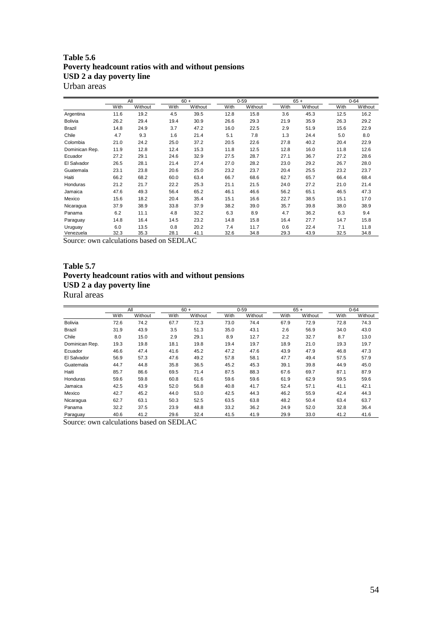#### **Table 5.6 Poverty headcount ratios with and without pensions USD 2 a day poverty line**  Urban areas

|                |      | All     |      | $60 +$  |      | $0 - 59$ |      | $65 +$  |      | $0 - 64$ |
|----------------|------|---------|------|---------|------|----------|------|---------|------|----------|
|                | With | Without | With | Without | With | Without  | With | Without | With | Without  |
| Argentina      | 11.6 | 19.2    | 4.5  | 39.5    | 12.8 | 15.8     | 3.6  | 45.3    | 12.5 | 16.2     |
| <b>Bolivia</b> | 26.2 | 29.4    | 19.4 | 30.9    | 26.6 | 29.3     | 21.9 | 35.9    | 26.3 | 29.2     |
| Brazil         | 14.8 | 24.9    | 3.7  | 47.2    | 16.0 | 22.5     | 2.9  | 51.9    | 15.6 | 22.9     |
| Chile          | 4.7  | 9.3     | 1.6  | 21.4    | 5.1  | 7.8      | 1.3  | 24.4    | 5.0  | 8.0      |
| Colombia       | 21.0 | 24.2    | 25.0 | 37.2    | 20.5 | 22.6     | 27.8 | 40.2    | 20.4 | 22.9     |
| Dominican Rep. | 11.9 | 12.8    | 12.4 | 15.3    | 11.8 | 12.5     | 12.8 | 16.0    | 11.8 | 12.6     |
| Ecuador        | 27.2 | 29.1    | 24.6 | 32.9    | 27.5 | 28.7     | 27.1 | 36.7    | 27.2 | 28.6     |
| El Salvador    | 26.5 | 28.1    | 21.4 | 27.4    | 27.0 | 28.2     | 23.0 | 29.2    | 26.7 | 28.0     |
| Guatemala      | 23.1 | 23.8    | 20.6 | 25.0    | 23.2 | 23.7     | 20.4 | 25.5    | 23.2 | 23.7     |
| Haiti          | 66.2 | 68.2    | 60.0 | 63.4    | 66.7 | 68.6     | 62.7 | 65.7    | 66.4 | 68.4     |
| Honduras       | 21.2 | 21.7    | 22.2 | 25.3    | 21.1 | 21.5     | 24.0 | 27.2    | 21.0 | 21.4     |
| Jamaica        | 47.6 | 49.3    | 56.4 | 65.2    | 46.1 | 46.6     | 56.2 | 65.1    | 46.5 | 47.3     |
| Mexico         | 15.6 | 18.2    | 20.4 | 35.4    | 15.1 | 16.6     | 22.7 | 38.5    | 15.1 | 17.0     |
| Nicaragua      | 37.9 | 38.9    | 33.8 | 37.9    | 38.2 | 39.0     | 35.7 | 39.8    | 38.0 | 38.9     |
| Panama         | 6.2  | 11.1    | 4.8  | 32.2    | 6.3  | 8.9      | 4.7  | 36.2    | 6.3  | 9.4      |
| Paraguay       | 14.8 | 16.4    | 14.5 | 23.2    | 14.8 | 15.8     | 16.4 | 27.7    | 14.7 | 15.8     |
| Uruguay        | 6.0  | 13.5    | 0.8  | 20.2    | 7.4  | 11.7     | 0.6  | 22.4    | 7.1  | 11.8     |
| Venezuela      | 32.3 | 35.3    | 28.1 | 41.1    | 32.6 | 34.8     | 29.3 | 43.9    | 32.5 | 34.8     |

Source: own calculations based on SEDLAC

### **Table 5.7 Poverty headcount ratios with and without pensions USD 2 a day poverty line**  Rural areas

|      |         |      |         |        |         |          |         |        | $0 - 64$ |
|------|---------|------|---------|--------|---------|----------|---------|--------|----------|
| With | Without | With | Without | With   | Without | With     | Without | With   | Without  |
| 72.6 | 74.2    | 67.7 | 72.3    | 73.0   | 74.4    | 67.9     | 72.9    | 72.8   | 74.3     |
| 31.9 | 43.9    | 3.5  | 51.3    | 35.0   | 43.1    | 2.6      | 56.9    | 34.0   | 43.0     |
| 8.0  | 15.0    | 2.9  | 29.1    | 8.9    | 12.7    | 2.2      | 32.7    | 8.7    | 13.0     |
| 19.3 | 19.8    | 18.1 | 19.8    | 19.4   | 19.7    | 18.9     | 21.0    | 19.3   | 19.7     |
| 46.6 | 47.4    | 41.6 | 45.2    | 47.2   | 47.6    | 43.9     | 47.9    | 46.8   | 47.3     |
| 56.9 | 57.3    | 47.6 | 49.2    | 57.8   | 58.1    | 47.7     | 49.4    | 57.5   | 57.9     |
| 44.7 | 44.8    | 35.8 | 36.5    | 45.2   | 45.3    | 39.1     | 39.8    | 44.9   | 45.0     |
| 85.7 | 86.6    | 69.5 | 71.4    | 87.5   | 88.3    | 67.6     | 69.7    | 87.1   | 87.9     |
| 59.6 | 59.8    | 60.8 | 61.6    | 59.6   | 59.6    | 61.9     | 62.9    | 59.5   | 59.6     |
| 42.5 | 43.9    | 52.0 | 56.8    | 40.8   | 41.7    | 52.4     | 57.1    | 41.1   | 42.1     |
| 42.7 | 45.2    | 44.0 | 53.0    | 42.5   | 44.3    | 46.2     | 55.9    | 42.4   | 44.3     |
| 62.7 | 63.1    | 50.3 | 52.5    | 63.5   | 63.8    | 48.2     | 50.4    | 63.4   | 63.7     |
| 32.2 | 37.5    | 23.9 | 48.8    | 33.2   | 36.2    | 24.9     | 52.0    | 32.8   | 36.4     |
| 40.6 | 41.2    | 29.6 | 32.4    | 41.5   | 41.9    | 29.9     | 33.0    | 41.2   | 41.6     |
|      |         | All  |         | $60 +$ |         | $0 - 59$ |         | $65 +$ |          |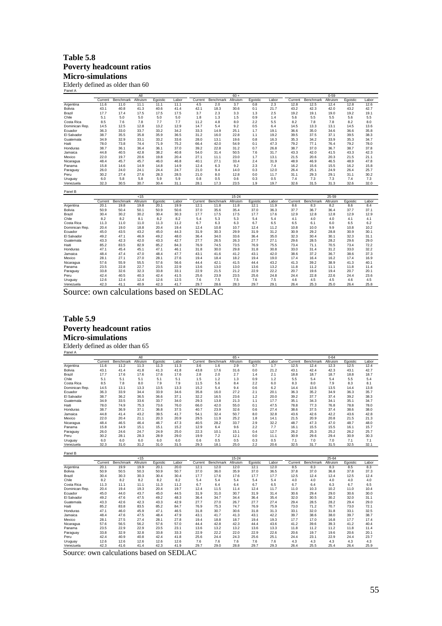#### **Table 5.8 Poverty headcount ratios Micro-simulations**

Elderly defined as older than 60 Panel A

|                                          | $60 +$<br>All |           |          |          |       |         |           |           |          |       | $0 - 59$ |           |          |          |       |
|------------------------------------------|---------------|-----------|----------|----------|-------|---------|-----------|-----------|----------|-------|----------|-----------|----------|----------|-------|
|                                          | Current       | Benchmark | Altruism | Eqoistic | Labor | Current | Benchmark | Altruism  | Eqoistic | Labor | Current  | Benchmark | Altruism | Eqoistic | Labor |
| Argentina                                | 11.6          | 11.0      | 11.1     | 11.1     | 11.1  | 4.5     | 2.0       | 3.7       | 0.8      | 2.3   | 12.8     | 12.5      | 12.4     | 12.8     | 12.6  |
| <b>Bolivia</b>                           | 43.1          | 40.8      | 41.3     | 40.6     | 41.4  | 42.1    | 18.3      | 30.6      | 0.1      | 21.7  | 43.2     | 42.3      | 42.0     | 43.2     | 42.7  |
| Brazil                                   | 17.7          | 17.4      | 17.5     | 17.5     | 17.5  | 3.7     | 2.3       | 3.3       | 1.3      | 2.5   | 19.2     | 19.1      | 19.0     | 19.2     | 19.1  |
| Chile                                    | 5.1           | 5.0       | 5.0      | 5.0      | 5.0   | 1.8     | 1.3       | 1.5       | 0.9      | 1.4   | 5.6      | 5.5       | 5.5      | 5.6      | 5.5   |
| Costa Rica                               | 8.5           | 7.6       | 7.8      | 7.7      | 7.7   | 11.2    | 4.8       | 8.0       | 2.2      | 5.5   | 8.2      | 7.8       | 7.8      | 8.2      | 8.0   |
| Dominican Rep.                           | 14.5          | 12.5      | 12.8     | 13.2     | 12.9  | 14.7    | 5.4       | 9.2       | 0.5      | 6.4   | 14.5     | 13.3      | 13.1     | 14.5     | 13.6  |
| Ecuador                                  | 36.3          | 33.0      | 33.7     | 33.2     | 34.2  | 33.3    | 14.9      | 25.1      | 1.7      | 19.1  | 36.6     | 35.0      | 34.6     | 36.6     | 35.8  |
| El Salvador                              | 38.7          | 35.5      | 35.8     | 35.9     | 36.5  | 31.2    | 16.0      | 22.8      | 1.1      | 19.2  | 39.5     | 37.5      | 37.1     | 39.5     | 38.3  |
| Guatemala                                | 34.9          | 32.9      | 33.1     | 33.2     | 33.6  | 28.0    | 13.1      | 19.6      | 0.8      | 16.3  | 35.3     | 34.2      | 33.9     | 35.3     | 34.7  |
| Haiti                                    | 78.0          | 73.8      | 74.4     | 71.9     | 75.2  | 66.4    | 42.0      | 54.9      | 0.1      | 47.3  | 79.2     | 77.1      | 76.4     | 79.2     | 78.0  |
| Honduras                                 | 38.7          | 36.1      | 36.4     | 36.1     | 37.0  | 39.2    | 22.8      | 31.2      | 0.7      | 26.8  | 38.7     | 37.0      | 36.7     | 38.7     | 37.8  |
| Jamaica                                  | 44.8          | 40.5      | 42.8     | 38.2     | 40.8  | 54.0    | 31.4      | 50.5      | 7.6      | 31.7  | 43.3     | 42.0      | 41.5     | 43.3     | 42.3  |
| Mexico                                   | 22.0          | 19.7      | 20.6     | 19.8     | 20.4  | 27.1    | 11.1      | 23.0      | 1.7      | 13.1  | 21.5     | 20.6      | 20.3     | 21.5     | 21.1  |
| Nicaragua                                | 48.4          | 45.7      | 45.7     | 46.0     | 46.8  | 40.1    | 27.1      | 33.4      | 2.4      | 31.9  | 48.9     | 46.9      | 46.5     | 48.9     | 47.8  |
| Panama                                   | 15.8          | 14.6      | 14.9     | 14.8     | 14.9  | 12.4    | 6.3       | 9.2       | 2.3      | 7.4   | 16.2     | 15.6      | 15.5     | 16.2     | 15.8  |
| Paraguay                                 | 26.0          | 24.0      | 24.1     | 24.4     | 24.7  | 21.0    | 9.4       | 14.0      | 0.3      | 12.0  | 26.4     | 25.1      | 24.9     | 26.4     | 25.7  |
| Peru                                     | 30.2          | 27.4      | 27.6     | 28.3     | 28.5  | 21.0    | 8.0       | 12.8      | 0.0      | 11.7  | 31.1     | 29.3      | 29.1     | 31.1     | 30.2  |
| Uruguay                                  | 6.0           | 5.8       | 5.8      | 5.9      | 5.9   | 0.8     | 0.5       | 0.6       | 0.3      | 0.5   | 7.4      | 7.3       | 7.3      | 7.4      | 7.3   |
| Venezuela                                | 32.3          | 30.5      | 30.7     | 30.4     | 31.1  | 28.1    | 17.3      | 23.5      | 1.9      | 19.7  | 32.6     | 31.5      | 31.3     | 32.6     | 32.0  |
| Panel B                                  |               |           |          |          |       |         |           |           |          |       |          |           |          |          |       |
|                                          |               |           | < 15     |          |       |         |           | $15 - 24$ |          |       |          |           | 25-59    |          |       |
|                                          | Current       | Benchmark | Altruism | Egoistic | Labor | Current | Benchmark | Altruism  | Egoistic | Labor | Current  | Benchmark | Altruism | Egoistic | Labor |
| Argentina                                | 20.1          | 19.8      | 19.8     | 20.1     | 19.9  | 12.1    | 11.8      | 11.8      | 12.1     | 11.9  | 8.6      | 8.3       | 8.2      | 8.6      | 8.4   |
| Bolivia                                  | 50.9          | 50.4      | 50.1     | 50.9     | 50.6  | 37.0    | 35.6      | 35.4      | 37.0     | 36.3  | 37.7     | 36.7      | 36.4     | 37.7     | 37.1  |
| Brazil                                   | 30.4          | 30.2      | 30.2     | 30.4     | 30.3  | 17.7    | 17.5      | 17.5      | 17.7     | 17.6  | 12.9     | 12.8      | 12.8     | 12.9     | 12.9  |
| Chile                                    | 8.2           | 8.2       | 8.1      | 8.2      | 8.2   | 5.4     | 5.3       | 5.3       | 5.4      | 5.4   | 4.1      | 4.0       | 4.0      | 4.1      | 4.1   |
| Costa Rica                               | 11.3          | 11.0      | 11.0     | 11.3     | 11.2  | 6.7     | 6.3       | 6.3       | 6.7      | 6.5   | 6.5      | 6.1       | 6.0      | 6.5      | 6.2   |
| Dominican Rep.                           | 20.4          | 19.0      | 18.8     | 20.4     | 19.4  | 12.4    | 10.8      | 10.7      | 12.4     | 11.2  | 10.8     | 10.0      | 9.9      | 10.8     | 10.2  |
| Ecuador                                  | 45.0          | 43.5      | 43.2     | 45.0     | 44.3  | 31.9    | 30.3      | 29.9      | 31.9     | 31.2  | 30.9     | 29.2      | 28.8     | 30.9     | 30.1  |
| El Salvador                              | 49.2          | 47.1      | 46.9     | 49.2     | 48.0  | 36.4    | 34.0      | 33.6      | 36.4     | 35.0  | 32.3     | 30.4      | 30.1     | 32.3     | 31.1  |
| Guatemala                                | 43.3          | 42.3      | 42.0     | 43.3     | 42.7  | 27.7    | 26.5      | 26.3      | 27.7     | 27.1  | 29.6     | 28.5      | 28.2     | 29.6     | 29.0  |
| Haiti                                    | 85.2          | 83.5      | 82.9     | 85.2     | 84.3  | 76.9    | 74.5      | 73.5      | 76.9     | 75.5  | 73.4     | 71.1      | 70.5     | 73.4     | 72.2  |
| Honduras                                 | 47.1          | 45.4      | 45.1     | 47.1     | 46.1  | 31.8    | 30.0      | 29.8      | 31.8     | 30.8  | 33.0     | 31.4      | 31.2     | 33.0     | 32.2  |
| Jamaica                                  | 48.4          | 47.4      | 47.0     | 48.4     | 47.7  | 43.1    | 41.6      | 41.2      | 43.1     | 42.0  | 38.6     | 37.2      | 36.7     | 38.6     | 37.3  |
| Mexico                                   | 28.1          | 27.1      | 27.0     | 28.1     | 27.6  | 19.4    | 18.4      | 18.2      | 19.4     | 19.0  | 17.4     | 16.4      | 16.2     | 17.4     | 16.9  |
| Nicaragua                                | 57.6          | 55.9      | 55.5     | 57.6     | 56.6  | 44.4    | 42.1      | 41.5      | 44.4     | 43.2  | 41.3     | 39.2      | 38.9     | 41.3     | 40.1  |
| Panama                                   | 23.5          | 22.8      | 22.7     | 23.5     | 22.9  | 13.6    | 13.0      | 13.0      | 13.6     | 13.2  | 11.8     | 11.2      | 11.1     | 11.8     | 11.4  |
| Paraguay                                 | 33.8          | 32.6      | 32.3     | 33.8     | 33.1  | 22.9    | 21.5      | 21.2      | 22.9     | 22.2  | 20.7     | 19.6      | 19.4     | 20.7     | 20.1  |
| Peru                                     | 42.4          | 40.5      | 40.3     | 42.4     | 41.5  | 25.6    | 23.9      | 23.5      | 25.6     | 24.8  | 24.4     | 22.8      | 22.6     | 24.4     | 23.6  |
| Uruguay                                  | 12.6          | 12.4      | 12.4     | 12.6     | 12.5  | 7.6     | 7.5       | 7.5       | 7.6      | 7.5   | 4.6      | 4.5       | 4.5      | 4.6      | 4.5   |
| Venezuela                                | 42.3          | 41.1      | 40.9     | 42.3     | 41.7  | 29.7    | 28.6      | 28.3      | 29.7     | 29.1  | 26.4     | 25.3      | 25.0     | 26.4     | 25.8  |
| Source: own calculations based on SEDLAC |               |           |          |          |       |         |           |           |          |       |          |           |          |          |       |

## **Table 5.9 Poverty headcount ratios Micro-simulations**

Elderly defined as older than 65 Panel A

|                        | All          |              |              |              |              | $65 +$       |              |              |              | $0 - 64$     |              |              |              |              |              |
|------------------------|--------------|--------------|--------------|--------------|--------------|--------------|--------------|--------------|--------------|--------------|--------------|--------------|--------------|--------------|--------------|
|                        | Current      | Benchmark    | Altruism     | Egoistic     | Labor        | Current      | Benchmark    | Altruism     | Egoistic     | Labor        | Current      | Benchmark    | Altruism     | Egoistic     | Labor        |
| Argentina              | 11.6         | 11.2         | 11.3         | 11.3         | 11.3         | 3.6          | 1.6          | 2.9          | 0.7          | 1.7          | 12.5         | 12.4         | 12.3         | 12.5         | 12.4         |
| <b>Bolivia</b>         | 43.1         | 41.4         | 41.8         | 41.3         | 41.8         | 43.8         | 17.6         | 31.6         | 0.0          | 21.2         | 43.1         | 42.4         | 42.3         | 43.1         | 42.7         |
| Brazil                 | 17.7         | 17.6         | 17.6         | 17.6         | 17.6         | 2.8          | 2.0          | 2.7          | 1.4          | 2.1          | 18.8         | 18.7         | 18.7         | 18.8         | 18.7         |
| Chile                  | 5.1          | 5.1          | 5.1          | 5.1          | 5.1          | 1.5          | 1.2          | 1.3          | 0.9          | 1.2          | 5.5          | 5.4          | 5.4          | 5.5          | 5.4          |
| Costa Rica             | 8.5          | 7.8          | 8.0          | 7.9          | 7.9          | 11.5         | 5.6          | 8.4          | 2.2          | 6.0          | 8.3          | 8.0          | 7.9          | 8.3          | 8.1          |
| Dominican Rep.         | 14.5         | 13.1         | 13.3         | 13.5         | 13.3         | 15.2         | 5.4          | 9.4          | 0.6          | 6.2          | 14.4         | 13.6         | 13.5         | 14.4         | 13.8         |
| Ecuador                | 36.3         | 33.9         | 34.4         | 33.9         | 34.6         | 35.8         | 16.0         | 27.2         | 2.1          | 20.1         | 36.3         | 35.2         | 34.9         | 36.3         | 35.7         |
| El Salvador            | 38.7         | 36.2         | 36.5         | 36.6         | 37.1         | 32.2         | 16.5         | 23.6         | 1.2          | 20.0         | 39.2         | 37.7         | 37.4         | 39.2         | 38.3         |
| Guatemala              | 34.9         | 33.5         | 33.6         | 33.7         | 34.0         | 29.3         | 13.8         | 21.3         | 1.1          | 17.7         | 35.1         | 34.3         | 34.1         | 35.1         | 34.7         |
| Haiti                  | 78.0         | 74.9         | 75.3         | 73.6         | 76.0         | 66.0         | 42.0         | 55.0         | 0.1          | 47.5         | 78.8         | 77.3         | 76.8         | 78.8         | 78.0         |
| Honduras               | 38.7         | 36.9         | 37.1         | 36.8         | 37.5         | 40.7         | 23.9         | 32.6         | 0.6          | 27.4         | 38.6         | 37.5         | 37.4         | 38.6         | 38.0         |
| Jamaica                | 44.8         | 41.4         | 43.2         | 39.5         | 41.7         | 54.1         | 32.4         | 50.7         | 8.0          | 32.8         | 43.6         | 42.6         | 42.2         | 43.6         | 42.8         |
| Mexico                 | 22.0         | 20.4         | 21.1         | 20.3         | 20.9         | 29.5         | 11.9         | 25.2         | 1.8          | 14.1         | 21.5         | 20.9         | 20.8         | 21.5         | 21.3         |
| Nicaragua              | 48.4         | 46.5         | 46.4         | 46.7         | 47.3         | 40.5         | 28.2         | 33.7         | 2.9          | 32.2         | 48.7         | 47.3         | 47.0         | 48.7         | 48.0         |
| Panama                 | 15.8         | 14.9         | 15.1         | 15.1         | 15.2         | 12.9         | 6.4          | 9.6          | 2.2          | 7.7          | 16.1         | 15.5         | 15.5         | 16.1         | 15.7         |
| Paraguay               | 26.0         | 24.6         | 24.7         | 24.9         | 25.0         | 22.3         | 10.1         | 15.1         | 0.4          | 12.7         | 26.2         | 25.3         | 25.2         | 26.2         | 25.7         |
| Peru                   | 30.2         | 28.1         | 28.3         | 28.9         | 29.0         | 19.9         | 7.2          | 12.1         | 0.0          | 11.1         | 30.9         | 29.6         | 29.4         | 30.9         | 30.3         |
| Uruguay                | 6.0          | 6.0          | 6.0          | 6.0          | 6.0          | 0.6          | 0.5          | 0.5          | 0.3          | 0.5          | 7.1          | 7.0          | 7.0          | 7.1          | 7.1          |
| Venezuela              | 32.3         | 31.0         | 31.2         | 31.0         | 31.5         | 29.3         | 18.1         | 25.0         | 2.2          | 20.6         | 32.5         | 31.7         | 31.5         | 32.5         | 32.1         |
|                        |              |              |              |              |              |              |              |              |              |              |              |              |              |              |              |
| Panel B                |              |              |              |              |              |              |              |              |              |              |              |              |              |              |              |
|                        |              |              | < 15         |              |              |              |              | $15 - 24$    |              |              |              |              | 25-64        |              |              |
|                        | Current      | Benchmark    | Altruism     | Egoistic     | Labor        | Current      | Benchmark    | Altruism     | Egoistic     | Labor        | Current      | Benchmark    | Altruism     | Egoistic     | Labor        |
| Argentina              | 20.1         | 19.9         | 19.9         | 20.1         | 20.0         | 12.1         | 12.0         | 12.0         | 12.1         | 12.0         | 8.5          | 8.3          | 8.3          | 8.5          | 8.3          |
| Bolivia                | 50.9         | 50.5         | 50.3         | 50.9         | 50.7         | 37.0         | 36.0         | 35.9         | 37.0         | 36.5         | 37.8         | 37.0         | 36.8         | 37.8         | 37.3         |
| Brazil                 | 30.4<br>8.2  | 30.3<br>8.2  | 30.3<br>8.2  | 30.4<br>8.2  | 30.4<br>8.2  | 17.7<br>5.4  | 17.6<br>5.4  | 17.6         | 17.7<br>5.4  | 17.7<br>5.4  | 12.5<br>4.0  | 12.4         | 12.4<br>4.0  | 12.5<br>4.0  | 12.4<br>4.0  |
| Chile                  |              |              |              |              |              |              |              | 5.4          |              |              |              | 4.0          |              |              |              |
| Costa Rica             | 11.3         | 11.1         | 11.1         | 11.3         | 11.2         | 6.7          | 6.4          | 6.4          | 6.7          | 6.5          | 6.7          | 6.4          | 6.3          | 6.7          | 6.5          |
| Dominican Rep.         | 20.4         | 19.4         | 19.3         | 20.4         | 19.7         | 12.4         | 11.5         | 11.4         | 12.4         | 11.7         | 11.0         | 10.3         | 10.2         | 11.0         | 10.4         |
| Ecuador<br>El Salvador | 45.0<br>49.2 | 44.0<br>47.6 | 43.7<br>47.5 | 45.0<br>49.2 | 44.5<br>48.3 | 31.9<br>36.4 | 31.0<br>34.7 | 30.7<br>34.4 | 31.9<br>36.4 | 31.4<br>35.4 | 30.6<br>32.0 | 29.4<br>30.5 | 29.0<br>30.2 | 30.6<br>32.0 | 30.0<br>31.1 |
|                        |              |              |              |              |              |              |              |              |              |              |              |              |              |              |              |
| Guatemala              | 43.3         | 42.6         | 42.3         | 43.3         | 42.9         | 27.7         | 27.0         | 26.7         | 27.7         | 27.4         | 29.4         | 28.5         | 28.2         | 29.4         | 29.0         |
| Haiti                  | 85.2         | 83.8         | 83.5         | 85.2         | 84.7         | 76.9         | 75.3         | 74.7<br>30.6 | 76.9<br>31.8 | 75.9         | 73.0         | 71.2         | 70.7         | 73.0         | 72.1         |
| Honduras               | 47.1         | 46.0         | 45.9         | 47.1         | 46.5         | 31.8         | 30.7         |              |              | 31.3         | 33.1         | 32.0         | 31.8         | 33.1         | 32.5         |
| Jamaica                | 48.4         | 47.6         | 47.5         | 48.4         | 47.9         | 43.1         | 41.7         | 41.3         | 43.1         | 42.2         | 39.7         | 38.6         | 38.0         | 39.7         | 38.7         |
| Mexico                 | 28.1         | 27.5<br>56.5 | 27.4<br>56.2 | 28.1         | 27.8<br>57.0 | 19.4         | 18.8<br>42.8 | 18.7<br>42.3 | 19.4         | 19.3<br>43.6 | 17.7<br>41.2 | 17.0<br>39.6 | 16.8<br>39.3 | 17.7<br>41.2 | 17.4<br>40.4 |
| Nicaragua              | 57.6         |              |              | 57.6         |              | 44.4         |              |              | 44.4         |              |              |              |              |              |              |
| Panama                 | 23.5         | 22.9         | 22.9         | 23.5         | 23.1         | 13.6         | 13.2         | 13.2         | 13.6         | 13.3         | 11.8         | 11.2         | 11.2         | 11.8         | 11.4         |
| Paraguay               | 33.8         | 32.9         | 32.8         | 33.8         | 33.3         | 22.9         | 22.2         | 22.0         | 22.9         | 22.6         | 20.6         | 19.7         | 19.6         | 20.6         | 20.1         |
| Peru                   | 42.4         | 40.9         | 40.8         | 42.4         | 41.8         | 25.6         | 24.4         | 24.3         | 25.6         | 25.1         | 24.4         | 23.1         | 22.9         | 24.4         | 23.7         |
| Uruguay                | 12.6         | 12.6         | 12.6         | 12.6         | 12.6         | 7.6          | 7.6          | 7.6          | 7.6          | 7.6          | 4.3          | 4.3          | 4.3          | 4.3          | 4.3          |
| Venezuela              | 42.3         | 41.6         | 41.4         | 42.3         | 41.9         | 29.7         | 29.0         | 28.8         | 29.7         | 29.3         | 26.4         | 25.5         | 25.4         | 26.4         | 25.9         |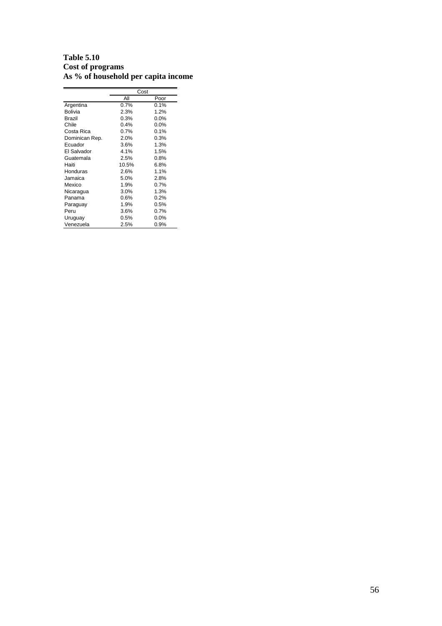### **Table 5.10 Cost of programs As % of household per capita income**

|                | Cost  |         |
|----------------|-------|---------|
|                | Αll   | Poor    |
| Argentina      | 0.7%  | 0.1%    |
| Bolivia        | 2.3%  | 1.2%    |
| Brazil         | 0.3%  | $0.0\%$ |
| Chile          | 0.4%  | 0.0%    |
| Costa Rica     | 0.7%  | 0.1%    |
| Dominican Rep. | 2.0%  | 0.3%    |
| Ecuador        | 3.6%  | 1.3%    |
| El Salvador    | 4.1%  | 1.5%    |
| Guatemala      | 2.5%  | 0.8%    |
| Haiti          | 10.5% | 6.8%    |
| Honduras       | 2.6%  | 1.1%    |
| Jamaica        | 5.0%  | 2.8%    |
| Mexico         | 1.9%  | 0.7%    |
| Nicaragua      | 3.0%  | 1.3%    |
| Panama         | 0.6%  | 0.2%    |
| Paraguay       | 1.9%  | 0.5%    |
| Peru           | 3.6%  | 0.7%    |
| Uruguay        | 0.5%  | 0.0%    |
| Venezuela      | 2.5%  | 0.9%    |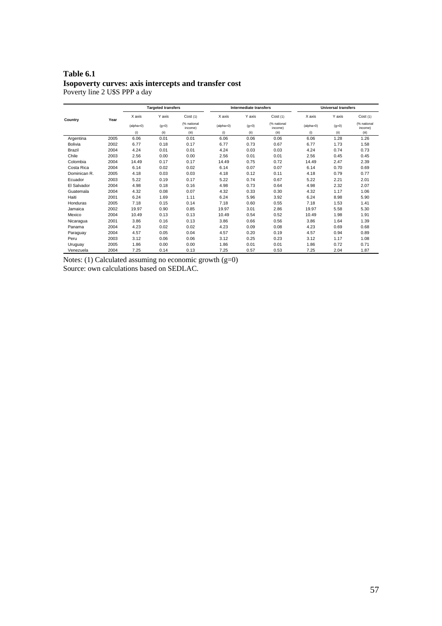#### **Table 6.1 Isopoverty curves: axis intercepts and transfer cost**  Poverty line 2 U\$S PPP a day

|                |      |             | <b>Targeted transfers</b> |                        |             | Intermediate transfers |                        | <b>Universal transfers</b> |         |                        |  |
|----------------|------|-------------|---------------------------|------------------------|-------------|------------------------|------------------------|----------------------------|---------|------------------------|--|
| Country        | Year | X axis      | Y axis                    | Cost(1)                | X axis      | Y axis                 | Cost(1)                | X axis                     | Y axis  | Cost(1)                |  |
|                |      | $(alpha=0)$ | $(g=0)$                   | (% national<br>income) | $(alpha=0)$ | $(g=0)$                | (% national<br>income) | $(alpha=0)$                | $(g=0)$ | (% national<br>income) |  |
|                |      | (i)         | (ii)                      | (iii)                  | (i)         | (ii)                   | (iii)                  | (i)                        | (ii)    | (iii)                  |  |
| Argentina      | 2005 | 6.06        | 0.01                      | 0.01                   | 6.06        | 0.06                   | 0.06                   | 6.06                       | 1.28    | 1.26                   |  |
| <b>Bolivia</b> | 2002 | 6.77        | 0.18                      | 0.17                   | 6.77        | 0.73                   | 0.67                   | 6.77                       | 1.73    | 1.58                   |  |
| Brazil         | 2004 | 4.24        | 0.01                      | 0.01                   | 4.24        | 0.03                   | 0.03                   | 4.24                       | 0.74    | 0.73                   |  |
| Chile          | 2003 | 2.56        | 0.00                      | 0.00                   | 2.56        | 0.01                   | 0.01                   | 2.56                       | 0.45    | 0.45                   |  |
| Colombia       | 2004 | 14.49       | 0.17                      | 0.17                   | 14.49       | 0.75                   | 0.72                   | 14.49                      | 2.47    | 2.39                   |  |
| Costa Rica     | 2004 | 6.14        | 0.02                      | 0.02                   | 6.14        | 0.07                   | 0.07                   | 6.14                       | 0.70    | 0.69                   |  |
| Dominican R.   | 2005 | 4.18        | 0.03                      | 0.03                   | 4.18        | 0.12                   | 0.11                   | 4.18                       | 0.79    | 0.77                   |  |
| Ecuador        | 2003 | 5.22        | 0.19                      | 0.17                   | 5.22        | 0.74                   | 0.67                   | 5.22                       | 2.21    | 2.01                   |  |
| El Salvador    | 2004 | 4.98        | 0.18                      | 0.16                   | 4.98        | 0.73                   | 0.64                   | 4.98                       | 2.32    | 2.07                   |  |
| Guatemala      | 2004 | 4.32        | 0.08                      | 0.07                   | 4.32        | 0.33                   | 0.30                   | 4.32                       | 1.17    | 1.06                   |  |
| Haiti          | 2001 | 6.24        | 1.69                      | 1.11                   | 6.24        | 5.96                   | 3.92                   | 6.24                       | 8.98    | 5.90                   |  |
| Honduras       | 2005 | 7.18        | 0.15                      | 0.14                   | 7.18        | 0.60                   | 0.55                   | 7.18                       | 1.53    | 1.41                   |  |
| Jamaica        | 2002 | 19.97       | 0.90                      | 0.85                   | 19.97       | 3.01                   | 2.86                   | 19.97                      | 5.58    | 5.30                   |  |
| Mexico         | 2004 | 10.49       | 0.13                      | 0.13                   | 10.49       | 0.54                   | 0.52                   | 10.49                      | 1.98    | 1.91                   |  |
| Nicaragua      | 2001 | 3.86        | 0.16                      | 0.13                   | 3.86        | 0.66                   | 0.56                   | 3.86                       | 1.64    | 1.39                   |  |
| Panama         | 2004 | 4.23        | 0.02                      | 0.02                   | 4.23        | 0.09                   | 0.08                   | 4.23                       | 0.69    | 0.68                   |  |
| Paraguay       | 2004 | 4.57        | 0.05                      | 0.04                   | 4.57        | 0.20                   | 0.19                   | 4.57                       | 0.94    | 0.89                   |  |
| Peru           | 2003 | 3.12        | 0.06                      | 0.06                   | 3.12        | 0.25                   | 0.23                   | 3.12                       | 1.17    | 1.08                   |  |
| Uruguay        | 2005 | 1.86        | 0.00                      | 0.00                   | 1.86        | 0.01                   | 0.01                   | 1.86                       | 0.72    | 0.71                   |  |
| Venezuela      | 2004 | 7.25        | 0.14                      | 0.13                   | 7.25        | 0.57                   | 0.53                   | 7.25                       | 2.04    | 1.87                   |  |

Notes:  $(1)$  Calculated assuming no economic growth  $(g=0)$ Source: own calculations based on SEDLAC.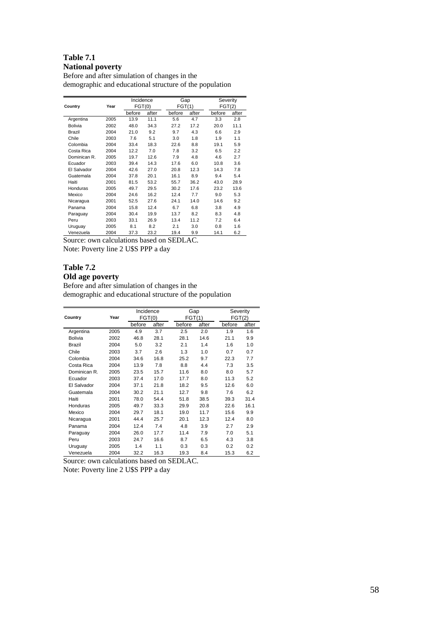### **Table 7.1 National poverty**

Before and after simulation of changes in the demographic and educational structure of the population

|                |      | Incidence |       | Gap    |       | Severity |       |
|----------------|------|-----------|-------|--------|-------|----------|-------|
| Country        | Year | FGT(0)    |       | FGT(1) |       | FGT(2)   |       |
|                |      | before    | after | before | after | before   | after |
| Argentina      | 2005 | 13.9      | 11.1  | 5.6    | 4.7   | 3.3      | 2.8   |
| <b>Bolivia</b> | 2002 | 48.0      | 34.3  | 27.2   | 17.2  | 20.0     | 11.1  |
| Brazil         | 2004 | 21.0      | 9.2   | 9.7    | 4.3   | 6.6      | 2.9   |
| Chile          | 2003 | 7.6       | 5.1   | 3.0    | 1.8   | 1.9      | 1.1   |
| Colombia       | 2004 | 33.4      | 18.3  | 22.6   | 8.8   | 19.1     | 5.9   |
| Costa Rica     | 2004 | 12.2      | 7.0   | 7.8    | 3.2   | 6.5      | 2.2   |
| Dominican R.   | 2005 | 19.7      | 12.6  | 7.9    | 4.8   | 4.6      | 2.7   |
| Ecuador        | 2003 | 39.4      | 14.3  | 17.6   | 6.0   | 10.8     | 3.6   |
| El Salvador    | 2004 | 42.6      | 27.0  | 20.8   | 12.3  | 14.3     | 7.8   |
| Guatemala      | 2004 | 37.8      | 20.1  | 16.1   | 8.9   | 9.4      | 5.4   |
| Haiti          | 2001 | 81.5      | 53.2  | 55.7   | 36.2  | 43.0     | 28.9  |
| Honduras       | 2005 | 49.7      | 29.5  | 30.2   | 17.6  | 23.2     | 13.6  |
| Mexico         | 2004 | 24.6      | 16.2  | 12.4   | 7.7   | 9.0      | 5.3   |
| Nicaragua      | 2001 | 52.5      | 27.6  | 24.1   | 14.0  | 14.6     | 9.2   |
| Panama         | 2004 | 15.8      | 12.4  | 6.7    | 6.8   | 3.8      | 4.9   |
| Paraguay       | 2004 | 30.4      | 19.9  | 13.7   | 8.2   | 8.3      | 4.8   |
| Peru           | 2003 | 33.1      | 26.9  | 13.4   | 11.2  | 7.2      | 6.4   |
| Uruguay        | 2005 | 8.1       | 8.2   | 2.1    | 3.0   | 0.8      | 1.6   |
| Venezuela      | 2004 | 37.3      | 23.2  | 19.4   | 9.9   | 14.1     | 6.2   |

Source: own calculations based on SEDLAC. Note: Poverty line 2 U\$S PPP a day

#### **Table 7.2 Old age poverty**

Before and after simulation of changes in the demographic and educational structure of the population

|              |      | Incidence |       |        | Gap    | Severity |       |
|--------------|------|-----------|-------|--------|--------|----------|-------|
| Country      | Year | FGT(0)    |       |        | FGT(1) | FGT(2)   |       |
|              |      | before    | after | before | after  | before   | after |
| Argentina    | 2005 | 4.9       | 3.7   | 2.5    | 2.0    | 1.9      | 1.6   |
| Bolivia      | 2002 | 46.8      | 28.1  | 28.1   | 14.6   | 21.1     | 9.9   |
| Brazil       | 2004 | 5.0       | 3.2   | 2.1    | 1.4    | 1.6      | 1.0   |
| Chile        | 2003 | 3.7       | 2.6   | 1.3    | 1.0    | 0.7      | 0.7   |
| Colombia     | 2004 | 34.6      | 16.8  | 25.2   | 9.7    | 22.3     | 7.7   |
| Costa Rica   | 2004 | 13.9      | 7.8   | 8.8    | 4.4    | 7.3      | 3.5   |
| Dominican R. | 2005 | 23.5      | 15.7  | 11.6   | 8.0    | 8.0      | 5.7   |
| Ecuador      | 2003 | 37.4      | 17.0  | 17.7   | 8.0    | 11.3     | 5.2   |
| El Salvador  | 2004 | 37.1      | 21.8  | 18.2   | 9.5    | 12.6     | 6.0   |
| Guatemala    | 2004 | 30.2      | 21.1  | 12.7   | 9.8    | 7.6      | 6.2   |
| Haiti        | 2001 | 78.0      | 54.4  | 51.8   | 38.5   | 39.3     | 31.4  |
| Honduras     | 2005 | 49.7      | 33.3  | 29.9   | 20.8   | 22.6     | 16.1  |
| Mexico       | 2004 | 29.7      | 18.1  | 19.0   | 11.7   | 15.6     | 9.9   |
| Nicaragua    | 2001 | 44.4      | 25.7  | 20.1   | 12.3   | 12.4     | 8.0   |
| Panama       | 2004 | 12.4      | 7.4   | 4.8    | 3.9    | 2.7      | 2.9   |
| Paraguay     | 2004 | 26.0      | 17.7  | 11.4   | 7.9    | 7.0      | 5.1   |
| Peru         | 2003 | 24.7      | 16.6  | 8.7    | 6.5    | 4.3      | 3.8   |
| Uruguay      | 2005 | 1.4       | 1.1   | 0.3    | 0.3    | 0.2      | 0.2   |
| Venezuela    | 2004 | 32.2      | 16.3  | 19.3   | 8.4    | 15.3     | 6.2   |

Source: own calculations based on SEDLAC.

Note: Poverty line 2 U\$S PPP a day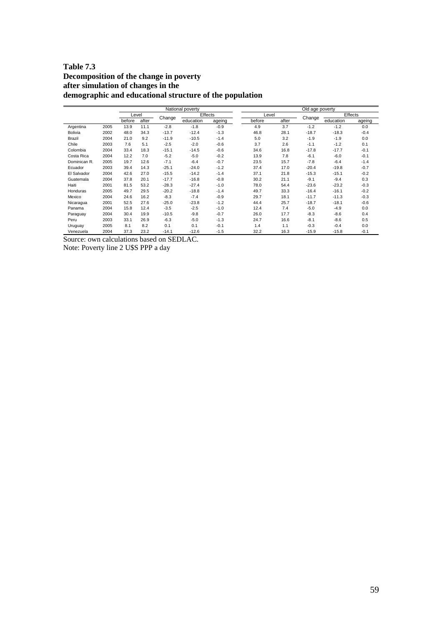### **Table 7.3 Decomposition of the change in poverty after simulation of changes in the demographic and educational structure of the population**

|              |      |        |       |         | National poverty |        |        |       | Old age poverty |           |         |
|--------------|------|--------|-------|---------|------------------|--------|--------|-------|-----------------|-----------|---------|
|              |      | Level  |       |         | Effects          |        | Level  |       |                 |           | Effects |
|              |      | before | after | Change  | education        | ageing | before | after | Change          | education | ageing  |
| Argentina    | 2005 | 13.9   | 11.1  | $-2.8$  | $-1.8$           | $-0.9$ | 4.9    | 3.7   | $-1.2$          | $-1.2$    | 0.0     |
| Bolivia      | 2002 | 48.0   | 34.3  | $-13.7$ | $-12.4$          | $-1.3$ | 46.8   | 28.1  | $-18.7$         | $-18.3$   | $-0.4$  |
| Brazil       | 2004 | 21.0   | 9.2   | $-11.9$ | $-10.5$          | $-1.4$ | 5.0    | 3.2   | $-1.9$          | $-1.9$    | 0.0     |
| Chile        | 2003 | 7.6    | 5.1   | $-2.5$  | $-2.0$           | $-0.6$ | 3.7    | 2.6   | $-1.1$          | $-1.2$    | 0.1     |
| Colombia     | 2004 | 33.4   | 18.3  | $-15.1$ | $-14.5$          | $-0.6$ | 34.6   | 16.8  | $-17.8$         | $-17.7$   | $-0.1$  |
| Costa Rica   | 2004 | 12.2   | 7.0   | $-5.2$  | $-5.0$           | $-0.2$ | 13.9   | 7.8   | $-6.1$          | $-6.0$    | $-0.1$  |
| Dominican R. | 2005 | 19.7   | 12.6  | $-7.1$  | $-6.4$           | $-0.7$ | 23.5   | 15.7  | $-7.8$          | $-6.4$    | $-1.4$  |
| Ecuador      | 2003 | 39.4   | 14.3  | $-25.1$ | $-24.0$          | $-1.2$ | 37.4   | 17.0  | $-20.4$         | $-19.8$   | $-0.7$  |
| El Salvador  | 2004 | 42.6   | 27.0  | $-15.5$ | $-14.2$          | $-1.4$ | 37.1   | 21.8  | $-15.3$         | $-15.1$   | $-0.2$  |
| Guatemala    | 2004 | 37.8   | 20.1  | $-17.7$ | $-16.8$          | $-0.8$ | 30.2   | 21.1  | $-9.1$          | $-9.4$    | 0.3     |
| Haiti        | 2001 | 81.5   | 53.2  | $-28.3$ | $-27.4$          | $-1.0$ | 78.0   | 54.4  | $-23.6$         | $-23.2$   | $-0.3$  |
| Honduras     | 2005 | 49.7   | 29.5  | $-20.2$ | $-18.8$          | $-1.4$ | 49.7   | 33.3  | $-16.4$         | $-16.1$   | $-0.2$  |
| Mexico       | 2004 | 24.6   | 16.2  | $-8.3$  | $-7.4$           | $-0.9$ | 29.7   | 18.1  | $-11.7$         | $-11.3$   | $-0.3$  |
| Nicaragua    | 2001 | 52.5   | 27.6  | $-25.0$ | $-23.8$          | $-1.2$ | 44.4   | 25.7  | $-18.7$         | $-18.1$   | $-0.6$  |
| Panama       | 2004 | 15.8   | 12.4  | $-3.5$  | $-2.5$           | $-1.0$ | 12.4   | 7.4   | $-5.0$          | $-4.9$    | 0.0     |
| Paraguay     | 2004 | 30.4   | 19.9  | $-10.5$ | $-9.8$           | $-0.7$ | 26.0   | 17.7  | $-8.3$          | $-8.6$    | 0.4     |
| Peru         | 2003 | 33.1   | 26.9  | $-6.3$  | $-5.0$           | $-1.3$ | 24.7   | 16.6  | $-8.1$          | $-8.6$    | 0.5     |
| Uruguay      | 2005 | 8.1    | 8.2   | 0.1     | 0.1              | $-0.1$ | 1.4    | 1.1   | $-0.3$          | $-0.4$    | 0.0     |
| Venezuela    | 2004 | 37.3   | 23.2  | $-14.1$ | $-12.6$          | $-1.5$ | 32.2   | 16.3  | $-15.9$         | $-15.8$   | $-0.1$  |

Source: own calculations based on SEDLAC.

Note: Poverty line 2 U\$S PPP a day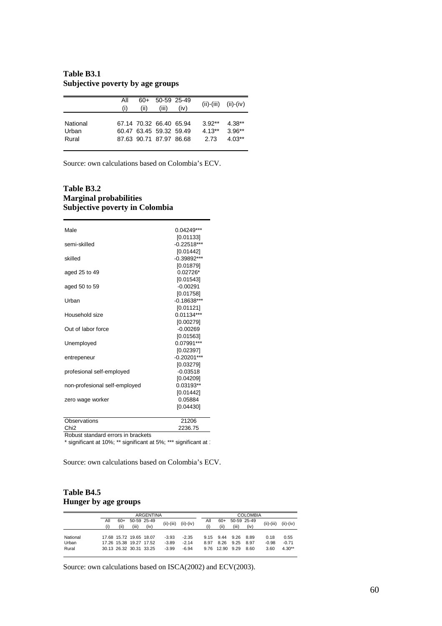| Table B3.1 |                                  |  |  |
|------------|----------------------------------|--|--|
|            | Subjective poverty by age groups |  |  |

|                            | All<br>(i) | 60+<br>(ii) | 50-59 25-49<br>(iii)                                                          | (iv) |                              | $(ii)-(iii)$ $(ii)-(iv)$         |
|----------------------------|------------|-------------|-------------------------------------------------------------------------------|------|------------------------------|----------------------------------|
| National<br>Urban<br>Rural |            |             | 67.14 70.32 66.40 65.94<br>60.47 63.45 59.32 59.49<br>87.63 90.71 87.97 86.68 |      | $3.92**$<br>$4.13**$<br>2.73 | $4.38**$<br>$3.96**$<br>$4.03**$ |

Source: own calculations based on Colombia's ECV.

#### **Table B3.2 Marginal probabilities Subjective poverty in Colombia**

| Male                          | 0.04249***    |
|-------------------------------|---------------|
|                               | [0.01133]     |
| semi-skilled                  | $-0.22518***$ |
|                               | [0.01442]     |
| skilled                       | $-0.39892***$ |
|                               | [0.01879]     |
| aged 25 to 49                 | $0.02726*$    |
|                               | [0.01543]     |
| aged 50 to 59                 | $-0.00291$    |
|                               | [0.01758]     |
| Urban                         | $-0.18638***$ |
|                               | [0.01121]     |
| Household size                | $0.01134***$  |
|                               | [0.00279]     |
| Out of labor force            | $-0.00269$    |
|                               | [0.01563]     |
| Unemployed                    | $0.07991***$  |
|                               | [0.02397]     |
| entrepeneur                   | $-0.20201***$ |
|                               | [0.03279]     |
| profesional self-employed     | $-0.03518$    |
|                               | [0.04209]     |
| non-profesional self-employed | $0.03193**$   |
|                               | [0.01442]     |
| zero wage worker              | 0.05884       |
|                               | [0.04430]     |
|                               |               |
| Observations                  | 21206         |

Chi2 2236.75

Robust standard errors in brackets

\* significant at 10%; \*\* significant at 5%; \*\*\* significant at 1

Source: own calculations based on Colombia's ECV.

### **Table B4.5 Hunger by age groups**

|                            |            |               |                                                                               | <b>ARGENTINA</b> |                               |                               |                      |                       |                      | <b>COLOMBIA</b>      |                         |                             |
|----------------------------|------------|---------------|-------------------------------------------------------------------------------|------------------|-------------------------------|-------------------------------|----------------------|-----------------------|----------------------|----------------------|-------------------------|-----------------------------|
|                            | All<br>(i) | $60+$<br>(ii) | 50-59 25-49<br>(iii)                                                          | (iv)             | $(ii)-(iii)$                  | $(ii)-(iv)$                   | All<br>(i)           | 60+<br>(ii)           | (iii)                | 50-59 25-49<br>(iv)  | (ii)-(iii)              | $(ii)-(iv)$                 |
| National<br>Urban<br>Rural |            |               | 17.68 15.72 19.65 18.07<br>17.26 15.38 19.27 17.52<br>30.13 26.32 30.31 33.25 |                  | $-3.93$<br>$-3.89$<br>$-3.99$ | $-2.35$<br>$-2.14$<br>$-6.94$ | 9.15<br>8.97<br>9.76 | 9.44<br>8.26<br>12.90 | 9.26<br>9.25<br>9.29 | 8.89<br>8.97<br>8.60 | 0.18<br>$-0.98$<br>3.60 | 0.55<br>$-0.71$<br>$4.30**$ |

Source: own calculations based on ISCA(2002) and ECV(2003).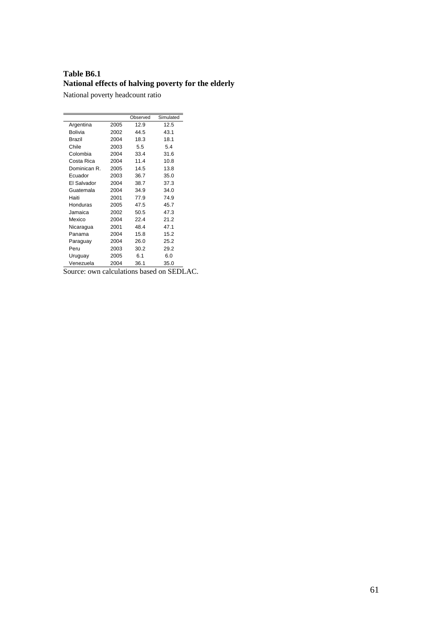## **Table B6.1 National effects of halving poverty for the elderly**

National poverty headcount ratio

|               |      | Observed | Simulated |
|---------------|------|----------|-----------|
| Argentina     | 2005 | 12.9     | 12.5      |
| Bolivia       | 2002 | 44.5     | 43.1      |
| <b>Brazil</b> | 2004 | 18.3     | 18.1      |
| Chile         | 2003 | 5.5      | 54        |
| Colombia      | 2004 | 33.4     | 31.6      |
| Costa Rica    | 2004 | 11.4     | 10.8      |
| Dominican R.  | 2005 | 14.5     | 13.8      |
| Ecuador       | 2003 | 36.7     | 35.0      |
| El Salvador   | 2004 | 38.7     | 37.3      |
| Guatemala     | 2004 | 34.9     | 34.0      |
| Haiti         | 2001 | 77.9     | 74.9      |
| Honduras      | 2005 | 47.5     | 45.7      |
| Jamaica       | 2002 | 50.5     | 47.3      |
| Mexico        | 2004 | 22.4     | 21.2      |
| Nicaragua     | 2001 | 48.4     | 47.1      |
| Panama        | 2004 | 15.8     | 15.2      |
| Paraguay      | 2004 | 26.0     | 25.2      |
| Peru          | 2003 | 30.2     | 29.2      |
| Uruguay       | 2005 | 6.1      | 6.0       |
| Venezuela     | 2004 | 36.1     | 35.0      |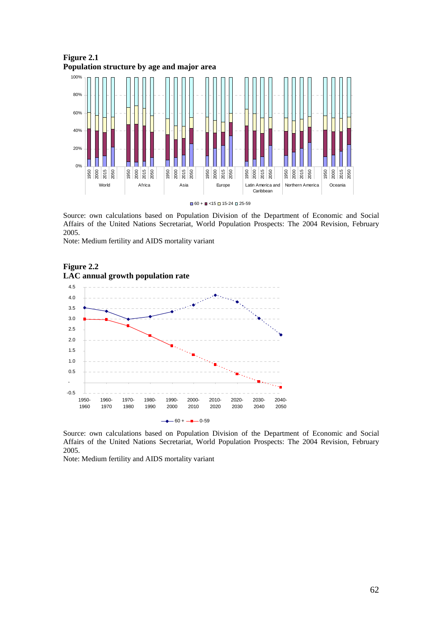

Source: own calculations based on Population Division of the Department of Economic and Social Affairs of the United Nations Secretariat, World Population Prospects: The 2004 Revision, February 2005.

Note: Medium fertility and AIDS mortality variant





Source: own calculations based on Population Division of the Department of Economic and Social Affairs of the United Nations Secretariat, World Population Prospects: The 2004 Revision, February 2005.

Note: Medium fertility and AIDS mortality variant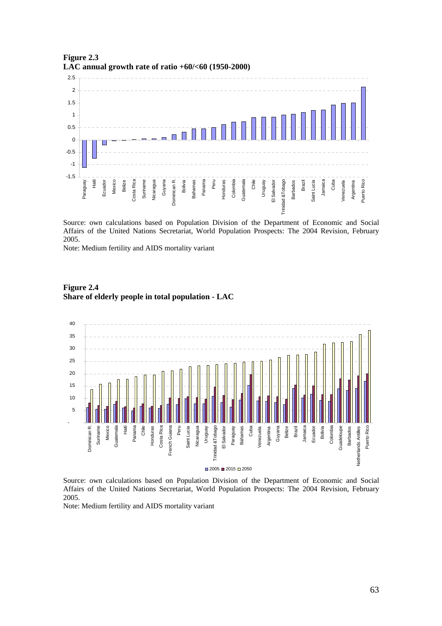

**Figure 2.3 LAC annual growth rate of ratio +60/<60 (1950-2000)** 

Source: own calculations based on Population Division of the Department of Economic and Social Affairs of the United Nations Secretariat, World Population Prospects: The 2004 Revision, February 2005.

Note: Medium fertility and AIDS mortality variant



**Figure 2.4 Share of elderly people in total population - LAC** 

Source: own calculations based on Population Division of the Department of Economic and Social Affairs of the United Nations Secretariat, World Population Prospects: The 2004 Revision, February 2005.

Note: Medium fertility and AIDS mortality variant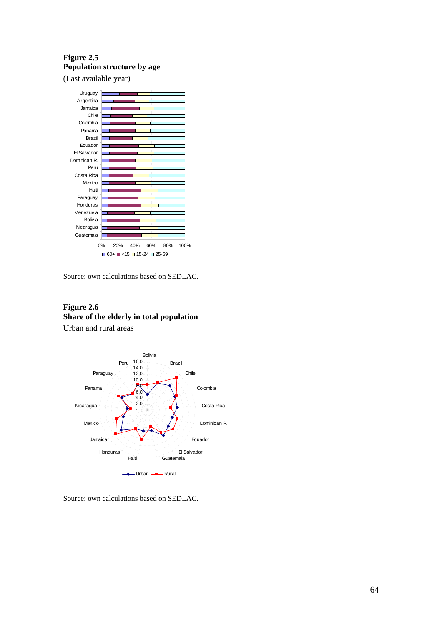## **Figure 2.5 Population structure by age**

(Last available year)



Source: own calculations based on SEDLAC.

### **Figure 2.6 Share of the elderly in total population**  Urban and rural areas



Source: own calculations based on SEDLAC.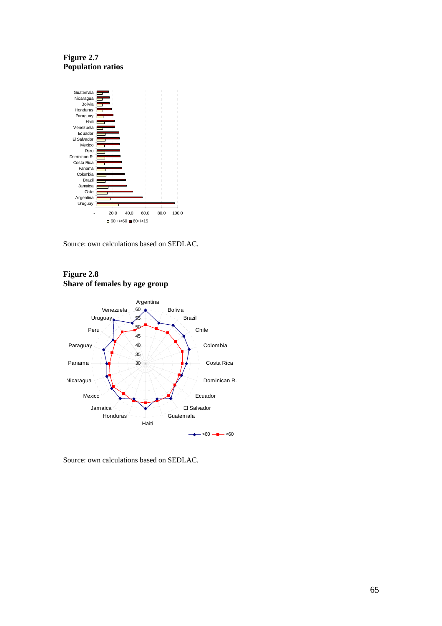**Figure 2.7 Population ratios** 





#### **Figure 2.8 Share of females by age group**

Source: own calculations based on SEDLAC.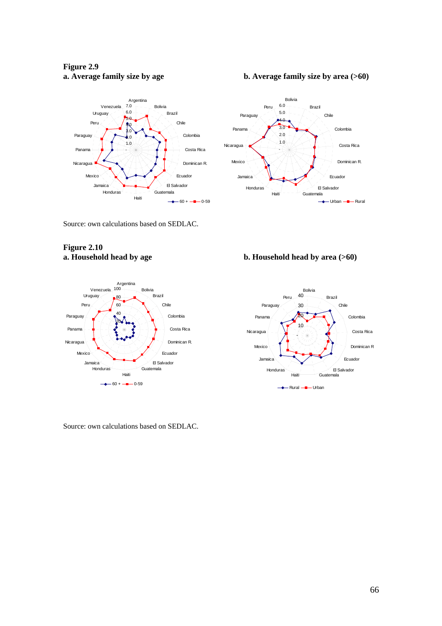## **Figure 2.9**

#### **a.** Average family size by age b. Average family size by area (>60)



Source: own calculations based on SEDLAC.

# **Figure 2.10**



Source: own calculations based on SEDLAC.



## **a. Household head by age b. Household head by area (>60)**

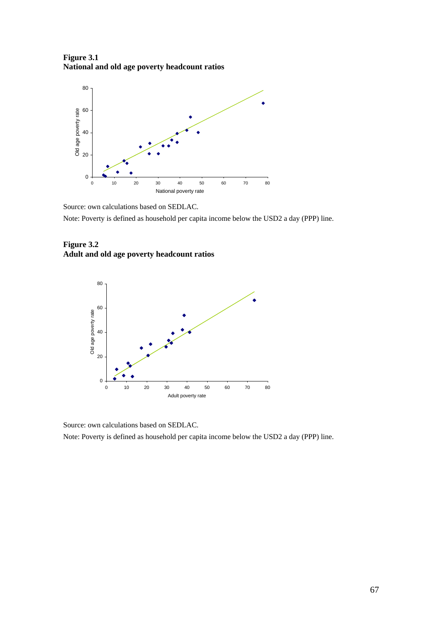**Figure 3.1 National and old age poverty headcount ratios** 



Note: Poverty is defined as household per capita income below the USD2 a day (PPP) line.





Source: own calculations based on SEDLAC.

Note: Poverty is defined as household per capita income below the USD2 a day (PPP) line.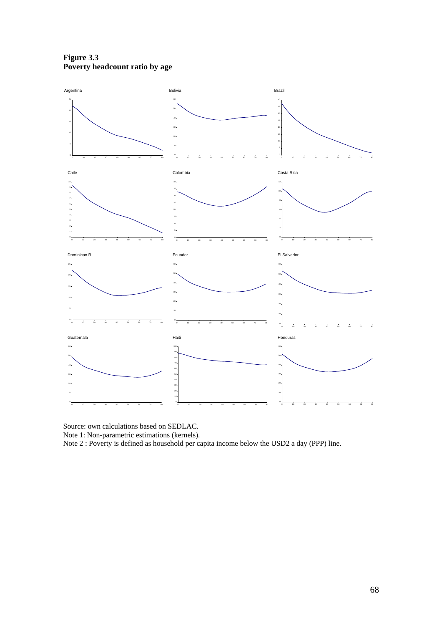**Figure 3.3 Poverty headcount ratio by age** 



Note 1: Non-parametric estimations (kernels).

Note 2 : Poverty is defined as household per capita income below the USD2 a day (PPP) line.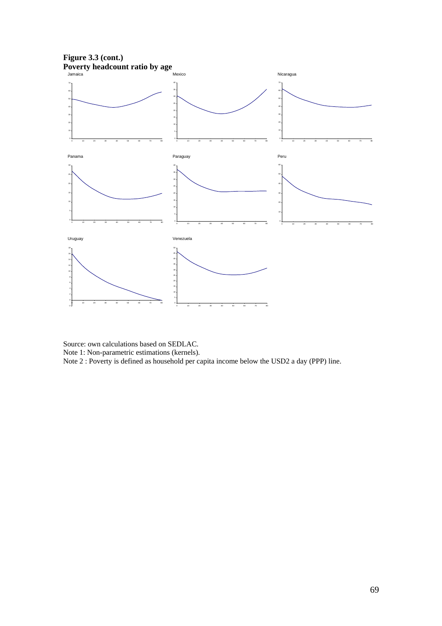

Source: own calculations based on SEDLAC. Note 1: Non-parametric estimations (kernels). Note 2 : Poverty is defined as household per capita income below the USD2 a day (PPP) line.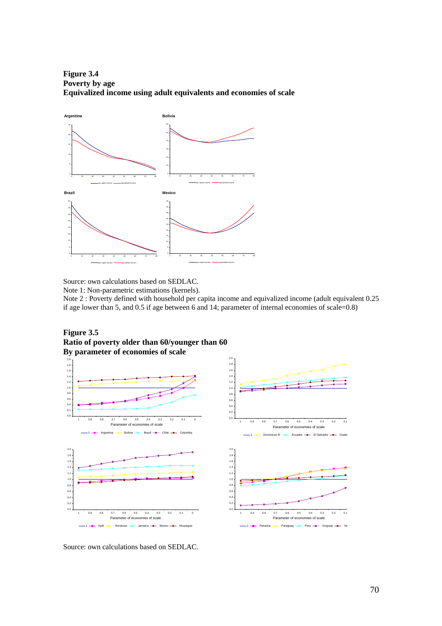**Figure 3.4 Poverty by age Equivalized income using adult equivalents and economies of scale** 



Note 1: Non-parametric estimations (kernels).

Note 2 : Poverty defined with household per capita income and equivalized income (adult equivalent 0.25 if age lower than 5, and 0.5 if age between 6 and 14; parameter of internal economies of scale=0.8)

**Figure 3.5 Ratio of poverty older than 60/younger than 60 By parameter of economies of scale** 

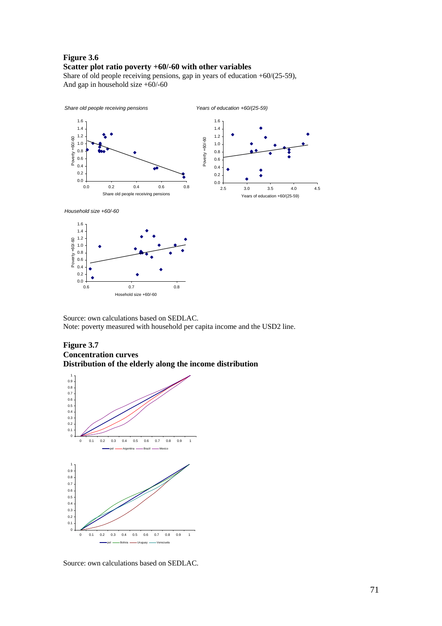#### **Figure 3.6 Scatter plot ratio poverty +60/-60 with other variables**

Share of old people receiving pensions, gap in years of education +60/(25-59), And gap in household size +60/-60



Source: own calculations based on SEDLAC. Note: poverty measured with household per capita income and the USD2 line.

#### **Figure 3.7 Concentration curves Distribution of the elderly along the income distribution**



0.6 0.7 0.8 Hosehold size +60/-60

0.0 0.2

Source: own calculations based on SEDLAC.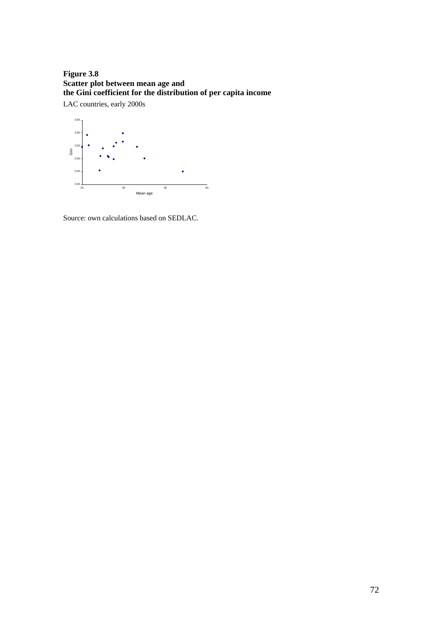## **Figure 3.8 Scatter plot between mean age and the Gini coefficient for the distribution of per capita income**

LAC countries, early 2000s

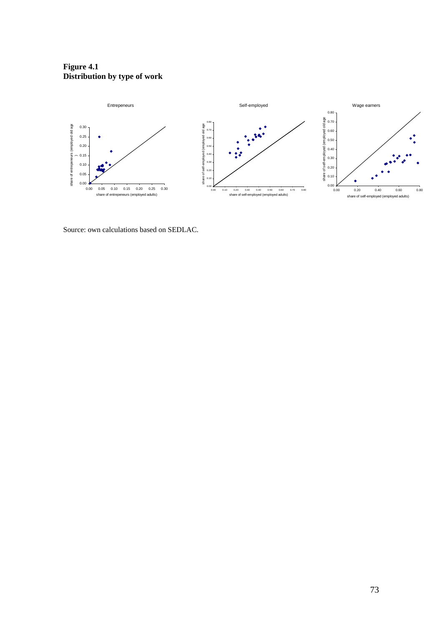### **Figure 4.1 Distribution by type of work**



Source: own calculations based on SEDLAC.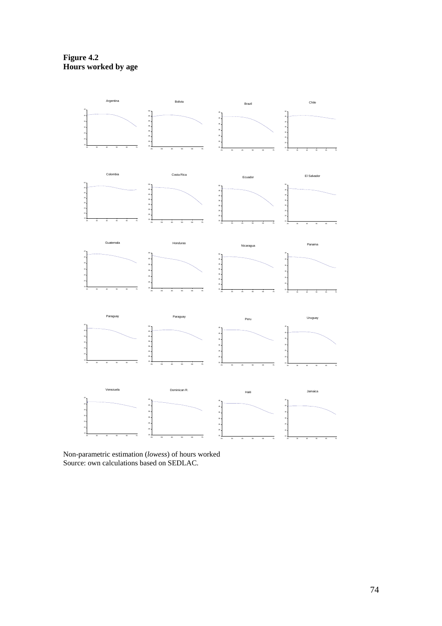**Figure 4.2 Hours worked by age** 



Non-parametric estimation (*lowess*) of hours worked Source: own calculations based on SEDLAC.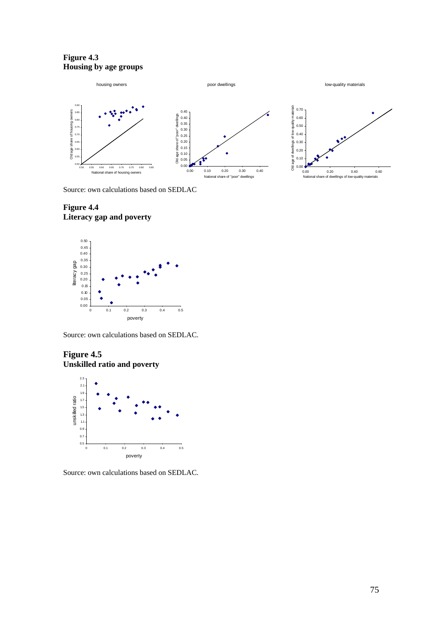**Figure 4.3 Housing by age groups** 



Source: own calculations based on SEDLAC

## **Figure 4.4 Literacy gap and poverty**



Source: own calculations based on SEDLAC.

# **Figure 4.5 Unskilled ratio and poverty**



Source: own calculations based on SEDLAC.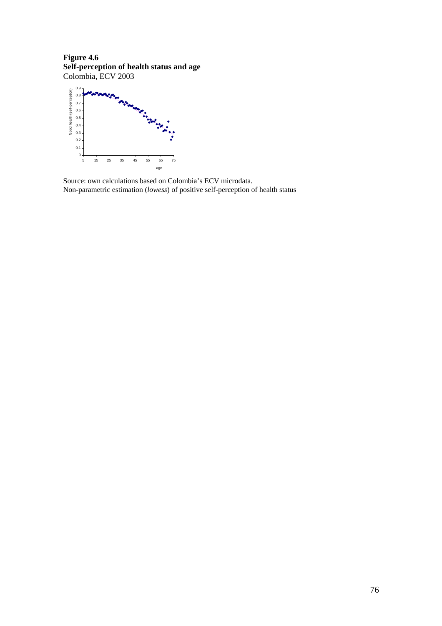**Figure 4.6 Self-perception of health status and age**  Colombia, ECV 2003



Source: own calculations based on Colombia's ECV microdata. Non-parametric estimation (*lowess*) of positive self-perception of health status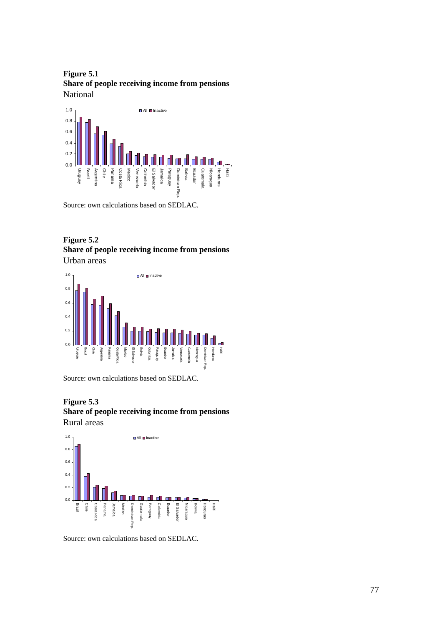**Figure 5.1 Share of people receiving income from pensions**  National



Source: own calculations based on SEDLAC.

# **Figure 5.2 Share of people receiving income from pensions**

Urban areas



Source: own calculations based on SEDLAC.

**Figure 5.3** 

**Share of people receiving income from pensions**  Rural areas



Source: own calculations based on SEDLAC.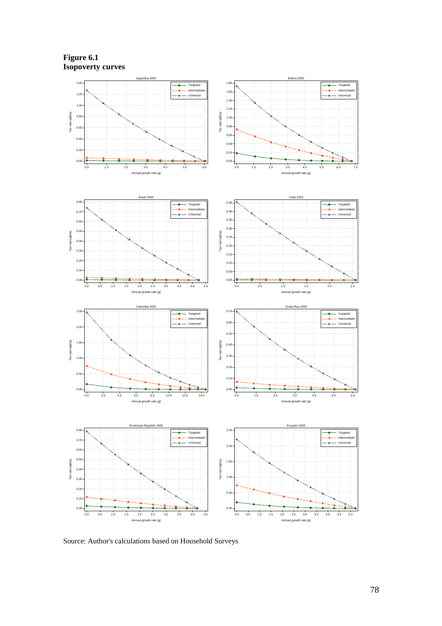**Figure 6.1 Isopoverty curves** 



Source: Author's calculations based on Household Surveys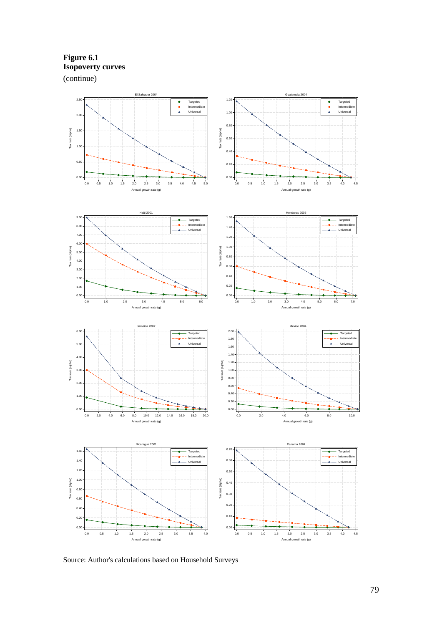**Figure 6.1 Isopoverty curves**  (continue)



Source: Author's calculations based on Household Surveys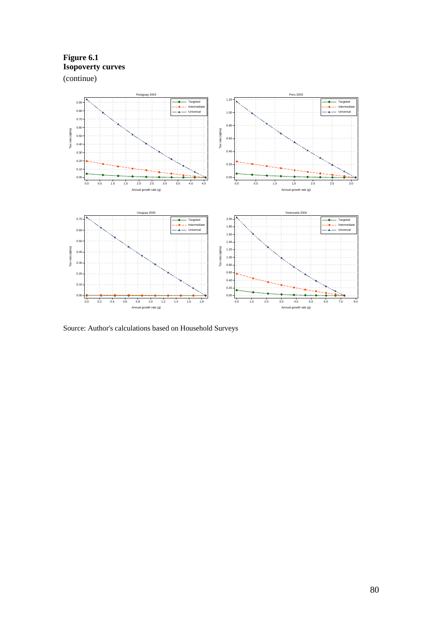**Figure 6.1 Isopoverty curves**  (continue)



Source: Author's calculations based on Household Surveys